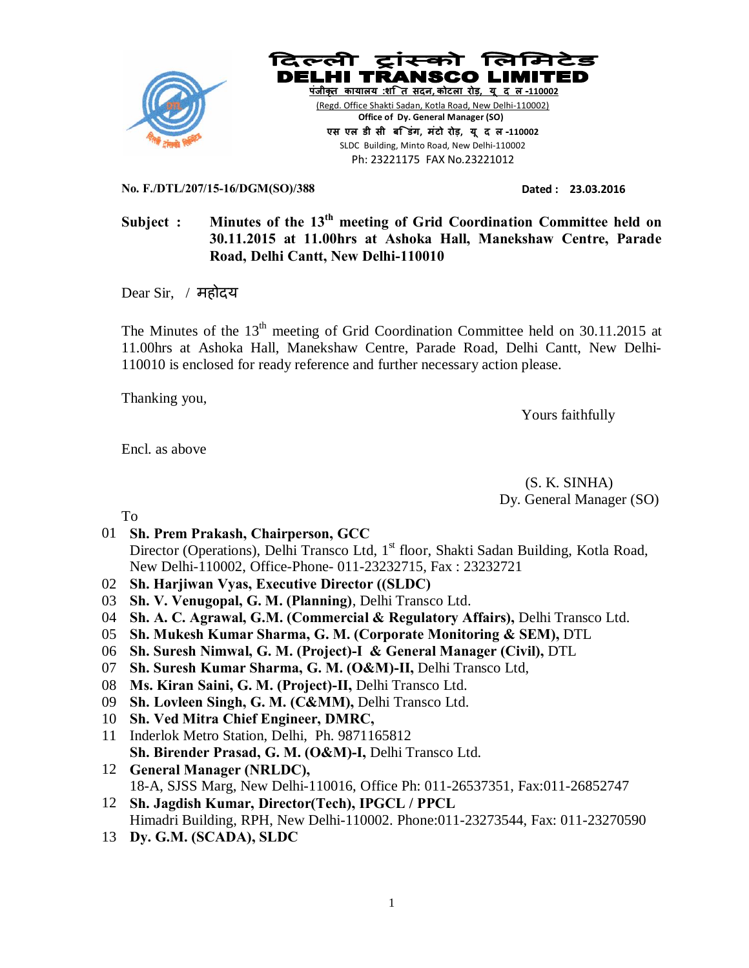



Ph: 23221175 FAX No.23221012

**No. F./DTL/207/15-16/DGM(SO)/388 Dated : 23.03.2016** 

## **Subject : Minutes of the 13th meeting of Grid Coordination Committee held on 30.11.2015 at 11.00hrs at Ashoka Hall, Manekshaw Centre, Parade Road, Delhi Cantt, New Delhi-110010**

Dear Sir, / महोदय

The Minutes of the  $13<sup>th</sup>$  meeting of Grid Coordination Committee held on 30.11.2015 at 11.00hrs at Ashoka Hall, Manekshaw Centre, Parade Road, Delhi Cantt, New Delhi-110010 is enclosed for ready reference and further necessary action please.

Thanking you,

Yours faithfully

Encl. as above

 (S. K. SINHA) Dy. General Manager (SO)

To

- 01 **Sh. Prem Prakash, Chairperson, GCC** Director (Operations), Delhi Transco Ltd,  $1<sup>st</sup>$  floor, Shakti Sadan Building, Kotla Road, New Delhi-110002, Office-Phone- 011-23232715, Fax : 23232721
- 02 **Sh. Harjiwan Vyas, Executive Director ((SLDC)**
- 03 **Sh. V. Venugopal, G. M. (Planning)**, Delhi Transco Ltd.
- 04 **Sh. A. C. Agrawal, G.M. (Commercial & Regulatory Affairs),** Delhi Transco Ltd.
- 05 **Sh. Mukesh Kumar Sharma, G. M. (Corporate Monitoring & SEM),** DTL
- 06 **Sh. Suresh Nimwal, G. M. (Project)-I & General Manager (Civil),** DTL
- 07 **Sh. Suresh Kumar Sharma, G. M. (O&M)-II,** Delhi Transco Ltd,
- 08 **Ms. Kiran Saini, G. M. (Project)-II,** Delhi Transco Ltd.
- 09 **Sh. Lovleen Singh, G. M. (C&MM),** Delhi Transco Ltd.
- 10 **Sh. Ved Mitra Chief Engineer, DMRC,**
- 11 Inderlok Metro Station, Delhi, Ph. 9871165812 **Sh. Birender Prasad, G. M. (O&M)-I,** Delhi Transco Ltd.
- 12 **General Manager (NRLDC),** 18-A, SJSS Marg, New Delhi-110016, Office Ph: 011-26537351, Fax:011-26852747
- 12 **Sh. Jagdish Kumar, Director(Tech), IPGCL / PPCL** Himadri Building, RPH, New Delhi-110002. Phone:011-23273544, Fax: 011-23270590
- 13 **Dy. G.M. (SCADA), SLDC**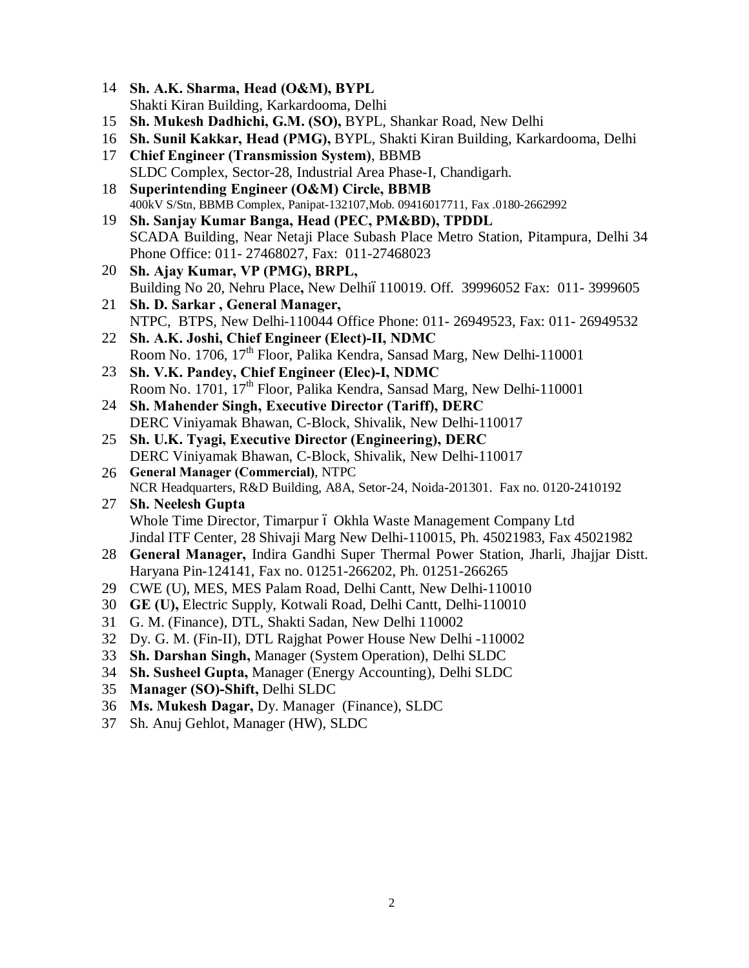- **Sh. A.K. Sharma, Head (O&M), BYPL** Shakti Kiran Building, Karkardooma, Delhi
- **Sh. Mukesh Dadhichi, G.M. (SO),** BYPL, Shankar Road, New Delhi
- **Sh. Sunil Kakkar, Head (PMG),** BYPL, Shakti Kiran Building, Karkardooma, Delhi
- **Chief Engineer (Transmission System)**, BBMB SLDC Complex, Sector-28, Industrial Area Phase-I, Chandigarh.
- **Superintending Engineer (O&M) Circle, BBMB** 400kV S/Stn, BBMB Complex, Panipat-132107,Mob. 09416017711, Fax .0180-2662992
- **Sh. Sanjay Kumar Banga, Head (PEC, PM&BD), TPDDL** SCADA Building, Near Netaji Place Subash Place Metro Station, Pitampura, Delhi 34 Phone Office: 011- 27468027, Fax: 011-27468023
- **Sh. Ajay Kumar, VP (PMG), BRPL,**  Building No 20, Nehru Place, New Delhió110019. Off. 39996052 Fax: 011-3999605
- **Sh. D. Sarkar , General Manager,** NTPC, BTPS, New Delhi-110044 Office Phone: 011- 26949523, Fax: 011- 26949532
- **Sh. A.K. Joshi, Chief Engineer (Elect)-II, NDMC** Room No. 1706, 17<sup>th</sup> Floor, Palika Kendra, Sansad Marg, New Delhi-110001
- **Sh. V.K. Pandey, Chief Engineer (Elec)-I, NDMC** Room No. 1701, 17<sup>th</sup> Floor, Palika Kendra, Sansad Marg, New Delhi-110001
- **Sh. Mahender Singh, Executive Director (Tariff), DERC** DERC Viniyamak Bhawan, C-Block, Shivalik, New Delhi-110017
- **Sh. U.K. Tyagi, Executive Director (Engineering), DERC** DERC Viniyamak Bhawan, C-Block, Shivalik, New Delhi-110017
- **General Manager (Commercial)**, NTPC NCR Headquarters, R&D Building, A8A, Setor-24, Noida-201301. Fax no. 0120-2410192
- **Sh. Neelesh Gupta** Whole Time Director, Timarpur ó Okhla Waste Management Company Ltd Jindal ITF Center, 28 Shivaji Marg New Delhi-110015, Ph. 45021983, Fax 45021982
- **General Manager,** Indira Gandhi Super Thermal Power Station, Jharli, Jhajjar Distt. Haryana Pin-124141, Fax no. 01251-266202, Ph. 01251-266265
- CWE (U), MES, MES Palam Road, Delhi Cantt, New Delhi-110010
- **GE (U),** Electric Supply, Kotwali Road, Delhi Cantt, Delhi-110010
- G. M. (Finance), DTL, Shakti Sadan, New Delhi 110002
- Dy. G. M. (Fin-II), DTL Rajghat Power House New Delhi -110002
- **Sh. Darshan Singh,** Manager (System Operation), Delhi SLDC
- **Sh. Susheel Gupta,** Manager (Energy Accounting), Delhi SLDC
- **Manager (SO)-Shift,** Delhi SLDC
- **Ms. Mukesh Dagar,** Dy. Manager (Finance), SLDC
- Sh. Anuj Gehlot, Manager (HW), SLDC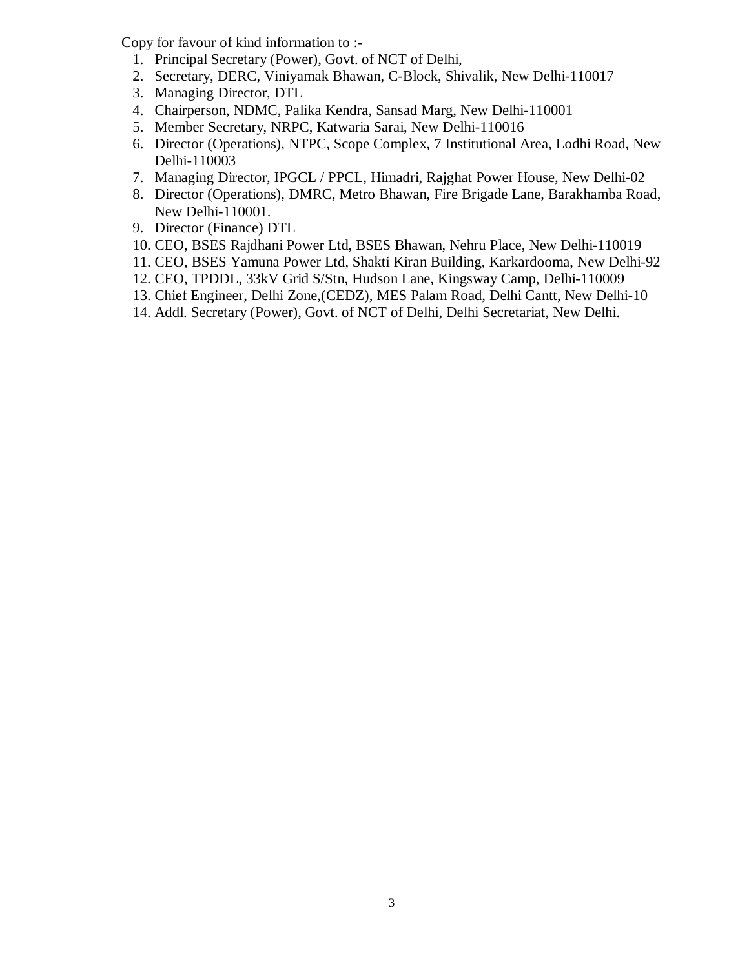Copy for favour of kind information to :-

- 1. Principal Secretary (Power), Govt. of NCT of Delhi,
- 2. Secretary, DERC, Viniyamak Bhawan, C-Block, Shivalik, New Delhi-110017
- 3. Managing Director, DTL
- 4. Chairperson, NDMC, Palika Kendra, Sansad Marg, New Delhi-110001
- 5. Member Secretary, NRPC, Katwaria Sarai, New Delhi-110016
- 6. Director (Operations), NTPC, Scope Complex, 7 Institutional Area, Lodhi Road, New Delhi-110003
- 7. Managing Director, IPGCL / PPCL, Himadri, Rajghat Power House, New Delhi-02
- 8. Director (Operations), DMRC, Metro Bhawan, Fire Brigade Lane, Barakhamba Road, New Delhi-110001.
- 9. Director (Finance) DTL
- 10. CEO, BSES Rajdhani Power Ltd, BSES Bhawan, Nehru Place, New Delhi-110019
- 11. CEO, BSES Yamuna Power Ltd, Shakti Kiran Building, Karkardooma, New Delhi-92
- 12. CEO, TPDDL, 33kV Grid S/Stn, Hudson Lane, Kingsway Camp, Delhi-110009
- 13. Chief Engineer, Delhi Zone,(CEDZ), MES Palam Road, Delhi Cantt, New Delhi-10
- 14. Addl. Secretary (Power), Govt. of NCT of Delhi, Delhi Secretariat, New Delhi.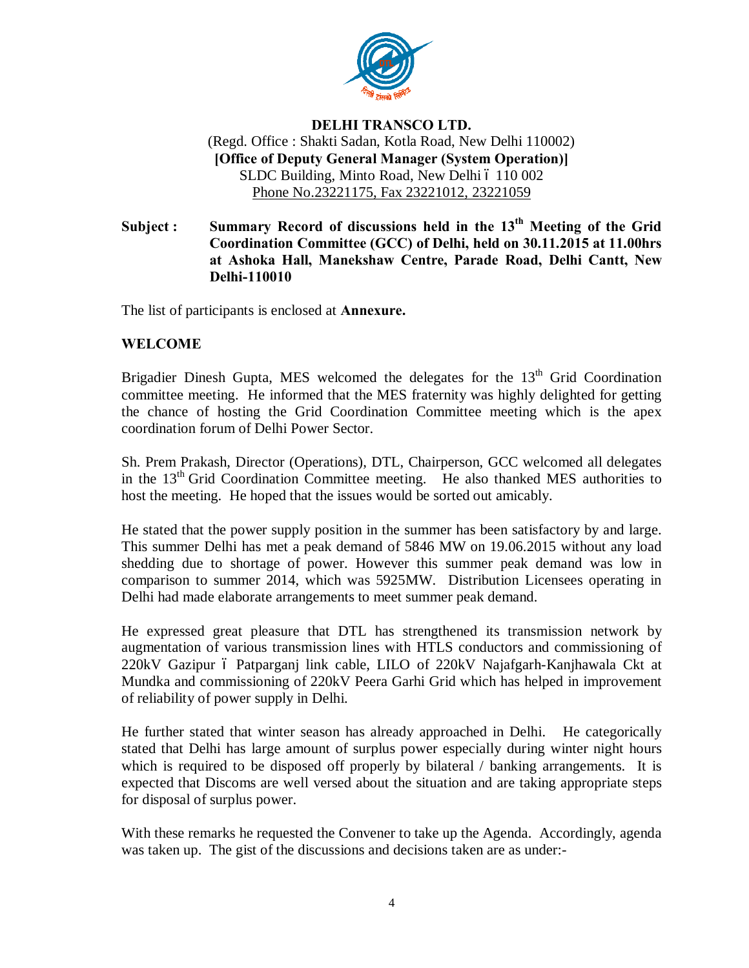

## **DELHI TRANSCO LTD.** (Regd. Office : Shakti Sadan, Kotla Road, New Delhi 110002) **[Office of Deputy General Manager (System Operation)]** SLDC Building, Minto Road, New Delhi ó 110 002 Phone No.23221175, Fax 23221012, 23221059

## **Subject : Summary Record of discussions held in the 13th Meeting of the Grid Coordination Committee (GCC) of Delhi, held on 30.11.2015 at 11.00hrs at Ashoka Hall, Manekshaw Centre, Parade Road, Delhi Cantt, New Delhi-110010**

The list of participants is enclosed at **Annexure.**

## **WELCOME**

Brigadier Dinesh Gupta, MES welcomed the delegates for the  $13<sup>th</sup>$  Grid Coordination committee meeting. He informed that the MES fraternity was highly delighted for getting the chance of hosting the Grid Coordination Committee meeting which is the apex coordination forum of Delhi Power Sector.

Sh. Prem Prakash, Director (Operations), DTL, Chairperson, GCC welcomed all delegates in the 13th Grid Coordination Committee meeting. He also thanked MES authorities to host the meeting. He hoped that the issues would be sorted out amicably.

He stated that the power supply position in the summer has been satisfactory by and large. This summer Delhi has met a peak demand of 5846 MW on 19.06.2015 without any load shedding due to shortage of power. However this summer peak demand was low in comparison to summer 2014, which was 5925MW. Distribution Licensees operating in Delhi had made elaborate arrangements to meet summer peak demand.

He expressed great pleasure that DTL has strengthened its transmission network by augmentation of various transmission lines with HTLS conductors and commissioning of 220kV Gazipur ó Patparganj link cable, LILO of 220kV Najafgarh-Kanjhawala Ckt at Mundka and commissioning of 220kV Peera Garhi Grid which has helped in improvement of reliability of power supply in Delhi.

He further stated that winter season has already approached in Delhi. He categorically stated that Delhi has large amount of surplus power especially during winter night hours which is required to be disposed off properly by bilateral / banking arrangements. It is expected that Discoms are well versed about the situation and are taking appropriate steps for disposal of surplus power.

With these remarks he requested the Convener to take up the Agenda. Accordingly, agenda was taken up. The gist of the discussions and decisions taken are as under:-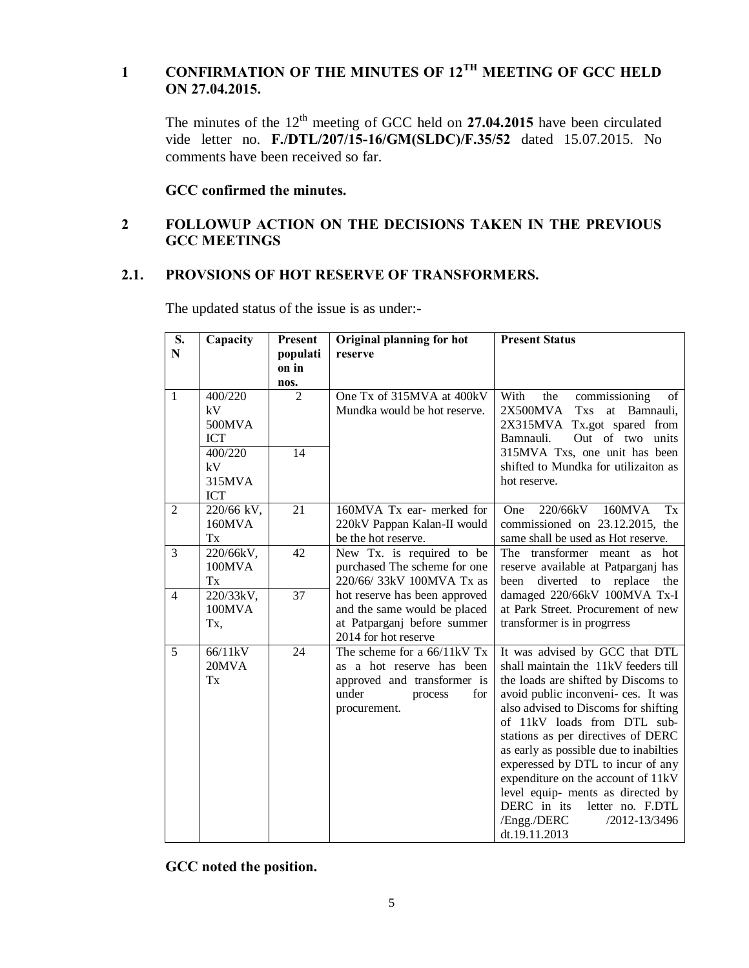## **1 CONFIRMATION OF THE MINUTES OF 12TH MEETING OF GCC HELD ON 27.04.2015.**

The minutes of the 12<sup>th</sup> meeting of GCC held on **27.04.2015** have been circulated vide letter no. **F./DTL/207/15-16/GM(SLDC)/F.35/52** dated 15.07.2015. No comments have been received so far.

**GCC confirmed the minutes.**

## **2 FOLLOWUP ACTION ON THE DECISIONS TAKEN IN THE PREVIOUS GCC MEETINGS**

## **2.1. PROVSIONS OF HOT RESERVE OF TRANSFORMERS.**

The updated status of the issue is as under:-

| S.             | Capacity   | Present         | Original planning for hot     | <b>Present Status</b>                    |
|----------------|------------|-----------------|-------------------------------|------------------------------------------|
| ${\bf N}$      |            | populati        | reserve                       |                                          |
|                |            | on in           |                               |                                          |
|                |            | nos.            |                               |                                          |
| $\mathbf{1}$   | 400/220    | $\overline{2}$  | One Tx of 315MVA at 400kV     | With<br>the<br>commissioning<br>of       |
|                | kV         |                 | Mundka would be hot reserve.  | 2X500MVA<br><b>Txs</b><br>at Bamnauli,   |
|                | 500MVA     |                 |                               | 2X315MVA Tx.got spared from              |
|                | <b>ICT</b> |                 |                               | Out of two units<br>Bamnauli.            |
|                | 400/220    | 14              |                               | 315MVA Txs, one unit has been            |
|                | kV         |                 |                               | shifted to Mundka for utilizaiton as     |
|                | 315MVA     |                 |                               | hot reserve.                             |
|                | <b>ICT</b> |                 |                               |                                          |
| 2              | 220/66 kV, | 21              | 160MVA Tx ear- merked for     | 220/66kV<br>160MVA<br>Tx<br><b>One</b>   |
|                | 160MVA     |                 | 220kV Pappan Kalan-II would   | commissioned on 23.12.2015, the          |
|                | Tx         |                 | be the hot reserve.           | same shall be used as Hot reserve.       |
| 3              | 220/66kV,  | 42              | New Tx. is required to be     | The transformer meant as<br>hot          |
|                | 100MVA     |                 | purchased The scheme for one  | reserve available at Patparganj has      |
|                | Tx         |                 | 220/66/33kV 100MVA Tx as      | diverted<br>to<br>replace<br>been<br>the |
| $\overline{4}$ | 220/33kV,  | $\overline{37}$ | hot reserve has been approved | damaged 220/66kV 100MVA Tx-I             |
|                | 100MVA     |                 | and the same would be placed  | at Park Street. Procurement of new       |
|                | Tx,        |                 | at Patparganj before summer   | transformer is in progress               |
|                |            |                 | 2014 for hot reserve          |                                          |
| 5              | 66/11kV    | 24              | The scheme for a 66/11kV Tx   | It was advised by GCC that DTL           |
|                | 20MVA      |                 | as a hot reserve has been     | shall maintain the 11kV feeders till     |
|                | Tx         |                 | approved and transformer is   | the loads are shifted by Discoms to      |
|                |            |                 | under<br>for<br>process       | avoid public inconveni- ces. It was      |
|                |            |                 | procurement.                  | also advised to Discoms for shifting     |
|                |            |                 |                               | of 11kV loads from DTL sub-              |
|                |            |                 |                               | stations as per directives of DERC       |
|                |            |                 |                               | as early as possible due to inabilties   |
|                |            |                 |                               | experessed by DTL to incur of any        |
|                |            |                 |                               | expenditure on the account of 11kV       |
|                |            |                 |                               | level equip- ments as directed by        |
|                |            |                 |                               | DERC in its<br>letter no. F.DTL          |
|                |            |                 |                               | /2012-13/3496<br>/Engg./DERC             |
|                |            |                 |                               | dt.19.11.2013                            |

**GCC noted the position.**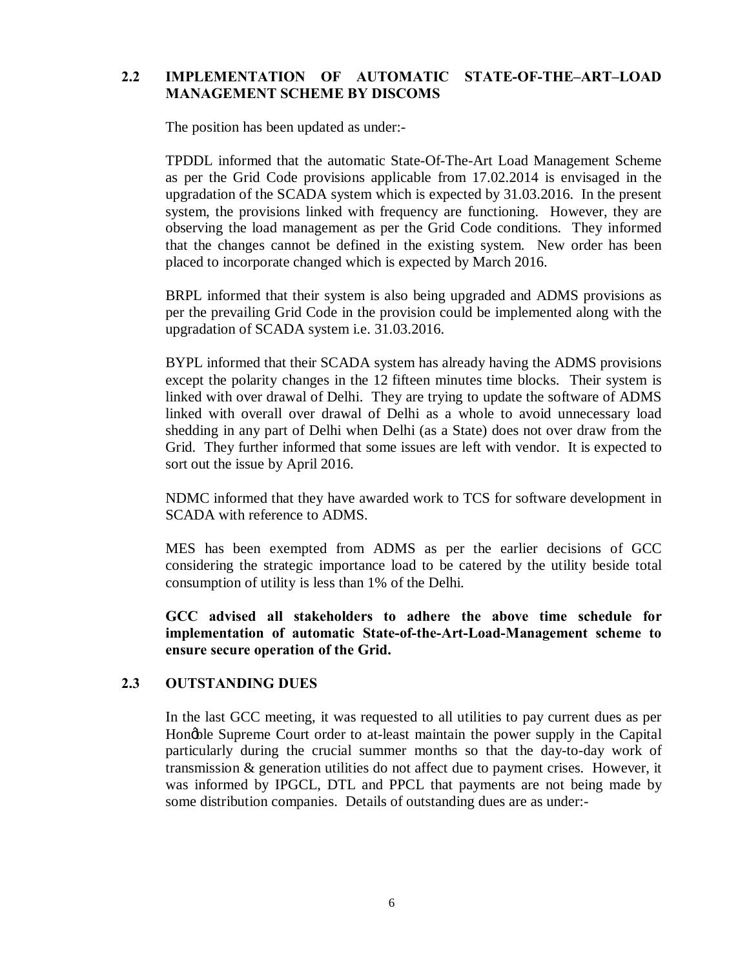## **2.2 IMPLEMENTATION OF AUTOMATIC STATE-OF-THE–ART–LOAD MANAGEMENT SCHEME BY DISCOMS**

The position has been updated as under:-

TPDDL informed that the automatic State-Of-The-Art Load Management Scheme as per the Grid Code provisions applicable from 17.02.2014 is envisaged in the upgradation of the SCADA system which is expected by 31.03.2016. In the present system, the provisions linked with frequency are functioning. However, they are observing the load management as per the Grid Code conditions. They informed that the changes cannot be defined in the existing system. New order has been placed to incorporate changed which is expected by March 2016.

BRPL informed that their system is also being upgraded and ADMS provisions as per the prevailing Grid Code in the provision could be implemented along with the upgradation of SCADA system i.e. 31.03.2016.

BYPL informed that their SCADA system has already having the ADMS provisions except the polarity changes in the 12 fifteen minutes time blocks. Their system is linked with over drawal of Delhi. They are trying to update the software of ADMS linked with overall over drawal of Delhi as a whole to avoid unnecessary load shedding in any part of Delhi when Delhi (as a State) does not over draw from the Grid. They further informed that some issues are left with vendor. It is expected to sort out the issue by April 2016.

NDMC informed that they have awarded work to TCS for software development in SCADA with reference to ADMS.

MES has been exempted from ADMS as per the earlier decisions of GCC considering the strategic importance load to be catered by the utility beside total consumption of utility is less than 1% of the Delhi.

**GCC advised all stakeholders to adhere the above time schedule for implementation of automatic State-of-the-Art-Load-Management scheme to ensure secure operation of the Grid.** 

## **2.3 OUTSTANDING DUES**

In the last GCC meeting, it was requested to all utilities to pay current dues as per Hongble Supreme Court order to at-least maintain the power supply in the Capital particularly during the crucial summer months so that the day-to-day work of transmission & generation utilities do not affect due to payment crises. However, it was informed by IPGCL, DTL and PPCL that payments are not being made by some distribution companies. Details of outstanding dues are as under:-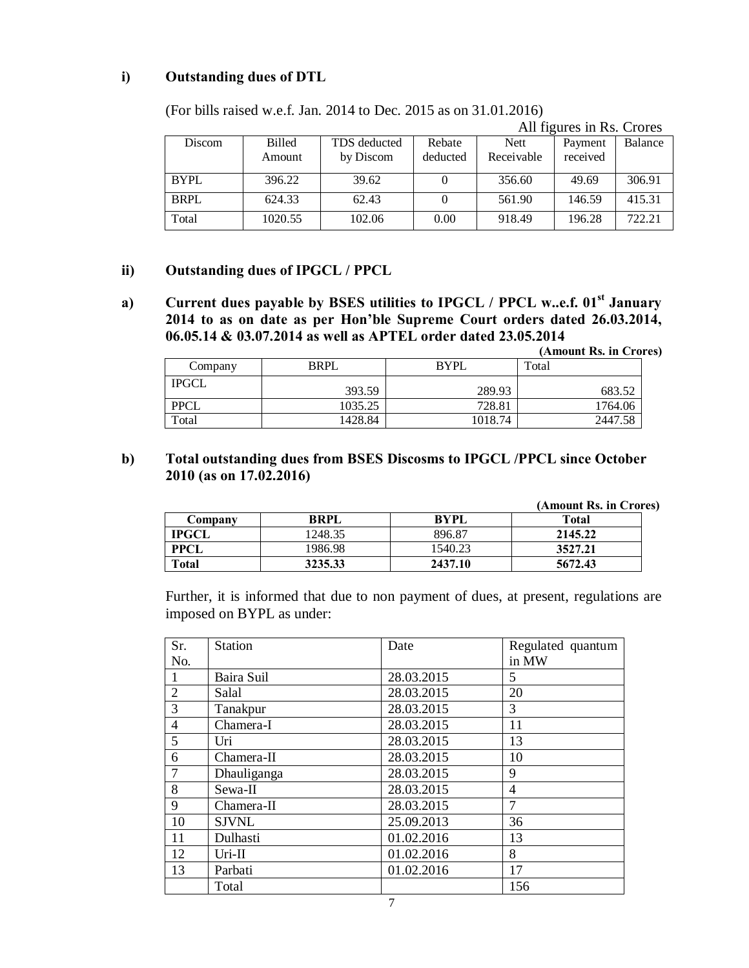## **i) Outstanding dues of DTL**

(For bills raised w.e.f. Jan. 2014 to Dec. 2015 as on 31.01.2016)

|             |               |              |          |            | All figures in Rs. Crores |         |
|-------------|---------------|--------------|----------|------------|---------------------------|---------|
| Discom      | <b>Billed</b> | TDS deducted | Rebate   | Nett       | Payment                   | Balance |
|             | Amount        | by Discom    | deducted | Receivable | received                  |         |
| <b>BYPL</b> | 396.22        | 39.62        |          | 356.60     | 49.69                     | 306.91  |
| <b>BRPL</b> | 624.33        | 62.43        |          | 561.90     | 146.59                    | 415.31  |
| Total       | 1020.55       | 102.06       | 0.00     | 918.49     | 196.28                    | 722.21  |

### **ii) Outstanding dues of IPGCL / PPCL**

**a) Current dues payable by BSES utilities to IPGCL / PPCL w..e.f. 01st January 2014 to as on date as per Hon'ble Supreme Court orders dated 26.03.2014, 06.05.14 & 03.07.2014 as well as APTEL order dated 23.05.2014**

**(Amount Rs. in Crores)**

| Company      | <b>BRPL</b> | <b>BYPL</b> | Total   |
|--------------|-------------|-------------|---------|
| <b>IPGCL</b> | 393.59      | 289.93      | 683.52  |
| <b>PPCL</b>  | 1035.25     | 728.81      | 1764.06 |
| Total        | 1428.84     | 1018.74     | 2447.58 |

## **b) Total outstanding dues from BSES Discosms to IPGCL /PPCL since October 2010 (as on 17.02.2016)**

 **(Amount Rs. in Crores)** 

| Company      | BRPL    | <b>BYPL</b> | Total   |
|--------------|---------|-------------|---------|
| <b>IPGCL</b> | 1248.35 | 896.87      | 2145.22 |
| <b>PPCL</b>  | 1986.98 | 1540.23     | 3527.21 |
| <b>Total</b> | 3235.33 | 2437.10     | 5672.43 |

Further, it is informed that due to non payment of dues, at present, regulations are imposed on BYPL as under:

| Sr.            | <b>Station</b> | Date       | Regulated quantum |
|----------------|----------------|------------|-------------------|
| No.            |                |            | in MW             |
| 1              | Baira Suil     | 28.03.2015 | 5                 |
| $\overline{2}$ | Salal          | 28.03.2015 | 20                |
| 3              | Tanakpur       | 28.03.2015 | 3                 |
| $\overline{4}$ | Chamera-I      | 28.03.2015 | 11                |
| 5              | Uri            | 28.03.2015 | 13                |
| 6              | Chamera-II     | 28.03.2015 | 10                |
| $\overline{7}$ | Dhauliganga    | 28.03.2015 | 9                 |
| 8              | Sewa-II        | 28.03.2015 | 4                 |
| 9              | Chamera-II     | 28.03.2015 | 7                 |
| 10             | <b>SJVNL</b>   | 25.09.2013 | 36                |
| 11             | Dulhasti       | 01.02.2016 | 13                |
| 12             | $Ur$ i-II      | 01.02.2016 | 8                 |
| 13             | Parbati        | 01.02.2016 | 17                |
|                | Total          |            | 156               |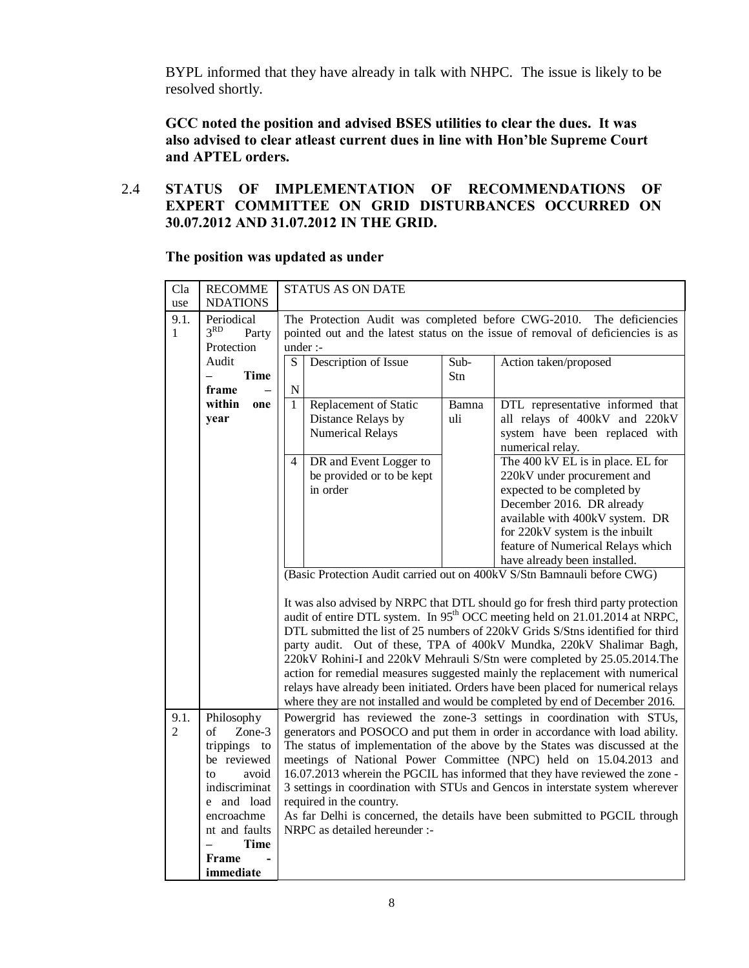BYPL informed that they have already in talk with NHPC. The issue is likely to be resolved shortly.

**GCC noted the position and advised BSES utilities to clear the dues. It was also advised to clear atleast current dues in line with Hon'ble Supreme Court and APTEL orders.**

## 2.4 **STATUS OF IMPLEMENTATION OF RECOMMENDATIONS OF EXPERT COMMITTEE ON GRID DISTURBANCES OCCURRED ON 30.07.2012 AND 31.07.2012 IN THE GRID.**

**The position was updated as under**

| Cla            | <b>RECOMME</b>                          | <b>STATUS AS ON DATE</b>                                                                                  |  |  |  |  |  |  |  |
|----------------|-----------------------------------------|-----------------------------------------------------------------------------------------------------------|--|--|--|--|--|--|--|
| use            | <b>NDATIONS</b>                         |                                                                                                           |  |  |  |  |  |  |  |
| 9.1.           | Periodical<br>3 <sup>RD</sup>           | The Protection Audit was completed before CWG-2010. The deficiencies                                      |  |  |  |  |  |  |  |
| 1              | Party<br>Protection                     | pointed out and the latest status on the issue of removal of deficiencies is as                           |  |  |  |  |  |  |  |
|                | Audit                                   | under :-<br>$\overline{S}$<br>Sub-<br>Description of Issue<br>Action taken/proposed                       |  |  |  |  |  |  |  |
|                | <b>Time</b>                             | Stn                                                                                                       |  |  |  |  |  |  |  |
|                | frame                                   | $\overline{\rm N}$                                                                                        |  |  |  |  |  |  |  |
|                | within<br>one                           | $\overline{1}$<br>Replacement of Static<br>Bamna<br>DTL representative informed that                      |  |  |  |  |  |  |  |
|                | year                                    | all relays of 400kV and 220kV<br>Distance Relays by<br>uli                                                |  |  |  |  |  |  |  |
|                |                                         | <b>Numerical Relays</b><br>system have been replaced with                                                 |  |  |  |  |  |  |  |
|                |                                         | numerical relay.                                                                                          |  |  |  |  |  |  |  |
|                |                                         | The 400 kV EL is in place. EL for<br>DR and Event Logger to<br>$\overline{4}$                             |  |  |  |  |  |  |  |
|                |                                         | be provided or to be kept<br>220kV under procurement and                                                  |  |  |  |  |  |  |  |
|                |                                         | in order<br>expected to be completed by                                                                   |  |  |  |  |  |  |  |
|                |                                         | December 2016. DR already                                                                                 |  |  |  |  |  |  |  |
|                |                                         | available with 400kV system. DR                                                                           |  |  |  |  |  |  |  |
|                |                                         | for 220kV system is the inbuilt                                                                           |  |  |  |  |  |  |  |
|                |                                         | feature of Numerical Relays which                                                                         |  |  |  |  |  |  |  |
|                |                                         | have already been installed.                                                                              |  |  |  |  |  |  |  |
|                |                                         | (Basic Protection Audit carried out on 400kV S/Stn Bamnauli before CWG)                                   |  |  |  |  |  |  |  |
|                |                                         | It was also advised by NRPC that DTL should go for fresh third party protection                           |  |  |  |  |  |  |  |
|                |                                         | audit of entire DTL system. In 95 <sup>th</sup> OCC meeting held on 21.01.2014 at NRPC,                   |  |  |  |  |  |  |  |
|                |                                         | DTL submitted the list of 25 numbers of 220kV Grids S/Stns identified for third                           |  |  |  |  |  |  |  |
|                |                                         | party audit. Out of these, TPA of 400kV Mundka, 220kV Shalimar Bagh,                                      |  |  |  |  |  |  |  |
|                |                                         | 220kV Rohini-I and 220kV Mehrauli S/Stn were completed by 25.05.2014. The                                 |  |  |  |  |  |  |  |
|                |                                         | action for remedial measures suggested mainly the replacement with numerical                              |  |  |  |  |  |  |  |
|                |                                         | relays have already been initiated. Orders have been placed for numerical relays                          |  |  |  |  |  |  |  |
|                |                                         | where they are not installed and would be completed by end of December 2016.                              |  |  |  |  |  |  |  |
| 9.1.           | Philosophy                              | Powergrid has reviewed the zone-3 settings in coordination with STUs,                                     |  |  |  |  |  |  |  |
| $\overline{2}$ | Zone-3<br>of                            | generators and POSOCO and put them in order in accordance with load ability.                              |  |  |  |  |  |  |  |
|                | trippings to                            | The status of implementation of the above by the States was discussed at the                              |  |  |  |  |  |  |  |
|                | be reviewed                             | meetings of National Power Committee (NPC) held on 15.04.2013 and                                         |  |  |  |  |  |  |  |
|                | avoid<br>to                             | 16.07.2013 wherein the PGCIL has informed that they have reviewed the zone -                              |  |  |  |  |  |  |  |
|                | indiscriminat<br>e and load             | 3 settings in coordination with STUs and Gencos in interstate system wherever<br>required in the country. |  |  |  |  |  |  |  |
|                | encroachme                              | As far Delhi is concerned, the details have been submitted to PGCIL through                               |  |  |  |  |  |  |  |
|                | nt and faults                           | NRPC as detailed hereunder :-                                                                             |  |  |  |  |  |  |  |
|                | <b>Time</b><br>$\overline{\phantom{0}}$ |                                                                                                           |  |  |  |  |  |  |  |
|                | <b>Frame</b>                            |                                                                                                           |  |  |  |  |  |  |  |
|                | immediate                               |                                                                                                           |  |  |  |  |  |  |  |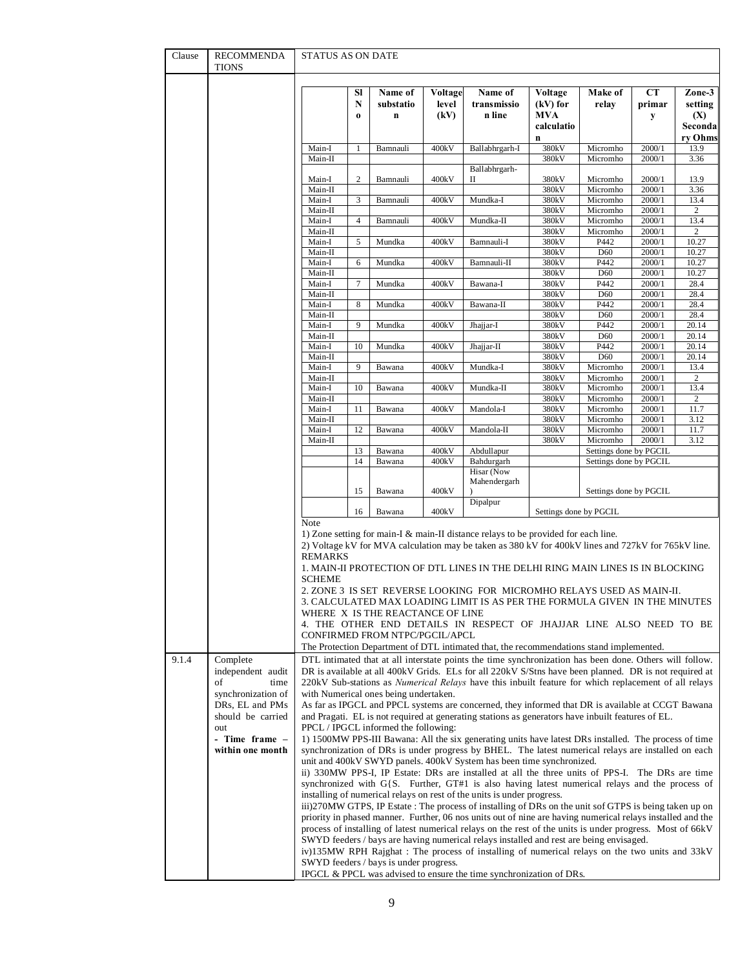| Clause | RECOMMENDA<br>TIONS                | STATUS AS ON DATE        |                     |                                                                    |                          |                                                                                                                                                                                                                                                                                                                                                                                                                                                                                                                                                                                                         |                                                                  |                                    |                   |                                                       |
|--------|------------------------------------|--------------------------|---------------------|--------------------------------------------------------------------|--------------------------|---------------------------------------------------------------------------------------------------------------------------------------------------------------------------------------------------------------------------------------------------------------------------------------------------------------------------------------------------------------------------------------------------------------------------------------------------------------------------------------------------------------------------------------------------------------------------------------------------------|------------------------------------------------------------------|------------------------------------|-------------------|-------------------------------------------------------|
|        |                                    |                          | Sl<br>N<br>$\bf{0}$ | Name of<br>substatio<br>$\mathbf n$                                | Voltage<br>level<br>(kV) | Name of<br>transmissio<br>n line                                                                                                                                                                                                                                                                                                                                                                                                                                                                                                                                                                        | Voltage<br>$(kV)$ for<br><b>MVA</b><br>calculatio<br>$\mathbf n$ | Make of<br>relay                   | CТ<br>primar<br>y | Zone-3<br>setting<br>(X)<br><b>Seconda</b><br>ry Ohms |
|        |                                    | Main-I                   | 1                   | Bamnauli                                                           | 400kV                    | Ballabhrgarh-I                                                                                                                                                                                                                                                                                                                                                                                                                                                                                                                                                                                          | 380kV                                                            | Micromho                           | 2000/1            | 13.9                                                  |
|        |                                    | Main-II                  |                     |                                                                    |                          |                                                                                                                                                                                                                                                                                                                                                                                                                                                                                                                                                                                                         | 380kV                                                            | Micromho                           | 2000/1            | 3.36                                                  |
|        |                                    |                          |                     |                                                                    |                          | Ballabhrgarh-                                                                                                                                                                                                                                                                                                                                                                                                                                                                                                                                                                                           |                                                                  |                                    |                   |                                                       |
|        |                                    | Main-I<br>Main-II        | $\boldsymbol{2}$    | Bamnauli                                                           | 400kV                    | П                                                                                                                                                                                                                                                                                                                                                                                                                                                                                                                                                                                                       | 380kV<br>380kV                                                   | Micromho<br>Micromho               | 2000/1<br>2000/1  | 13.9<br>3.36                                          |
|        |                                    | Main-I                   | $\mathfrak z$       | Bamnauli                                                           | 400kV                    | Mundka-I                                                                                                                                                                                                                                                                                                                                                                                                                                                                                                                                                                                                | 380kV                                                            | Micromho                           | 2000/1            | 13.4                                                  |
|        |                                    | Main-II                  |                     |                                                                    |                          |                                                                                                                                                                                                                                                                                                                                                                                                                                                                                                                                                                                                         | 380kV                                                            | Micromho                           | 2000/1            | $\sqrt{2}$                                            |
|        |                                    | Main-I                   | $\overline{4}$      | Bamnauli                                                           | 400kV                    | Mundka-II                                                                                                                                                                                                                                                                                                                                                                                                                                                                                                                                                                                               | 380kV                                                            | Micromho                           | 2000/1            | 13.4                                                  |
|        |                                    | Main-II<br>Main-I        | 5                   | Mundka                                                             | 400kV                    | Bamnauli-I                                                                                                                                                                                                                                                                                                                                                                                                                                                                                                                                                                                              | 380kV<br>380kV                                                   | Micromho<br>P442                   | 2000/1<br>2000/1  | 2<br>10.27                                            |
|        |                                    | Main-II                  |                     |                                                                    |                          |                                                                                                                                                                                                                                                                                                                                                                                                                                                                                                                                                                                                         | 380kV                                                            | D60                                | 2000/1            | 10.27                                                 |
|        |                                    | Main-I                   | 6                   | Mundka                                                             | 400kV                    | Bamnauli-II                                                                                                                                                                                                                                                                                                                                                                                                                                                                                                                                                                                             | 380kV                                                            | P442                               | 2000/1            | 10.27                                                 |
|        |                                    | Main-II                  |                     |                                                                    |                          |                                                                                                                                                                                                                                                                                                                                                                                                                                                                                                                                                                                                         | 380kV                                                            | D60                                | 2000/1            | 10.27                                                 |
|        |                                    | Main-I                   | $\boldsymbol{7}$    | Mundka                                                             | 400kV                    | Bawana-I                                                                                                                                                                                                                                                                                                                                                                                                                                                                                                                                                                                                | 380kV                                                            | P442                               | 2000/1            | 28.4                                                  |
|        |                                    | Main-II<br>Main-I        | 8                   | Mundka                                                             | 400kV                    | Bawana-II                                                                                                                                                                                                                                                                                                                                                                                                                                                                                                                                                                                               | 380kV<br>380kV                                                   | D <sub>60</sub><br>P442            | 2000/1<br>2000/1  | 28.4<br>28.4                                          |
|        |                                    | Main-II                  |                     |                                                                    |                          |                                                                                                                                                                                                                                                                                                                                                                                                                                                                                                                                                                                                         | 380kV                                                            | D60                                | 2000/1            | 28.4                                                  |
|        |                                    | Main-I                   | 9                   | Mundka                                                             | 400kV                    | Jhajjar-I                                                                                                                                                                                                                                                                                                                                                                                                                                                                                                                                                                                               | 380kV                                                            | P442                               | 2000/1            | 20.14                                                 |
|        |                                    | Main-II                  |                     |                                                                    |                          |                                                                                                                                                                                                                                                                                                                                                                                                                                                                                                                                                                                                         | 380kV                                                            | D60                                | 2000/1            | 20.14                                                 |
|        |                                    | Main-I<br>Main-II        | 10                  | Mundka                                                             | 400kV                    | Jhajjar-II                                                                                                                                                                                                                                                                                                                                                                                                                                                                                                                                                                                              | 380kV<br>380kV                                                   | P442<br>D60                        | 2000/1<br>2000/1  | 20.14<br>20.14                                        |
|        |                                    | Main-I                   | 9                   | Bawana                                                             | 400kV                    | Mundka-I                                                                                                                                                                                                                                                                                                                                                                                                                                                                                                                                                                                                | 380kV                                                            | Micromho                           | 2000/1            | 13.4                                                  |
|        |                                    | Main-II                  |                     |                                                                    |                          |                                                                                                                                                                                                                                                                                                                                                                                                                                                                                                                                                                                                         | 380kV                                                            | Micromho                           | 2000/1            | $\overline{2}$                                        |
|        |                                    | Main-I                   | 10                  | Bawana                                                             | 400kV                    | Mundka-II                                                                                                                                                                                                                                                                                                                                                                                                                                                                                                                                                                                               | 380kV<br>380kV                                                   | Micromho                           | 2000/1            | 13.4                                                  |
|        |                                    | Main-II<br>Main-I        | 11                  | Bawana                                                             | 400kV                    | Mandola-I                                                                                                                                                                                                                                                                                                                                                                                                                                                                                                                                                                                               | 380kV                                                            | Micromho<br>Micromho               | 2000/1<br>2000/1  | 2<br>11.7                                             |
|        |                                    | Main-II                  |                     |                                                                    |                          |                                                                                                                                                                                                                                                                                                                                                                                                                                                                                                                                                                                                         | 380kV                                                            | Micromho                           | 2000/1            | 3.12                                                  |
|        |                                    | Main-I                   | 12                  | Bawana                                                             | 400kV                    | Mandola-II                                                                                                                                                                                                                                                                                                                                                                                                                                                                                                                                                                                              | 380kV                                                            | Micromho                           | 2000/1            | 11.7                                                  |
|        |                                    | Main-II                  |                     |                                                                    |                          |                                                                                                                                                                                                                                                                                                                                                                                                                                                                                                                                                                                                         | 380kV                                                            | Micromho<br>Settings done by PGCIL | 2000/1            | 3.12                                                  |
|        |                                    |                          | 13<br>14            | Bawana<br>Bawana                                                   | 400kV<br>400kV           | Abdullapur<br>Bahdurgarh                                                                                                                                                                                                                                                                                                                                                                                                                                                                                                                                                                                |                                                                  | Settings done by PGCIL             |                   |                                                       |
|        |                                    |                          |                     |                                                                    |                          | Hisar (Now                                                                                                                                                                                                                                                                                                                                                                                                                                                                                                                                                                                              |                                                                  |                                    |                   |                                                       |
|        |                                    |                          | 15                  | Bawana                                                             | 400kV                    | Mahendergarh<br>Dipalpur                                                                                                                                                                                                                                                                                                                                                                                                                                                                                                                                                                                |                                                                  | Settings done by PGCIL             |                   |                                                       |
|        |                                    | Note                     | 16                  | Bawana                                                             | 400kV                    |                                                                                                                                                                                                                                                                                                                                                                                                                                                                                                                                                                                                         | Settings done by PGCIL                                           |                                    |                   |                                                       |
|        |                                    | <b>REMARKS</b><br>SCHEME |                     | WHERE X IS THE REACTANCE OF LINE<br>CONFIRMED FROM NTPC/PGCIL/APCL |                          | 1) Zone setting for main-I $\&$ main-II distance relays to be provided for each line.<br>2) Voltage kV for MVA calculation may be taken as 380 kV for 400kV lines and 727kV for 765kV line.<br>1. MAIN-II PROTECTION OF DTL LINES IN THE DELHI RING MAIN LINES IS IN BLOCKING<br>2. ZONE 3 IS SET REVERSE LOOKING FOR MICROMHO RELAYS USED AS MAIN-II.<br>3. CALCULATED MAX LOADING LIMIT IS AS PER THE FORMULA GIVEN  IN THE MINUTES<br>4. THE OTHER END DETAILS IN RESPECT OF JHAJJAR LINE ALSO NEED TO BE<br>The Protection Department of DTL intimated that, the recommendations stand implemented. |                                                                  |                                    |                   |                                                       |
| 9.1.4  | Complete<br>independent audit      |                          |                     |                                                                    |                          | DTL intimated that at all interstate points the time synchronization has been done. Others will follow.<br>DR is available at all 400kV Grids. ELs for all 220kV S/Stns have been planned. DR is not required at                                                                                                                                                                                                                                                                                                                                                                                        |                                                                  |                                    |                   |                                                       |
|        | of<br>time<br>synchronization of   |                          |                     | with Numerical ones being undertaken.                              |                          | 220kV Sub-stations as <i>Numerical Relays</i> have this inbuilt feature for which replacement of all relays                                                                                                                                                                                                                                                                                                                                                                                                                                                                                             |                                                                  |                                    |                   |                                                       |
|        | DRs, EL and PMs                    |                          |                     |                                                                    |                          | As far as IPGCL and PPCL systems are concerned, they informed that DR is available at CCGT Bawana                                                                                                                                                                                                                                                                                                                                                                                                                                                                                                       |                                                                  |                                    |                   |                                                       |
|        | should be carried                  |                          |                     |                                                                    |                          | and Pragati. EL is not required at generating stations as generators have inbuilt features of EL.                                                                                                                                                                                                                                                                                                                                                                                                                                                                                                       |                                                                  |                                    |                   |                                                       |
|        | out                                |                          |                     | PPCL / IPGCL informed the following:                               |                          |                                                                                                                                                                                                                                                                                                                                                                                                                                                                                                                                                                                                         |                                                                  |                                    |                   |                                                       |
|        | - Time frame –<br>within one month |                          |                     |                                                                    |                          | 1) 1500MW PPS-III Bawana: All the six generating units have latest DRs installed. The process of time<br>synchronization of DRs is under progress by BHEL. The latest numerical relays are installed on each                                                                                                                                                                                                                                                                                                                                                                                            |                                                                  |                                    |                   |                                                       |
|        |                                    |                          |                     |                                                                    |                          | unit and 400kV SWYD panels. 400kV System has been time synchronized.                                                                                                                                                                                                                                                                                                                                                                                                                                                                                                                                    |                                                                  |                                    |                   |                                                       |
|        |                                    |                          |                     |                                                                    |                          | ii) 330MW PPS-I, IP Estate: DRs are installed at all the three units of PPS-I. The DRs are time                                                                                                                                                                                                                                                                                                                                                                                                                                                                                                         |                                                                  |                                    |                   |                                                       |
|        |                                    |                          |                     |                                                                    |                          | synchronized with $G\{S$ . Further, $GT#1$ is also having latest numerical relays and the process of                                                                                                                                                                                                                                                                                                                                                                                                                                                                                                    |                                                                  |                                    |                   |                                                       |
|        |                                    |                          |                     |                                                                    |                          | installing of numerical relays on rest of the units is under progress.                                                                                                                                                                                                                                                                                                                                                                                                                                                                                                                                  |                                                                  |                                    |                   |                                                       |
|        |                                    |                          |                     |                                                                    |                          | iii)270MW GTPS, IP Estate: The process of installing of DRs on the unit sof GTPS is being taken up on<br>priority in phased manner. Further, 06 nos units out of nine are having numerical relays installed and the                                                                                                                                                                                                                                                                                                                                                                                     |                                                                  |                                    |                   |                                                       |
|        |                                    |                          |                     |                                                                    |                          | process of installing of latest numerical relays on the rest of the units is under progress. Most of 66kV                                                                                                                                                                                                                                                                                                                                                                                                                                                                                               |                                                                  |                                    |                   |                                                       |
|        |                                    |                          |                     |                                                                    |                          | SWYD feeders / bays are having numerical relays installed and rest are being envisaged.                                                                                                                                                                                                                                                                                                                                                                                                                                                                                                                 |                                                                  |                                    |                   |                                                       |
|        |                                    |                          |                     | SWYD feeders / bays is under progress.                             |                          | iv)135MW RPH Rajghat: The process of installing of numerical relays on the two units and 33kV                                                                                                                                                                                                                                                                                                                                                                                                                                                                                                           |                                                                  |                                    |                   |                                                       |
|        |                                    |                          |                     |                                                                    |                          | IPGCL & PPCL was advised to ensure the time synchronization of DRs.                                                                                                                                                                                                                                                                                                                                                                                                                                                                                                                                     |                                                                  |                                    |                   |                                                       |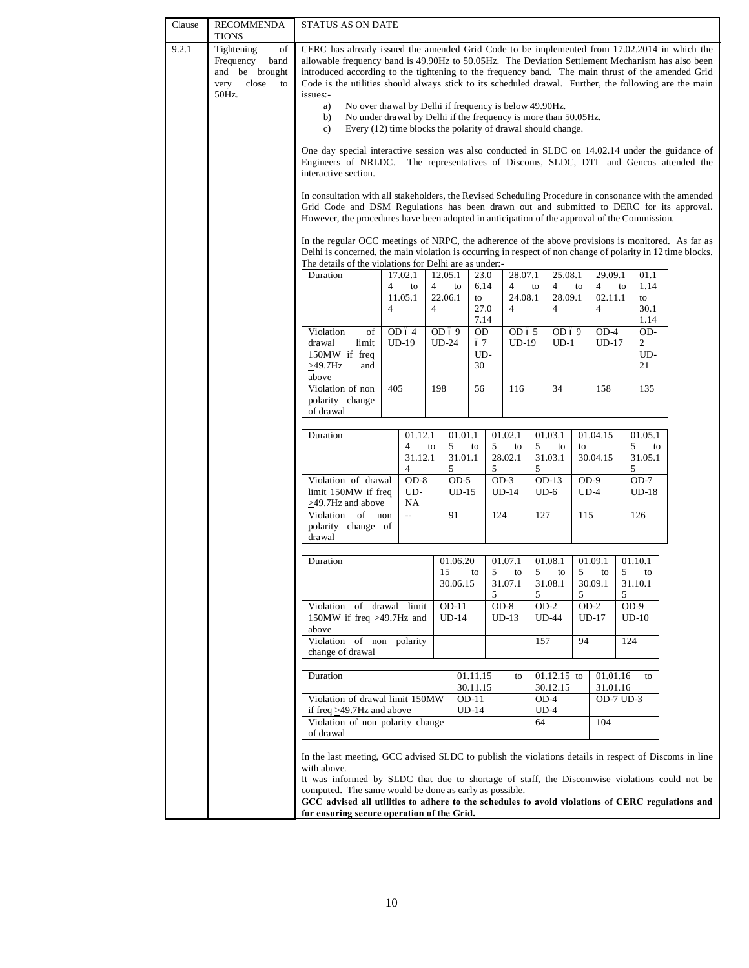| Clause | <b>RECOMMENDA</b><br><b>TIONS</b>                                                       | STATUS AS ON DATE                                                                                                                                                                                                                                                                                                                                                                                                                                                                                                                                                                                                                          |                              |                 |                              |              |                           |                              |                                 |                           |                                    |  |
|--------|-----------------------------------------------------------------------------------------|--------------------------------------------------------------------------------------------------------------------------------------------------------------------------------------------------------------------------------------------------------------------------------------------------------------------------------------------------------------------------------------------------------------------------------------------------------------------------------------------------------------------------------------------------------------------------------------------------------------------------------------------|------------------------------|-----------------|------------------------------|--------------|---------------------------|------------------------------|---------------------------------|---------------------------|------------------------------------|--|
| 9.2.1  | Tightening<br>of<br>Frequency<br>band<br>and be brought<br>close<br>to<br>very<br>50Hz. | CERC has already issued the amended Grid Code to be implemented from 17.02.2014 in which the<br>allowable frequency band is 49.90Hz to 50.05Hz. The Deviation Settlement Mechanism has also been<br>introduced according to the tightening to the frequency band. The main thrust of the amended Grid<br>Code is the utilities should always stick to its scheduled drawal. Further, the following are the main<br>issues:-<br>No over drawal by Delhi if frequency is below 49.90Hz.<br>a)<br>No under drawal by Delhi if the frequency is more than 50.05Hz.<br>b)<br>Every (12) time blocks the polarity of drawal should change.<br>c) |                              |                 |                              |              |                           |                              |                                 |                           |                                    |  |
|        |                                                                                         | One day special interactive session was also conducted in SLDC on 14.02.14 under the guidance of<br>Engineers of NRLDC. The representatives of Discoms, SLDC, DTL and Gencos attended the<br>interactive section.                                                                                                                                                                                                                                                                                                                                                                                                                          |                              |                 |                              |              |                           |                              |                                 |                           |                                    |  |
|        |                                                                                         | In consultation with all stakeholders, the Revised Scheduling Procedure in consonance with the amended<br>Grid Code and DSM Regulations has been drawn out and submitted to DERC for its approval.<br>However, the procedures have been adopted in anticipation of the approval of the Commission.                                                                                                                                                                                                                                                                                                                                         |                              |                 |                              |              |                           |                              |                                 |                           |                                    |  |
|        |                                                                                         | In the regular OCC meetings of NRPC, the adherence of the above provisions is monitored. As far as<br>Delhi is concerned, the main violation is occurring in respect of non change of polarity in 12 time blocks.<br>The details of the violations for Delhi are as under:-                                                                                                                                                                                                                                                                                                                                                                |                              |                 |                              |              |                           |                              |                                 |                           |                                    |  |
|        |                                                                                         | Duration                                                                                                                                                                                                                                                                                                                                                                                                                                                                                                                                                                                                                                   | 17.02.1<br>4<br>to           | 12.05.1<br>4    | to                           | 23.0<br>6.14 | 28.07.1<br>$\overline{4}$ | to                           | 25.08.1<br>$\overline{4}$<br>to | 29.09.1<br>$\overline{4}$ | 01.1<br>1.14<br>to                 |  |
|        |                                                                                         |                                                                                                                                                                                                                                                                                                                                                                                                                                                                                                                                                                                                                                            | 11.05.1                      | 22.06.1         |                              | to           | 24.08.1                   |                              | 28.09.1                         | 02.11.1                   | to                                 |  |
|        |                                                                                         |                                                                                                                                                                                                                                                                                                                                                                                                                                                                                                                                                                                                                                            | $\overline{4}$               | $\overline{4}$  |                              | 27.0<br>7.14 | $\overline{4}$            |                              | $\overline{4}$                  | $\overline{4}$            | 30.1<br>1.14                       |  |
|        |                                                                                         | Violation<br>of<br>drawal<br>limit                                                                                                                                                                                                                                                                                                                                                                                                                                                                                                                                                                                                         | OD 64<br>$UD-19$             | OD69<br>$UD-24$ |                              | 0D<br>ó 7    | OD 6 5<br>UD-19           |                              | OD69<br>$UD-1$                  | $OD-4$<br>$UD-17$         | OD-<br>2                           |  |
|        |                                                                                         | 150MW if freq                                                                                                                                                                                                                                                                                                                                                                                                                                                                                                                                                                                                                              |                              |                 |                              | UD-          |                           |                              |                                 |                           | UD-                                |  |
|        |                                                                                         | $\geq$ 49.7Hz<br>and<br>above                                                                                                                                                                                                                                                                                                                                                                                                                                                                                                                                                                                                              |                              |                 |                              | 30           |                           |                              |                                 |                           | 21                                 |  |
|        |                                                                                         | Violation of non<br>polarity change<br>of drawal                                                                                                                                                                                                                                                                                                                                                                                                                                                                                                                                                                                           | 405                          | 198             |                              | 56           | 116                       |                              | 34                              | 158                       | 135                                |  |
|        |                                                                                         | Duration                                                                                                                                                                                                                                                                                                                                                                                                                                                                                                                                                                                                                                   | 01.12.1<br>4<br>31.12.1<br>4 | to              | 01.01.1<br>5<br>31.01.1<br>5 | 5<br>to<br>5 | 01.02.1<br>to<br>28.02.1  | 01.03.1<br>5<br>31.03.1<br>5 | to<br>to                        | 01.04.15<br>30.04.15      | 01.05.1<br>5<br>to<br>31.05.1<br>5 |  |
|        |                                                                                         | Violation of drawal<br>limit 150MW if freq<br>>49.7Hz and above                                                                                                                                                                                                                                                                                                                                                                                                                                                                                                                                                                            | $OD-8$<br>UD-<br>NA          |                 | $OD-5$<br>$UD-15$            |              | $OD-3$<br>$UD-14$         | $OD-13$<br>$UD-6$            |                                 | $OD-9$<br>$UD-4$          | $OD-7$<br>$UD-18$                  |  |
|        |                                                                                         | Violation of non<br>polarity change of<br>drawal                                                                                                                                                                                                                                                                                                                                                                                                                                                                                                                                                                                           | $\sim$                       |                 | 91                           |              | 124                       | 127                          | 115                             |                           | 126                                |  |
|        |                                                                                         | Duration                                                                                                                                                                                                                                                                                                                                                                                                                                                                                                                                                                                                                                   |                              |                 | 01.06.20                     |              | 01.07.1                   | 01.08.1                      |                                 | 01.09.1                   | 01.10.1                            |  |
|        |                                                                                         |                                                                                                                                                                                                                                                                                                                                                                                                                                                                                                                                                                                                                                            |                              | 15              | 30.06.15                     | 5<br>to<br>5 | to<br>31.07.1             | 5<br>31.08.1<br>5            | 5<br>to<br>5                    | to<br>30.09.1             | 5<br>to<br>31.10.1<br>5            |  |
|        |                                                                                         | Violation of drawal limit<br>150MW if freq $\geq$ 49.7Hz and<br>above                                                                                                                                                                                                                                                                                                                                                                                                                                                                                                                                                                      |                              |                 | $OD-11$<br>$UD-14$           |              | OD-8<br>$UD-13$           | $OD-2$<br><b>UD-44</b>       |                                 | $OD-2$<br>$UD-17$         | $OD-9$<br>$UD-10$                  |  |
|        |                                                                                         | Violation of non polarity<br>157<br>94<br>124<br>change of drawal                                                                                                                                                                                                                                                                                                                                                                                                                                                                                                                                                                          |                              |                 |                              |              |                           |                              |                                 |                           |                                    |  |
|        |                                                                                         | 01.11.15<br>01.12.15 to<br>01.01.16<br>Duration<br>to<br>to<br>30.11.15<br>30.12.15<br>31.01.16                                                                                                                                                                                                                                                                                                                                                                                                                                                                                                                                            |                              |                 |                              |              |                           |                              |                                 |                           |                                    |  |
|        |                                                                                         | Violation of drawal limit 150MW<br>$OD-11$<br>$OD-4$<br>OD-7 UD-3<br>if freq $\geq$ 49.7Hz and above<br>$UD-14$<br>$UD-4$                                                                                                                                                                                                                                                                                                                                                                                                                                                                                                                  |                              |                 |                              |              |                           |                              |                                 |                           |                                    |  |
|        |                                                                                         | Violation of non polarity change<br>of drawal                                                                                                                                                                                                                                                                                                                                                                                                                                                                                                                                                                                              |                              |                 |                              |              |                           | 64                           |                                 | 104                       |                                    |  |
|        |                                                                                         | In the last meeting, GCC advised SLDC to publish the violations details in respect of Discoms in line<br>with above.                                                                                                                                                                                                                                                                                                                                                                                                                                                                                                                       |                              |                 |                              |              |                           |                              |                                 |                           |                                    |  |
|        |                                                                                         | It was informed by SLDC that due to shortage of staff, the Discomwise violations could not be<br>computed. The same would be done as early as possible.                                                                                                                                                                                                                                                                                                                                                                                                                                                                                    |                              |                 |                              |              |                           |                              |                                 |                           |                                    |  |
|        |                                                                                         | GCC advised all utilities to adhere to the schedules to avoid violations of CERC regulations and<br>for ensuring secure operation of the Grid.                                                                                                                                                                                                                                                                                                                                                                                                                                                                                             |                              |                 |                              |              |                           |                              |                                 |                           |                                    |  |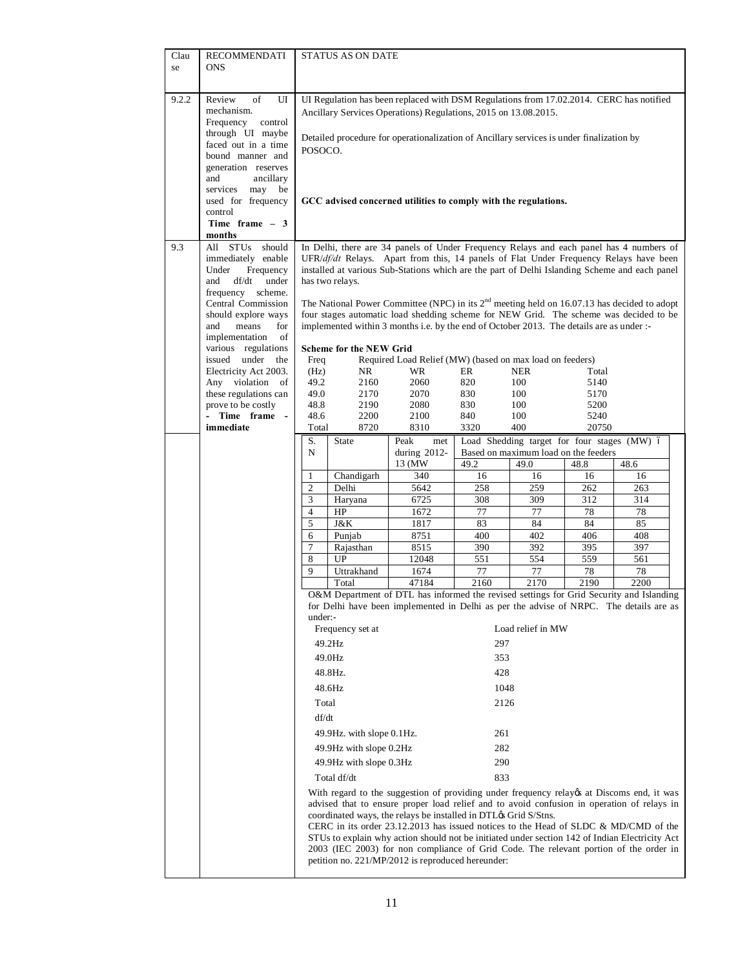| Clau  | <b>RECOMMENDATI</b>                         |                     | STATUS AS ON DATE              |                                                                                                                                                            |            |                                             |              |                                                                                                |
|-------|---------------------------------------------|---------------------|--------------------------------|------------------------------------------------------------------------------------------------------------------------------------------------------------|------------|---------------------------------------------|--------------|------------------------------------------------------------------------------------------------|
| se    | <b>ONS</b>                                  |                     |                                |                                                                                                                                                            |            |                                             |              |                                                                                                |
|       |                                             |                     |                                |                                                                                                                                                            |            |                                             |              |                                                                                                |
| 9.2.2 | Review<br>of<br>UI<br>mechanism.            |                     |                                | UI Regulation has been replaced with DSM Regulations from 17.02.2014. CERC has notified<br>Ancillary Services Operations) Regulations, 2015 on 13.08.2015. |            |                                             |              |                                                                                                |
|       | Frequency<br>control                        |                     |                                |                                                                                                                                                            |            |                                             |              |                                                                                                |
|       | through UI maybe                            |                     |                                | Detailed procedure for operationalization of Ancillary services is under finalization by                                                                   |            |                                             |              |                                                                                                |
|       | faced out in a time<br>bound manner and     | POSOCO.             |                                |                                                                                                                                                            |            |                                             |              |                                                                                                |
|       | generation reserves                         |                     |                                |                                                                                                                                                            |            |                                             |              |                                                                                                |
|       | and<br>ancillary                            |                     |                                |                                                                                                                                                            |            |                                             |              |                                                                                                |
|       | services<br>may<br>be<br>used for frequency |                     |                                | GCC advised concerned utilities to comply with the regulations.                                                                                            |            |                                             |              |                                                                                                |
|       | control                                     |                     |                                |                                                                                                                                                            |            |                                             |              |                                                                                                |
|       | Time frame $-3$                             |                     |                                |                                                                                                                                                            |            |                                             |              |                                                                                                |
| 9.3   | months<br>should<br>All STUs                |                     |                                |                                                                                                                                                            |            |                                             |              | In Delhi, there are 34 panels of Under Frequency Relays and each panel has 4 numbers of        |
|       | immediately enable                          |                     |                                |                                                                                                                                                            |            |                                             |              | $UFR/df/dt$ Relays. Apart from this, 14 panels of Flat Under Frequency Relays have been        |
|       | Under<br>Frequency<br>and<br>df/dt          |                     |                                | installed at various Sub-Stations which are the part of Delhi Islanding Scheme and each panel                                                              |            |                                             |              |                                                                                                |
|       | under<br>frequency scheme.                  |                     | has two relays.                |                                                                                                                                                            |            |                                             |              |                                                                                                |
|       | Central Commission                          |                     |                                | The National Power Committee (NPC) in its $2nd$ meeting held on 16.07.13 has decided to adopt                                                              |            |                                             |              |                                                                                                |
|       | should explore ways<br>means<br>and         |                     |                                |                                                                                                                                                            |            |                                             |              | four stages automatic load shedding scheme for NEW Grid. The scheme was decided to be          |
|       | for<br>implementation<br>of                 |                     |                                | implemented within 3 months i.e. by the end of October 2013. The details are as under :-                                                                   |            |                                             |              |                                                                                                |
|       | various regulations                         |                     | <b>Scheme for the NEW Grid</b> |                                                                                                                                                            |            |                                             |              |                                                                                                |
|       | issued under the<br>Electricity Act 2003.   | Freq<br>(Hz)        | NR                             | Required Load Relief (MW) (based on max load on feeders)<br>WR.                                                                                            | ER         | <b>NER</b>                                  | Total        |                                                                                                |
|       | Any violation of                            | 49.2                | 2160                           | 2060                                                                                                                                                       | 820        | 100                                         | 5140         |                                                                                                |
|       | these regulations can                       | 49.0                | 2170                           | 2070                                                                                                                                                       | 830        | 100                                         | 5170         |                                                                                                |
|       | prove to be costly<br>- Time frame -        | 48.8<br>48.6        | 2190<br>2200                   | 2080<br>2100                                                                                                                                               | 830<br>840 | 100<br>100                                  | 5200<br>5240 |                                                                                                |
|       | immediate                                   | Total               | 8720                           | 8310                                                                                                                                                       | 3320       | 400                                         | 20750        |                                                                                                |
|       |                                             | S.                  | <b>State</b>                   | Peak<br>met                                                                                                                                                |            | Load Shedding target for four stages (MW) ó |              |                                                                                                |
|       |                                             | N                   |                                | during 2012-                                                                                                                                               |            | Based on maximum load on the feeders        |              |                                                                                                |
|       |                                             | 1                   | Chandigarh                     | 13 (MW)<br>340                                                                                                                                             | 49.2<br>16 | 49.0<br>16                                  | 48.8<br>16   | 48.6<br>16                                                                                     |
|       |                                             | $\overline{c}$      | Delhi                          | 5642                                                                                                                                                       | 258        | 259                                         | 262          | 263                                                                                            |
|       |                                             | 3                   | Haryana                        | 6725                                                                                                                                                       | 308        | 309                                         | 312          | 314                                                                                            |
|       |                                             | $\overline{4}$<br>5 | HP<br>J&K                      | 1672<br>1817                                                                                                                                               | 77<br>83   | 77<br>84                                    | 78<br>84     | 78<br>85                                                                                       |
|       |                                             | 6                   | Punjab                         | 8751                                                                                                                                                       | 400        | 402                                         | 406          | 408                                                                                            |
|       |                                             | $\overline{7}$      | Rajasthan                      | 8515                                                                                                                                                       | 390        | 392                                         | 395          | 397                                                                                            |
|       |                                             | 8                   | UP                             | 12048                                                                                                                                                      | 551        | 554                                         | 559          | 561                                                                                            |
|       |                                             | 9                   | Uttrakhand<br>Total            | 1674<br>47184                                                                                                                                              | 77<br>2160 | 77<br>2170                                  | 78<br>2190   | 78<br>2200                                                                                     |
|       |                                             |                     |                                |                                                                                                                                                            |            |                                             |              | O&M Department of DTL has informed the revised settings for Grid Security and Islanding        |
|       |                                             | under:-             |                                |                                                                                                                                                            |            |                                             |              | for Delhi have been implemented in Delhi as per the advise of NRPC. The details are as         |
|       |                                             |                     | Frequency set at               |                                                                                                                                                            |            | Load relief in MW                           |              |                                                                                                |
|       |                                             |                     | 49.2Hz                         |                                                                                                                                                            | 297        |                                             |              |                                                                                                |
|       |                                             |                     | 49.0Hz                         |                                                                                                                                                            | 353        |                                             |              |                                                                                                |
|       |                                             |                     | 48.8Hz.                        |                                                                                                                                                            | 428        |                                             |              |                                                                                                |
|       |                                             |                     | 48.6Hz                         |                                                                                                                                                            | 1048       |                                             |              |                                                                                                |
|       |                                             | Total               |                                |                                                                                                                                                            | 2126       |                                             |              |                                                                                                |
|       |                                             | df/dt               |                                |                                                                                                                                                            |            |                                             |              |                                                                                                |
|       |                                             |                     | 49.9Hz. with slope 0.1Hz.      |                                                                                                                                                            | 261        |                                             |              |                                                                                                |
|       |                                             |                     | 282<br>49.9Hz with slope 0.2Hz |                                                                                                                                                            |            |                                             |              |                                                                                                |
|       |                                             |                     | 49.9Hz with slope 0.3Hz        |                                                                                                                                                            | 290        |                                             |              |                                                                                                |
|       |                                             |                     | Total df/dt                    |                                                                                                                                                            | 833        |                                             |              |                                                                                                |
|       |                                             |                     |                                |                                                                                                                                                            |            |                                             |              | With regard to the suggestion of providing under frequency relayes at Discoms end, it was      |
|       |                                             |                     |                                | coordinated ways, the relays be installed in DTL $\alpha$ S Grid S/Stns.                                                                                   |            |                                             |              | advised that to ensure proper load relief and to avoid confusion in operation of relays in     |
|       |                                             |                     |                                |                                                                                                                                                            |            |                                             |              | CERC in its order $23.12.2013$ has issued notices to the Head of SLDC & MD/CMD of the          |
|       |                                             |                     |                                |                                                                                                                                                            |            |                                             |              | STUs to explain why action should not be initiated under section 142 of Indian Electricity Act |
|       |                                             |                     |                                | petition no. 221/MP/2012 is reproduced hereunder:                                                                                                          |            |                                             |              | 2003 (IEC 2003) for non compliance of Grid Code. The relevant portion of the order in          |
|       |                                             |                     |                                |                                                                                                                                                            |            |                                             |              |                                                                                                |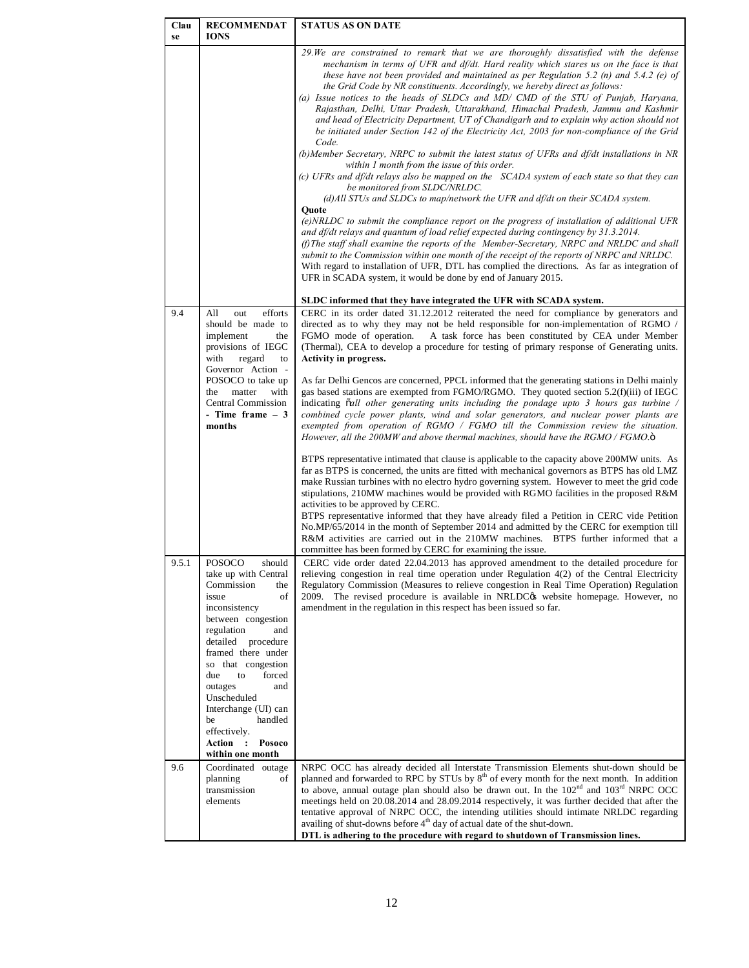| Clau<br>se | <b>RECOMMENDAT</b><br><b>IONS</b>                                                                                                                                                                                                                                                                                                                                     | <b>STATUS AS ON DATE</b>                                                                                                                                                                                                                                                                                                                                                                                                                                                                                                                                                                                                                                                                                                                                                                                                                                                                                                                                                                                                                                                                                                                                                                                                                                                                                                                                                                                       |
|------------|-----------------------------------------------------------------------------------------------------------------------------------------------------------------------------------------------------------------------------------------------------------------------------------------------------------------------------------------------------------------------|----------------------------------------------------------------------------------------------------------------------------------------------------------------------------------------------------------------------------------------------------------------------------------------------------------------------------------------------------------------------------------------------------------------------------------------------------------------------------------------------------------------------------------------------------------------------------------------------------------------------------------------------------------------------------------------------------------------------------------------------------------------------------------------------------------------------------------------------------------------------------------------------------------------------------------------------------------------------------------------------------------------------------------------------------------------------------------------------------------------------------------------------------------------------------------------------------------------------------------------------------------------------------------------------------------------------------------------------------------------------------------------------------------------|
|            |                                                                                                                                                                                                                                                                                                                                                                       | 29. We are constrained to remark that we are thoroughly dissatisfied with the defense<br>mechanism in terms of UFR and df/dt. Hard reality which stares us on the face is that<br>these have not been provided and maintained as per Regulation 5.2 (n) and 5.4.2 (e) of<br>the Grid Code by NR constituents. Accordingly, we hereby direct as follows:<br>(a) Issue notices to the heads of SLDCs and MD/ CMD of the STU of Punjab, Harvana,<br>Rajasthan, Delhi, Uttar Pradesh, Uttarakhand, Himachal Pradesh, Jammu and Kashmir<br>and head of Electricity Department, UT of Chandigarh and to explain why action should not<br>be initiated under Section 142 of the Electricity Act, 2003 for non-compliance of the Grid<br>Code.<br>(b) Member Secretary, NRPC to submit the latest status of UFRs and $df/dt$ installations in NR<br>within 1 month from the issue of this order.<br>(c) UFRs and df/dt relays also be mapped on the SCADA system of each state so that they can<br>be monitored from SLDC/NRLDC.<br>$(d)$ All STUs and SLDCs to map/network the UFR and $df/dt$ on their SCADA system.<br>Ouote<br>$(e)$ NRLDC to submit the compliance report on the progress of installation of additional UFR<br>and df/dt relays and quantum of load relief expected during contingency by 31.3.2014.<br>(f) The staff shall examine the reports of the Member-Secretary, NRPC and NRLDC and shall |
|            |                                                                                                                                                                                                                                                                                                                                                                       | submit to the Commission within one month of the receipt of the reports of NRPC and NRLDC.<br>With regard to installation of UFR, DTL has complied the directions. As far as integration of<br>UFR in SCADA system, it would be done by end of January 2015.                                                                                                                                                                                                                                                                                                                                                                                                                                                                                                                                                                                                                                                                                                                                                                                                                                                                                                                                                                                                                                                                                                                                                   |
|            |                                                                                                                                                                                                                                                                                                                                                                       | SLDC informed that they have integrated the UFR with SCADA system.                                                                                                                                                                                                                                                                                                                                                                                                                                                                                                                                                                                                                                                                                                                                                                                                                                                                                                                                                                                                                                                                                                                                                                                                                                                                                                                                             |
| 9.4        | efforts<br>All<br>out<br>should be made to<br>implement<br>the<br>provisions of IEGC<br>regard<br>with<br>to<br>Governor Action -<br>POSOCO to take up<br>matter<br>with<br>the                                                                                                                                                                                       | CERC in its order dated 31.12.2012 reiterated the need for compliance by generators and<br>directed as to why they may not be held responsible for non-implementation of RGMO /<br>FGMO mode of operation.<br>A task force has been constituted by CEA under Member<br>(Thermal), CEA to develop a procedure for testing of primary response of Generating units.<br><b>Activity in progress.</b><br>As far Delhi Gencos are concerned, PPCL informed that the generating stations in Delhi mainly<br>gas based stations are exempted from FGMO/RGMO. They quoted section 5.2(f)(iii) of IEGC                                                                                                                                                                                                                                                                                                                                                                                                                                                                                                                                                                                                                                                                                                                                                                                                                  |
|            | <b>Central Commission</b><br>- Time frame $-3$<br>months                                                                                                                                                                                                                                                                                                              | indicating $\delta$ <i>all other generating units including the pondage upto 3 hours gas turbine /</i><br>combined cycle power plants, wind and solar generators, and nuclear power plants are<br>exempted from operation of RGMO / FGMO till the Commission review the situation.<br>However, all the 200MW and above thermal machines, should have the RGMO / FGMO. $\ddot{o}$<br>BTPS representative intimated that clause is applicable to the capacity above 200MW units. As<br>far as BTPS is concerned, the units are fitted with mechanical governors as BTPS has old LMZ<br>make Russian turbines with no electro hydro governing system. However to meet the grid code<br>stipulations, 210MW machines would be provided with RGMO facilities in the proposed R&M<br>activities to be approved by CERC.<br>BTPS representative informed that they have already filed a Petition in CERC vide Petition<br>No.MP/65/2014 in the month of September 2014 and admitted by the CERC for exemption till<br>R&M activities are carried out in the 210MW machines. BTPS further informed that a<br>committee has been formed by CERC for examining the issue.                                                                                                                                                                                                                                                |
| 9.5.1      | POSOCO<br>should<br>take up with Central<br>Commission<br>the<br>issue<br>of<br>inconsistency<br>between congestion<br>regulation<br>and<br>detailed procedure<br>framed there under<br>so that congestion<br>due<br>to<br>forced<br>outages<br>and<br>Unscheduled<br>Interchange (UI) can<br>handled<br>be<br>effectively.<br>Action :<br>Posoco<br>within one month | CERC vide order dated 22.04.2013 has approved amendment to the detailed procedure for<br>relieving congestion in real time operation under Regulation 4(2) of the Central Electricity<br>Regulatory Commission (Measures to relieve congestion in Real Time Operation) Regulation<br>2009. The revised procedure is available in NRLDC <sub>OS</sub> website homepage. However, no<br>amendment in the regulation in this respect has been issued so far.                                                                                                                                                                                                                                                                                                                                                                                                                                                                                                                                                                                                                                                                                                                                                                                                                                                                                                                                                      |
| 9.6        | Coordinated outage<br>planning<br>οf<br>transmission<br>elements                                                                                                                                                                                                                                                                                                      | NRPC OCC has already decided all Interstate Transmission Elements shut-down should be<br>planned and forwarded to RPC by STUs by 8 <sup>th</sup> of every month for the next month. In addition<br>to above, annual outage plan should also be drawn out. In the $102nd$ and $103rd$ NRPC OCC<br>meetings held on 20.08.2014 and 28.09.2014 respectively, it was further decided that after the<br>tentative approval of NRPC OCC, the intending utilities should intimate NRLDC regarding<br>availing of shut-downs before 4 <sup>th</sup> day of actual date of the shut-down.<br>DTL is adhering to the procedure with regard to shutdown of Transmission lines.                                                                                                                                                                                                                                                                                                                                                                                                                                                                                                                                                                                                                                                                                                                                            |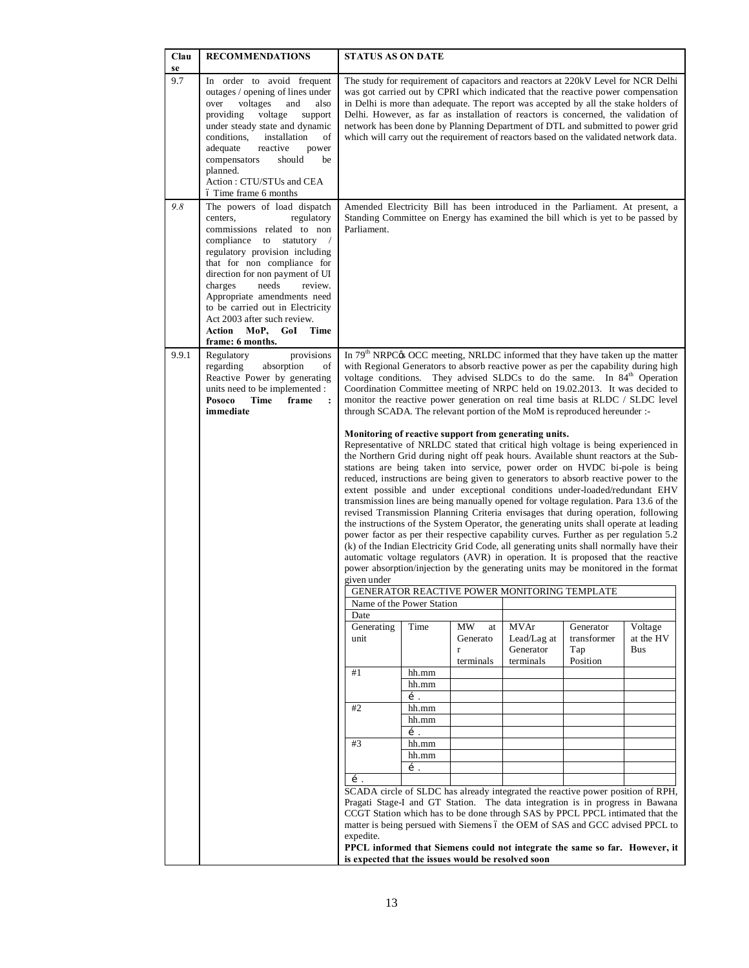| Clau<br>se | <b>RECOMMENDATIONS</b>                                                                                                                                                                                                                                                                                                                                                                                                    | <b>STATUS AS ON DATE</b>                                                                                                                                                                                                                                                                                                                                                                                                                                                                                                          |                                                                                                                                                                                                                                                                                                                                                                                                                                     |  |                                                                                                       |                                                                                                                                                                                                                                                                                                                                                                                                                                                                                                                                                                                                                                                                                                                                                                                                                                                                                                                                                                                                                                                                     |  |  |
|------------|---------------------------------------------------------------------------------------------------------------------------------------------------------------------------------------------------------------------------------------------------------------------------------------------------------------------------------------------------------------------------------------------------------------------------|-----------------------------------------------------------------------------------------------------------------------------------------------------------------------------------------------------------------------------------------------------------------------------------------------------------------------------------------------------------------------------------------------------------------------------------------------------------------------------------------------------------------------------------|-------------------------------------------------------------------------------------------------------------------------------------------------------------------------------------------------------------------------------------------------------------------------------------------------------------------------------------------------------------------------------------------------------------------------------------|--|-------------------------------------------------------------------------------------------------------|---------------------------------------------------------------------------------------------------------------------------------------------------------------------------------------------------------------------------------------------------------------------------------------------------------------------------------------------------------------------------------------------------------------------------------------------------------------------------------------------------------------------------------------------------------------------------------------------------------------------------------------------------------------------------------------------------------------------------------------------------------------------------------------------------------------------------------------------------------------------------------------------------------------------------------------------------------------------------------------------------------------------------------------------------------------------|--|--|
| 9.7        | In order to avoid frequent<br>outages / opening of lines under<br>voltages<br>over<br>and<br>also<br>providing<br>voltage<br>support<br>under steady state and dynamic<br>conditions.<br>installation<br>of<br>adequate<br>reactive<br>power<br>compensators<br>should<br>be<br>planned.<br>Action: CTU/STUs and CEA<br>ó Time frame 6 months                                                                             | The study for requirement of capacitors and reactors at 220kV Level for NCR Delhi<br>was got carried out by CPRI which indicated that the reactive power compensation<br>in Delhi is more than adequate. The report was accepted by all the stake holders of<br>Delhi. However, as far as installation of reactors is concerned, the validation of<br>network has been done by Planning Department of DTL and submitted to power grid<br>which will carry out the requirement of reactors based on the validated network data.    |                                                                                                                                                                                                                                                                                                                                                                                                                                     |  |                                                                                                       |                                                                                                                                                                                                                                                                                                                                                                                                                                                                                                                                                                                                                                                                                                                                                                                                                                                                                                                                                                                                                                                                     |  |  |
| 9.8        | The powers of load dispatch<br>centers,<br>regulatory<br>commissions related to non<br>compliance<br>to<br>statutory<br>$\sqrt{2}$<br>regulatory provision including<br>that for non compliance for<br>direction for non payment of UI<br>charges<br>needs<br>review.<br>Appropriate amendments need<br>to be carried out in Electricity<br>Act 2003 after such review.<br>Action MoP,<br>GoI<br>Time<br>frame: 6 months. | Amended Electricity Bill has been introduced in the Parliament. At present, a<br>Standing Committee on Energy has examined the bill which is yet to be passed by<br>Parliament.                                                                                                                                                                                                                                                                                                                                                   |                                                                                                                                                                                                                                                                                                                                                                                                                                     |  |                                                                                                       |                                                                                                                                                                                                                                                                                                                                                                                                                                                                                                                                                                                                                                                                                                                                                                                                                                                                                                                                                                                                                                                                     |  |  |
| 9.9.1      | Regulatory<br>provisions<br>regarding<br>absorption<br>of<br>Reactive Power by generating<br>units need to be implemented :<br>Posoco<br>Time<br>frame<br>$\ddot{\cdot}$<br>immediate                                                                                                                                                                                                                                     | In 79 <sup>th</sup> NRPC <sub>®</sub> OCC meeting, NRLDC informed that they have taken up the matter<br>with Regional Generators to absorb reactive power as per the capability during high<br>voltage conditions. They advised SLDCs to do the same. In 84 <sup>th</sup> Operation<br>Coordination Committee meeting of NRPC held on 19.02.2013. It was decided to<br>monitor the reactive power generation on real time basis at RLDC / SLDC level<br>through SCADA. The relevant portion of the MoM is reproduced hereunder :- |                                                                                                                                                                                                                                                                                                                                                                                                                                     |  |                                                                                                       |                                                                                                                                                                                                                                                                                                                                                                                                                                                                                                                                                                                                                                                                                                                                                                                                                                                                                                                                                                                                                                                                     |  |  |
|            |                                                                                                                                                                                                                                                                                                                                                                                                                           | given under                                                                                                                                                                                                                                                                                                                                                                                                                                                                                                                       |                                                                                                                                                                                                                                                                                                                                                                                                                                     |  | Monitoring of reactive support from generating units.<br>GENERATOR REACTIVE POWER MONITORING TEMPLATE | Representative of NRLDC stated that critical high voltage is being experienced in<br>the Northern Grid during night off peak hours. Available shunt reactors at the Sub-<br>stations are being taken into service, power order on HVDC bi-pole is being<br>reduced, instructions are being given to generators to absorb reactive power to the<br>extent possible and under exceptional conditions under-loaded/redundant EHV<br>transmission lines are being manually opened for voltage regulation. Para 13.6 of the<br>revised Transmission Planning Criteria envisages that during operation, following<br>the instructions of the System Operator, the generating units shall operate at leading<br>power factor as per their respective capability curves. Further as per regulation 5.2<br>(k) of the Indian Electricity Grid Code, all generating units shall normally have their<br>automatic voltage regulators (AVR) in operation. It is proposed that the reactive<br>power absorption/injection by the generating units may be monitored in the format |  |  |
|            |                                                                                                                                                                                                                                                                                                                                                                                                                           | Name of the Power Station                                                                                                                                                                                                                                                                                                                                                                                                                                                                                                         |                                                                                                                                                                                                                                                                                                                                                                                                                                     |  |                                                                                                       |                                                                                                                                                                                                                                                                                                                                                                                                                                                                                                                                                                                                                                                                                                                                                                                                                                                                                                                                                                                                                                                                     |  |  |
|            |                                                                                                                                                                                                                                                                                                                                                                                                                           | Date<br>Generating<br>Voltage<br>Time<br>MW<br>MVAr<br>Generator<br>at<br>at the HV<br>Generato<br>Lead/Lag at<br>transformer<br>unit<br>Generator<br><b>Bus</b><br>$\mathbf{r}$<br>Tap<br>terminals<br>Position<br>terminals<br>#1<br>hh.mm                                                                                                                                                                                                                                                                                      |                                                                                                                                                                                                                                                                                                                                                                                                                                     |  |                                                                                                       |                                                                                                                                                                                                                                                                                                                                                                                                                                                                                                                                                                                                                                                                                                                                                                                                                                                                                                                                                                                                                                                                     |  |  |
|            |                                                                                                                                                                                                                                                                                                                                                                                                                           |                                                                                                                                                                                                                                                                                                                                                                                                                                                                                                                                   | hh.mm<br>í.                                                                                                                                                                                                                                                                                                                                                                                                                         |  |                                                                                                       |                                                                                                                                                                                                                                                                                                                                                                                                                                                                                                                                                                                                                                                                                                                                                                                                                                                                                                                                                                                                                                                                     |  |  |
|            |                                                                                                                                                                                                                                                                                                                                                                                                                           | #2                                                                                                                                                                                                                                                                                                                                                                                                                                                                                                                                | hh.mm                                                                                                                                                                                                                                                                                                                                                                                                                               |  |                                                                                                       |                                                                                                                                                                                                                                                                                                                                                                                                                                                                                                                                                                                                                                                                                                                                                                                                                                                                                                                                                                                                                                                                     |  |  |
|            |                                                                                                                                                                                                                                                                                                                                                                                                                           |                                                                                                                                                                                                                                                                                                                                                                                                                                                                                                                                   | hh.mm                                                                                                                                                                                                                                                                                                                                                                                                                               |  |                                                                                                       |                                                                                                                                                                                                                                                                                                                                                                                                                                                                                                                                                                                                                                                                                                                                                                                                                                                                                                                                                                                                                                                                     |  |  |
|            |                                                                                                                                                                                                                                                                                                                                                                                                                           | #3                                                                                                                                                                                                                                                                                                                                                                                                                                                                                                                                | í<br>hh.mm                                                                                                                                                                                                                                                                                                                                                                                                                          |  |                                                                                                       |                                                                                                                                                                                                                                                                                                                                                                                                                                                                                                                                                                                                                                                                                                                                                                                                                                                                                                                                                                                                                                                                     |  |  |
|            |                                                                                                                                                                                                                                                                                                                                                                                                                           | hh.mm                                                                                                                                                                                                                                                                                                                                                                                                                                                                                                                             |                                                                                                                                                                                                                                                                                                                                                                                                                                     |  |                                                                                                       |                                                                                                                                                                                                                                                                                                                                                                                                                                                                                                                                                                                                                                                                                                                                                                                                                                                                                                                                                                                                                                                                     |  |  |
|            |                                                                                                                                                                                                                                                                                                                                                                                                                           |                                                                                                                                                                                                                                                                                                                                                                                                                                                                                                                                   | í.                                                                                                                                                                                                                                                                                                                                                                                                                                  |  |                                                                                                       |                                                                                                                                                                                                                                                                                                                                                                                                                                                                                                                                                                                                                                                                                                                                                                                                                                                                                                                                                                                                                                                                     |  |  |
|            |                                                                                                                                                                                                                                                                                                                                                                                                                           | expedite.<br>is expected that the issues would be resolved soon                                                                                                                                                                                                                                                                                                                                                                                                                                                                   | $\mathbf{1}$ .<br>SCADA circle of SLDC has already integrated the reactive power position of RPH,<br>Pragati Stage-I and GT Station. The data integration is in progress in Bawana<br>CCGT Station which has to be done through SAS by PPCL PPCL intimated that the<br>matter is being persued with Siemens 6 the OEM of SAS and GCC advised PPCL to<br>PPCL informed that Siemens could not integrate the same so far. However, it |  |                                                                                                       |                                                                                                                                                                                                                                                                                                                                                                                                                                                                                                                                                                                                                                                                                                                                                                                                                                                                                                                                                                                                                                                                     |  |  |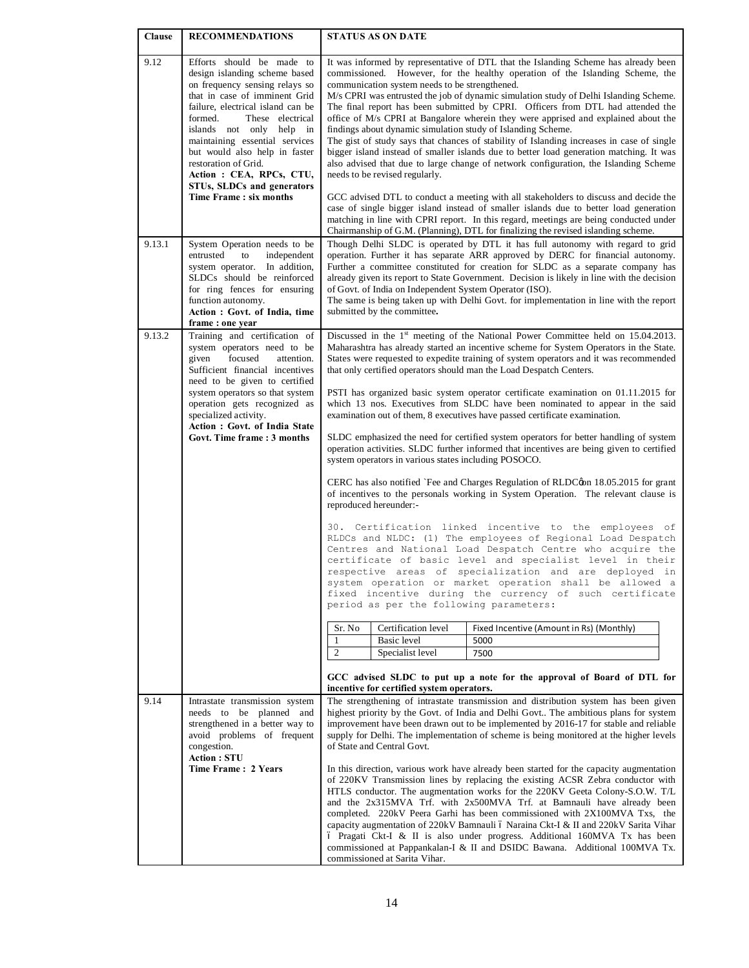| <b>Clause</b> | <b>RECOMMENDATIONS</b>                                                                                                                                                                                                                                                                                                                                                                                      | <b>STATUS AS ON DATE</b>                                                                                                                                                                                                                                                                                                                                                                                                                                                                                                                                                                                                                                                                                                                                                                                                                                                                                                                                                                                                                                                                                                                                                                                                                                                                                                                                                                                                                                                                                                                                                                                                                                                             |  |  |  |  |  |
|---------------|-------------------------------------------------------------------------------------------------------------------------------------------------------------------------------------------------------------------------------------------------------------------------------------------------------------------------------------------------------------------------------------------------------------|--------------------------------------------------------------------------------------------------------------------------------------------------------------------------------------------------------------------------------------------------------------------------------------------------------------------------------------------------------------------------------------------------------------------------------------------------------------------------------------------------------------------------------------------------------------------------------------------------------------------------------------------------------------------------------------------------------------------------------------------------------------------------------------------------------------------------------------------------------------------------------------------------------------------------------------------------------------------------------------------------------------------------------------------------------------------------------------------------------------------------------------------------------------------------------------------------------------------------------------------------------------------------------------------------------------------------------------------------------------------------------------------------------------------------------------------------------------------------------------------------------------------------------------------------------------------------------------------------------------------------------------------------------------------------------------|--|--|--|--|--|
| 9.12          | Efforts should be made to<br>design islanding scheme based<br>on frequency sensing relays so<br>that in case of imminent Grid<br>failure, electrical island can be<br>formed.<br>These electrical<br>islands not only help in<br>maintaining essential services<br>but would also help in faster<br>restoration of Grid.<br>Action: CEA, RPCs, CTU,<br>STUs, SLDCs and generators<br>Time Frame: six months | commissioned. However, for the healthy operation of the Islanding Scheme, the<br>communication system needs to be strengthened.<br>M/s CPRI was entrusted the job of dynamic simulation study of Delhi Islanding Scheme.<br>The final report has been submitted by CPRI. Officers from DTL had attended the<br>office of M/s CPRI at Bangalore wherein they were apprised and explained about the<br>findings about dynamic simulation study of Islanding Scheme.<br>The gist of study says that chances of stability of Islanding increases in case of single<br>bigger island instead of smaller islands due to better load generation matching. It was<br>also advised that due to large change of network configuration, the Islanding Scheme<br>needs to be revised regularly.<br>GCC advised DTL to conduct a meeting with all stakeholders to discuss and decide the<br>case of single bigger island instead of smaller islands due to better load generation<br>matching in line with CPRI report. In this regard, meetings are being conducted under<br>Chairmanship of G.M. (Planning), DTL for finalizing the revised islanding scheme.                                                                                                                                                                                                                                                                                                                                                                                                                                                                                                                                   |  |  |  |  |  |
| 9.13.1        | System Operation needs to be<br>entrusted<br>to<br>independent<br>system operator. In addition,<br>SLDCs should be reinforced<br>for ring fences for ensuring<br>function autonomy.<br>Action : Govt. of India, time<br>frame: one year                                                                                                                                                                     | Though Delhi SLDC is operated by DTL it has full autonomy with regard to grid<br>operation. Further it has separate ARR approved by DERC for financial autonomy.<br>Further a committee constituted for creation for SLDC as a separate company has<br>already given its report to State Government. Decision is likely in line with the decision<br>of Govt. of India on Independent System Operator (ISO).<br>The same is being taken up with Delhi Govt. for implementation in line with the report<br>submitted by the committee.                                                                                                                                                                                                                                                                                                                                                                                                                                                                                                                                                                                                                                                                                                                                                                                                                                                                                                                                                                                                                                                                                                                                                |  |  |  |  |  |
| 9.13.2        | Training and certification of<br>system operators need to be<br>focused<br>given<br>attention.<br>Sufficient financial incentives<br>need to be given to certified<br>system operators so that system<br>operation gets recognized as<br>specialized activity.<br>Action : Govt. of India State<br>Govt. Time frame: 3 months                                                                               | Discussed in the $1st$ meeting of the National Power Committee held on 15.04.2013.<br>Maharashtra has already started an incentive scheme for System Operators in the State.<br>States were requested to expedite training of system operators and it was recommended<br>that only certified operators should man the Load Despatch Centers.<br>PSTI has organized basic system operator certificate examination on 01.11.2015 for<br>which 13 nos. Executives from SLDC have been nominated to appear in the said<br>examination out of them, 8 executives have passed certificate examination.<br>SLDC emphasized the need for certified system operators for better handling of system<br>operation activities. SLDC further informed that incentives are being given to certified<br>system operators in various states including POSOCO.<br>CERC has also notified `Fee and Charges Regulation of RLDC@n 18.05.2015 for grant<br>of incentives to the personals working in System Operation. The relevant clause is<br>reproduced hereunder:-<br>30. Certification linked incentive to the employees of<br>RLDCs and NLDC: (1) The employees of Regional Load Despatch<br>Centres and National Load Despatch Centre who acquire the<br>certificate of basic level and specialist level in their<br>respective areas of specialization and are deployed in<br>system operation or market operation shall be allowed a<br>fixed incentive during the currency of such certificate<br>period as per the following parameters:<br>Certification level<br>Sr. No<br>Fixed Incentive (Amount in Rs) (Monthly)<br>$\mathbf{1}$<br>Basic level<br>5000<br>2<br>7500<br>Specialist level |  |  |  |  |  |
| 9.14          | Intrastate transmission system<br>needs to be planned and<br>strengthened in a better way to<br>avoid problems of frequent<br>congestion.<br><b>Action: STU</b><br>Time Frame: 2 Years                                                                                                                                                                                                                      | incentive for certified system operators.<br>The strengthening of intrastate transmission and distribution system has been given<br>highest priority by the Govt. of India and Delhi Govt The ambitious plans for system<br>improvement have been drawn out to be implemented by 2016-17 for stable and reliable<br>supply for Delhi. The implementation of scheme is being monitored at the higher levels<br>of State and Central Govt.<br>In this direction, various work have already been started for the capacity augmentation<br>of 220KV Transmission lines by replacing the existing ACSR Zebra conductor with<br>HTLS conductor. The augmentation works for the 220KV Geeta Colony-S.O.W. T/L<br>and the 2x315MVA Trf. with 2x500MVA Trf. at Bamnauli have already been<br>completed. 220kV Peera Garhi has been commissioned with 2X100MVA Txs, the<br>capacity augmentation of 220kV Bamnauli 6 Naraina Ckt-I & II and 220kV Sarita Vihar<br>ó Pragati Ckt-I & II is also under progress. Additional 160MVA Tx has been<br>commissioned at Pappankalan-I & II and DSIDC Bawana. Additional 100MVA Tx.<br>commissioned at Sarita Vihar.                                                                                                                                                                                                                                                                                                                                                                                                                                                                                                                                    |  |  |  |  |  |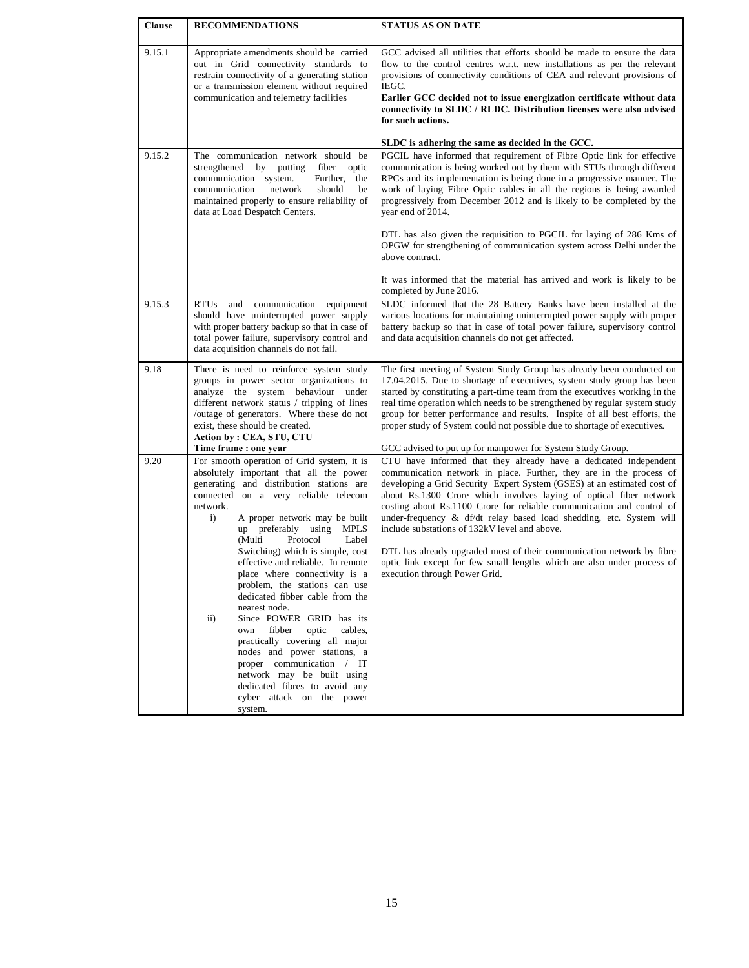| <b>Clause</b> | <b>RECOMMENDATIONS</b>                                                                                                                                                                                                                                                                                                                                                                                                                                                                                                                                                                                                                                                                                                                                                                            | <b>STATUS AS ON DATE</b>                                                                                                                                                                                                                                                                                                                                                                                                                                                                                                                                                                                                                                                       |
|---------------|---------------------------------------------------------------------------------------------------------------------------------------------------------------------------------------------------------------------------------------------------------------------------------------------------------------------------------------------------------------------------------------------------------------------------------------------------------------------------------------------------------------------------------------------------------------------------------------------------------------------------------------------------------------------------------------------------------------------------------------------------------------------------------------------------|--------------------------------------------------------------------------------------------------------------------------------------------------------------------------------------------------------------------------------------------------------------------------------------------------------------------------------------------------------------------------------------------------------------------------------------------------------------------------------------------------------------------------------------------------------------------------------------------------------------------------------------------------------------------------------|
| 9.15.1        | Appropriate amendments should be carried<br>out in Grid connectivity standards to<br>restrain connectivity of a generating station<br>or a transmission element without required<br>communication and telemetry facilities                                                                                                                                                                                                                                                                                                                                                                                                                                                                                                                                                                        | GCC advised all utilities that efforts should be made to ensure the data<br>flow to the control centres w.r.t. new installations as per the relevant<br>provisions of connectivity conditions of CEA and relevant provisions of<br>IEGC.<br>Earlier GCC decided not to issue energization certificate without data<br>connectivity to SLDC / RLDC. Distribution licenses were also advised<br>for such actions.                                                                                                                                                                                                                                                                |
|               |                                                                                                                                                                                                                                                                                                                                                                                                                                                                                                                                                                                                                                                                                                                                                                                                   | SLDC is adhering the same as decided in the GCC.                                                                                                                                                                                                                                                                                                                                                                                                                                                                                                                                                                                                                               |
| 9.15.2        | The communication network should be<br>strengthened by putting<br>fiber optic<br>communication system.<br>Further,<br>the<br>communication<br>network<br>should<br>be<br>maintained properly to ensure reliability of<br>data at Load Despatch Centers.                                                                                                                                                                                                                                                                                                                                                                                                                                                                                                                                           | PGCIL have informed that requirement of Fibre Optic link for effective<br>communication is being worked out by them with STUs through different<br>RPCs and its implementation is being done in a progressive manner. The<br>work of laying Fibre Optic cables in all the regions is being awarded<br>progressively from December 2012 and is likely to be completed by the<br>year end of 2014.                                                                                                                                                                                                                                                                               |
|               |                                                                                                                                                                                                                                                                                                                                                                                                                                                                                                                                                                                                                                                                                                                                                                                                   | DTL has also given the requisition to PGCIL for laying of 286 Kms of<br>OPGW for strengthening of communication system across Delhi under the<br>above contract.                                                                                                                                                                                                                                                                                                                                                                                                                                                                                                               |
|               |                                                                                                                                                                                                                                                                                                                                                                                                                                                                                                                                                                                                                                                                                                                                                                                                   | It was informed that the material has arrived and work is likely to be<br>completed by June 2016.                                                                                                                                                                                                                                                                                                                                                                                                                                                                                                                                                                              |
| 9.15.3        | RTUs and communication equipment<br>should have uninterrupted power supply<br>with proper battery backup so that in case of<br>total power failure, supervisory control and<br>data acquisition channels do not fail.                                                                                                                                                                                                                                                                                                                                                                                                                                                                                                                                                                             | SLDC informed that the 28 Battery Banks have been installed at the<br>various locations for maintaining uninterrupted power supply with proper<br>battery backup so that in case of total power failure, supervisory control<br>and data acquisition channels do not get affected.                                                                                                                                                                                                                                                                                                                                                                                             |
| 9.18          | There is need to reinforce system study<br>groups in power sector organizations to<br>analyze the system behaviour under<br>different network status / tripping of lines<br>/outage of generators. Where these do not<br>exist, these should be created.<br>Action by: CEA, STU, CTU<br>Time frame : one year                                                                                                                                                                                                                                                                                                                                                                                                                                                                                     | The first meeting of System Study Group has already been conducted on<br>17.04.2015. Due to shortage of executives, system study group has been<br>started by constituting a part-time team from the executives working in the<br>real time operation which needs to be strengthened by regular system study<br>group for better performance and results. Inspite of all best efforts, the<br>proper study of System could not possible due to shortage of executives.<br>GCC advised to put up for manpower for System Study Group.                                                                                                                                           |
| 9.20          | For smooth operation of Grid system, it is<br>absolutely important that all the power<br>generating and distribution stations are<br>connected on a very reliable telecom<br>network.<br>A proper network may be built<br>$\mathbf{i}$<br>up preferably using<br><b>MPLS</b><br>(Multi<br>Protocol<br>Label<br>Switching) which is simple, cost<br>effective and reliable. In remote<br>place where connectivity is a<br>problem, the stations can use<br>dedicated fibber cable from the<br>nearest node.<br>Since POWER GRID has its<br>$\mathbf{ii}$<br>fibber<br>optic<br>own<br>cables,<br>practically covering all major<br>nodes and power stations, a<br>proper communication / IT<br>network may be built using<br>dedicated fibres to avoid any<br>cyber attack on the power<br>system. | CTU have informed that they already have a dedicated independent<br>communication network in place. Further, they are in the process of<br>developing a Grid Security Expert System (GSES) at an estimated cost of<br>about Rs.1300 Crore which involves laying of optical fiber network<br>costing about Rs.1100 Crore for reliable communication and control of<br>under-frequency & df/dt relay based load shedding, etc. System will<br>include substations of 132kV level and above.<br>DTL has already upgraded most of their communication network by fibre<br>optic link except for few small lengths which are also under process of<br>execution through Power Grid. |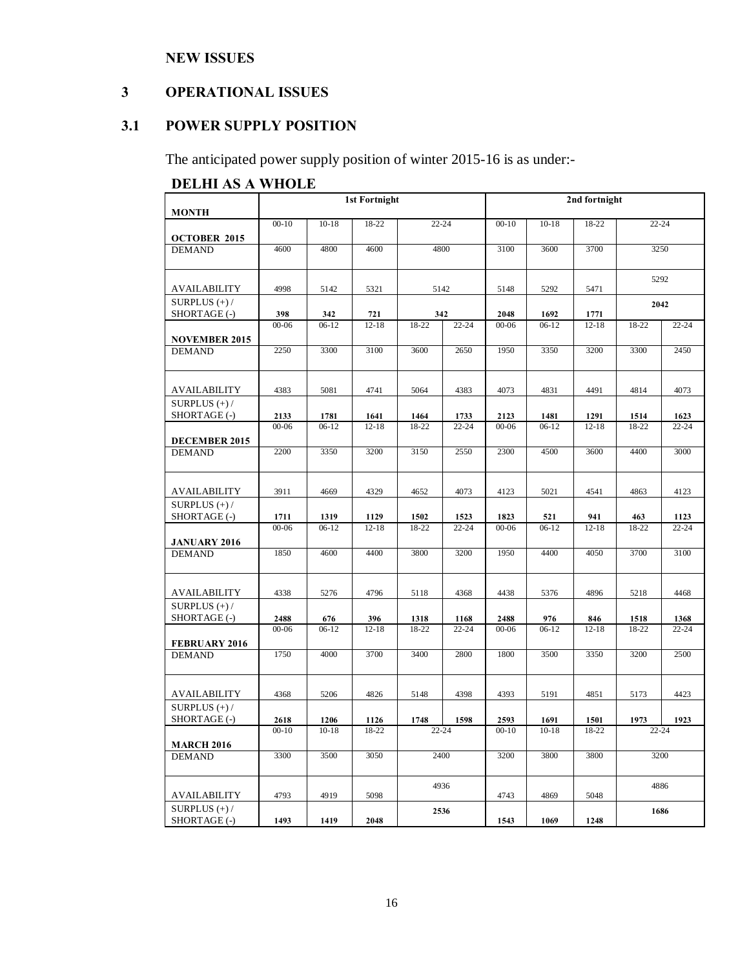## **NEW ISSUES**

## **3 OPERATIONAL ISSUES**

## **3.1 POWER SUPPLY POSITION**

The anticipated power supply position of winter 2015-16 is as under:-

## **DELHI AS A WHOLE**

|                                       |                   |                 | <b>1st Fortnight</b> |               |                   | 2nd fortnight     |                 |                   |               |                   |
|---------------------------------------|-------------------|-----------------|----------------------|---------------|-------------------|-------------------|-----------------|-------------------|---------------|-------------------|
| <b>MONTH</b>                          |                   |                 |                      |               |                   |                   |                 |                   |               |                   |
| <b>OCTOBER 2015</b>                   | $00-10$           | $10 - 18$       | 18-22                | $22 - 24$     |                   | $00 - 10$         | $10 - 18$       | 18-22             | $22 - 24$     |                   |
| <b>DEMAND</b>                         | 4600              | 4800            | 4600                 | 4800          |                   | 3100              | 3600            | 3700              | 3250          |                   |
| AVAILABILITY                          | 4998              | 5142            | 5321                 | 5142          |                   | 5148              | 5292            | 5471              | 5292          |                   |
| SURPLUS $(+)$ /<br>SHORTAGE (-)       | 398               | 342             | 721                  |               | 342               |                   | 1692            | 1771              | 2042          |                   |
| <b>NOVEMBER 2015</b>                  | $00 - 06$         | $06-12$         | $12 - 18$            | $18-22$       | $22 - 24$         | $00 - 06$         | $06-12$         | $12 - 18$         | $18-22$       | $22 - 24$         |
| <b>DEMAND</b>                         | 2250              | 3300            | 3100                 | 3600          | 2650              | 1950              | 3350            | 3200              | 3300          | 2450              |
| <b>AVAILABILITY</b>                   | 4383              | 5081            | 4741                 | 5064          | 4383              | 4073              | 4831            | 4491              | 4814          | 4073              |
| SURPLUS $(+)$ /                       |                   |                 |                      |               |                   |                   |                 |                   |               |                   |
| SHORTAGE (-)                          | 2133<br>$00 - 06$ | 1781<br>$06-12$ | 1641<br>$12 - 18$    | 1464<br>18-22 | 1733<br>$22 - 24$ | 2123<br>$00 - 06$ | 1481<br>$06-12$ | 1291<br>$12 - 18$ | 1514<br>18-22 | 1623<br>$22 - 24$ |
| DECEMBER 2015                         |                   |                 |                      |               |                   |                   |                 |                   |               |                   |
| <b>DEMAND</b>                         | 2200              | 3350            | 3200                 | 3150          | 2550              | 2300              | 4500            | 3600              | 4400          | 3000              |
| AVAILABILITY                          | 3911              | 4669            | 4329                 | 4652          | 4073              | 4123              | 5021            | 4541              | 4863          | 4123              |
| SURPLUS $(+)$ /                       |                   |                 |                      |               |                   |                   |                 |                   |               |                   |
| SHORTAGE (-)                          | 1711              | 1319            | 1129                 | 1502          | 1523              | 1823              | 521             | 941               | 463           | 1123              |
| <b>JANUARY 2016</b>                   | $00 - 06$         | $06-12$         | $12 - 18$            | $18 - 22$     | $22 - 24$         | $00 - 06$         | $06-12$         | $12 - 18$         | $18 - 22$     | $22 - 24$         |
| <b>DEMAND</b>                         | 1850              | 4600            | 4400                 | 3800          | 3200              | 1950              | 4400            | 4050              | 3700          | 3100              |
| AVAILABILITY                          | 4338              | 5276            | 4796                 | 5118          | 4368              | 4438              | 5376            | 4896              | 5218          | 4468              |
| SURPLUS $(+)$ /<br>SHORTAGE (-)       | 2488              | 676             | 396                  | 1318          | 1168              | 2488              | 976             | 846               | 1518          | 1368              |
|                                       | $00 - 06$         | $06-12$         | $12 - 18$            | $18 - 22$     | $22 - 24$         | $00 - 06$         | $06-12$         | $12 - 18$         | 18-22         | $22 - 24$         |
| <b>FEBRUARY 2016</b><br><b>DEMAND</b> | 1750              | 4000            | 3700                 | 3400          | 2800              | 1800              | 3500            | 3350              | 3200          | 2500              |
|                                       |                   |                 |                      |               |                   |                   |                 |                   |               |                   |
| AVAILABILITY                          | 4368              | 5206            | 4826                 | 5148          | 4398              | 4393              | 5191            | 4851              | 5173          | 4423              |
| SURPLUS $(+)$ /<br>SHORTAGE (-)       | 2618              | 1206            | 1126                 | 1748          | 1598              | 2593              | 1691            | 1501              | 1973          | 1923              |
|                                       | $00 - 10$         | $10 - 18$       | 18-22                |               |                   | $00 - 10$         | $10 - 18$       | 18-22             | $22 - 24$     |                   |
| <b>MARCH 2016</b>                     |                   |                 |                      | $22 - 24$     |                   |                   |                 |                   |               |                   |
| <b>DEMAND</b>                         | 3300              | 3500            | 3050                 | 2400          |                   | 3200              | 3800            | 3800              | 3200          |                   |
|                                       |                   |                 |                      | 4936          |                   |                   |                 |                   | 4886          |                   |
| AVAILABILITY<br>SURPLUS $(+)$ /       | 4793              | 4919            | 5098                 |               |                   | 4743              | 4869            | 5048              |               |                   |
| SHORTAGE (-)                          | 1493              | 1419            | 2048                 |               | 2536              | 1543              | 1069            | 1248              | 1686          |                   |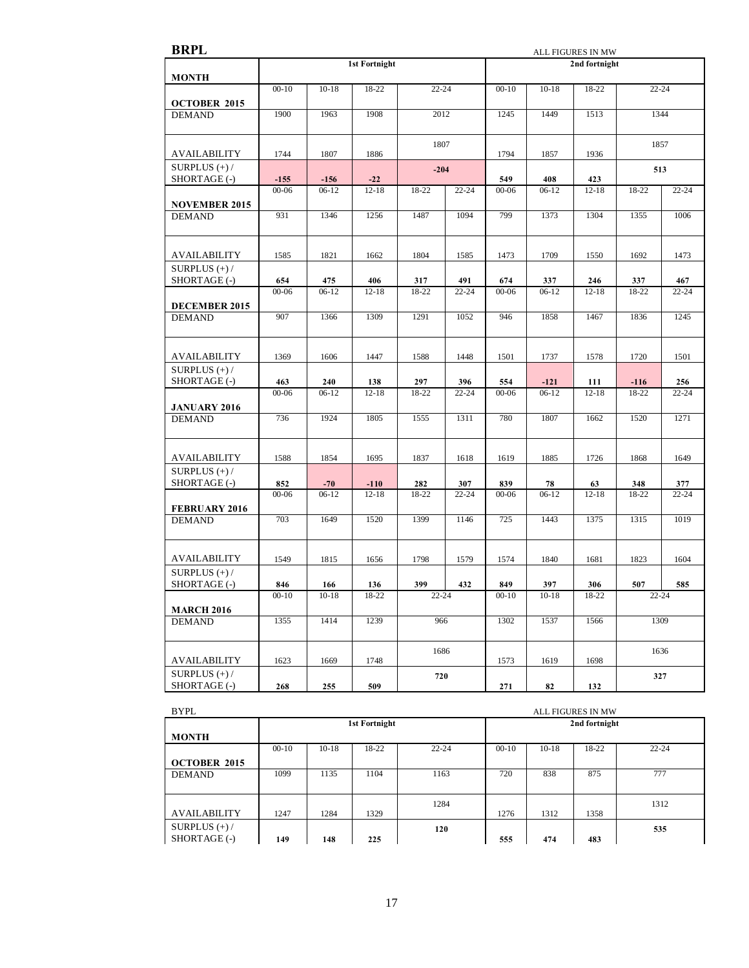| <b>BRPL</b>                          |                  |                |                      | ALL FIGURES IN MW |                  |                  |                   |                  |                 |                  |
|--------------------------------------|------------------|----------------|----------------------|-------------------|------------------|------------------|-------------------|------------------|-----------------|------------------|
|                                      |                  |                | <b>1st Fortnight</b> |                   |                  |                  |                   | 2nd fortnight    |                 |                  |
| <b>MONTH</b>                         |                  |                |                      |                   |                  |                  |                   |                  |                 |                  |
|                                      | $00 - 10$        | $10 - 18$      | 18-22                | $22 - 24$         |                  | $00 - 10$        | $10 - 18$         | 18-22            | $22 - 24$       |                  |
| <b>OCTOBER 2015</b>                  |                  |                |                      |                   |                  |                  |                   |                  |                 |                  |
| <b>DEMAND</b>                        | 1900             | 1963           | 1908                 | 2012              |                  | 1245             | 1449              | 1513             | 1344            |                  |
|                                      |                  |                |                      |                   |                  |                  |                   |                  |                 |                  |
|                                      |                  |                |                      | 1807              |                  |                  |                   |                  | 1857            |                  |
| <b>AVAILABILITY</b>                  | 1744             | 1807           | 1886                 |                   |                  | 1794             | 1857              | 1936             |                 |                  |
| SURPLUS $(+)$ /<br>SHORTAGE (-)      | $-155$           | $-156$         | $-22$                | $-204$            |                  | 549              | 408               | 423              | 513             |                  |
|                                      | $00 - 06$        | $06-12$        | $12 - 18$            | 18-22             | $22 - 24$        | $00 - 06$        | $06-12$           | $12 - 18$        | 18-22           | $22 - 24$        |
| <b>NOVEMBER 2015</b>                 |                  |                |                      |                   |                  |                  |                   |                  |                 |                  |
| <b>DEMAND</b>                        | 931              | 1346           | 1256                 | 1487              | 1094             | 799              | 1373              | 1304             | 1355            | 1006             |
|                                      |                  |                |                      |                   |                  |                  |                   |                  |                 |                  |
|                                      |                  |                |                      |                   |                  |                  |                   |                  |                 |                  |
| AVAILABILITY                         | 1585             | 1821           | 1662                 | 1804              | 1585             | 1473             | 1709              | 1550             | 1692            | 1473             |
| SURPLUS $(+)$ /                      |                  |                |                      |                   |                  |                  |                   |                  |                 |                  |
| SHORTAGE (-)                         | 654              | 475            | 406                  | 317               | 491              | 674              | 337               | 246              | 337             | 467              |
|                                      | $00 - 06$        | $06-12$        | $12 - 18$            | 18-22             | $22 - 24$        | $00 - 06$        | $06-12$           | $12 - 18$        | 18-22           | $22 - 24$        |
| DECEMBER 2015                        |                  |                |                      |                   |                  |                  |                   |                  |                 |                  |
| <b>DEMAND</b>                        | 907              | 1366           | 1309                 | 1291              | 1052             | 946              | 1858              | 1467             | 1836            | 1245             |
|                                      |                  |                |                      |                   |                  |                  |                   |                  |                 |                  |
|                                      |                  |                |                      |                   |                  |                  |                   |                  |                 |                  |
| <b>AVAILABILITY</b>                  | 1369             | 1606           | 1447                 | 1588              | 1448             | 1501             | 1737              | 1578             | 1720            | 1501             |
| SURPLUS $(+)$ /                      |                  |                |                      |                   |                  |                  |                   |                  |                 |                  |
| SHORTAGE (-)                         | 463<br>$00 - 06$ | 240<br>$06-12$ | 138<br>$12 - 18$     | 297<br>18-22      | 396<br>$22 - 24$ | 554<br>$00 - 06$ | $-121$<br>$06-12$ | 111<br>$12 - 18$ | $-116$<br>18-22 | 256<br>$22 - 24$ |
|                                      |                  |                |                      |                   |                  |                  |                   |                  |                 |                  |
| <b>JANUARY 2016</b><br><b>DEMAND</b> | 736              | 1924           | 1805                 | 1555              | 1311             | 780              | 1807              | 1662             | 1520            | 1271             |
|                                      |                  |                |                      |                   |                  |                  |                   |                  |                 |                  |
|                                      |                  |                |                      |                   |                  |                  |                   |                  |                 |                  |
| AVAILABILITY                         | 1588             | 1854           | 1695                 | 1837              | 1618             | 1619             | 1885              | 1726             | 1868            | 1649             |
| SURPLUS $(+)$ /                      |                  |                |                      |                   |                  |                  |                   |                  |                 |                  |
| SHORTAGE (-)                         | 852              | $-70$          | $-110$               | 282               | 307              | 839              | 78                | 63               | 348             | 377              |
|                                      | $00 - 06$        | $06-12$        | $12 - 18$            | 18-22             | $22 - 24$        | $00 - 06$        | $06-12$           | $12 - 18$        | 18-22           | $22 - 24$        |
| <b>FEBRUARY 2016</b>                 |                  |                |                      |                   |                  |                  |                   |                  |                 |                  |
| <b>DEMAND</b>                        | 703              | 1649           | 1520                 | 1399              | 1146             | 725              | 1443              | 1375             | 1315            | 1019             |
|                                      |                  |                |                      |                   |                  |                  |                   |                  |                 |                  |
|                                      |                  |                |                      |                   |                  |                  |                   |                  |                 |                  |
| <b>AVAILABILITY</b>                  | 1549             | 1815           | 1656                 | 1798              | 1579             | 1574             | 1840              | 1681             | 1823            | 1604             |
| SURPLUS $(+)$ /                      |                  |                |                      |                   |                  |                  |                   |                  |                 |                  |
| SHORTAGE (-)                         | 846              | 166            | 136                  | 399               | 432              | 849              | 397               | 306              | 507             | 585              |
|                                      | $00-10$          | $10-18$        | 18-22                | 22-24             |                  | $00-10$          | $10-18$           | 18-22            | $22 - 24$       |                  |
| <b>MARCH 2016</b><br><b>DEMAND</b>   | 1355             | 1414           | 1239                 |                   |                  | 1302             | 1537              | 1566             | 1309            |                  |
|                                      |                  |                |                      | 966               |                  |                  |                   |                  |                 |                  |
|                                      |                  |                |                      |                   |                  |                  |                   |                  |                 |                  |
| AVAILABILITY                         | 1623             | 1669           | 1748                 | 1686              |                  | 1573             | 1619              | 1698             | 1636            |                  |
| SURPLUS $(+)$ /                      |                  |                |                      |                   |                  |                  |                   |                  |                 |                  |
| SHORTAGE (-)                         | 268              | 255            | 509                  | 720               |                  | 271              | 82                | 132              | 327             |                  |
|                                      |                  |                |                      |                   |                  |                  |                   |                  |                 |                  |

| <b>BYPL</b>         |         |         |               |           | <b>ALL FIGURES IN MW</b> |         |               |           |  |
|---------------------|---------|---------|---------------|-----------|--------------------------|---------|---------------|-----------|--|
|                     |         |         | 1st Fortnight |           |                          |         | 2nd fortnight |           |  |
| <b>MONTH</b>        |         |         |               |           |                          |         |               |           |  |
|                     | $00-10$ | $10-18$ | 18-22         | $22 - 24$ | $00-10$                  | $10-18$ | 18-22         | $22 - 24$ |  |
| <b>OCTOBER 2015</b> |         |         |               |           |                          |         |               |           |  |
| <b>DEMAND</b>       | 1099    | 1135    | 1104          | 1163      | 720                      | 838     | 875           | 777       |  |
|                     |         |         |               |           |                          |         |               |           |  |
|                     |         |         |               | 1284      |                          |         |               | 1312      |  |
| <b>AVAILABILITY</b> | 1247    | 1284    | 1329          |           | 1276                     | 1312    | 1358          |           |  |
| SURPLUS $(+)$ /     |         |         |               | 120       |                          |         |               | 535       |  |
| SHORTAGE (-)        | 149     | 148     | 225           |           | 555                      | 474     | 483           |           |  |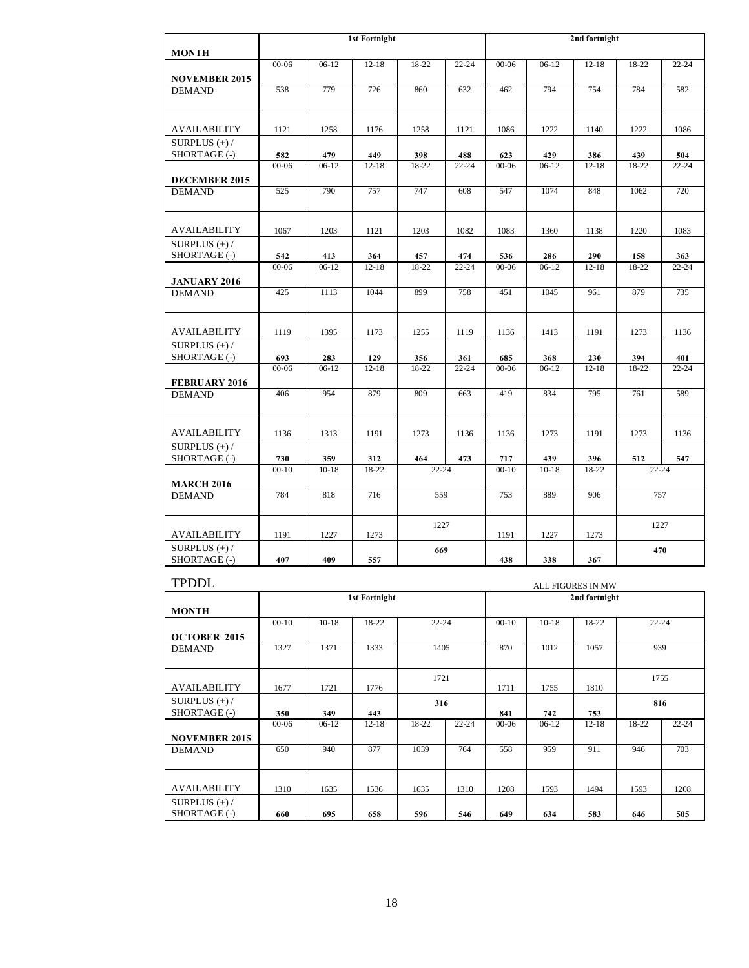|                                 |           |           | <b>1st Fortnight</b> |                          |           | 2nd fortnight |                    |           |           |           |
|---------------------------------|-----------|-----------|----------------------|--------------------------|-----------|---------------|--------------------|-----------|-----------|-----------|
| <b>MONTH</b>                    |           |           |                      |                          |           |               |                    |           |           |           |
|                                 | $00 - 06$ | $06-12$   | $12-18$              | 18-22                    | $22 - 24$ | $00 - 06$     | $06-12$            | $12 - 18$ | 18-22     | $22 - 24$ |
| <b>NOVEMBER 2015</b>            |           |           |                      |                          |           |               |                    |           |           |           |
| <b>DEMAND</b>                   | 538       | 779       | 726                  | 860                      | 632       | 462           | 794                | 754       | 784       | 582       |
|                                 |           |           |                      |                          |           |               |                    |           |           |           |
| AVAILABILITY                    | 1121      | 1258      | 1176                 | 1258                     | 1121      | 1086          | 1222               | 1140      | 1222      | 1086      |
| SURPLUS $(+)$ /                 |           |           |                      |                          |           |               |                    |           |           |           |
| SHORTAGE (-)                    | 582       | 479       | 449                  | 398                      | 488       | 623           | 429                | 386       | 439       | 504       |
|                                 | $00 - 06$ | $06-12$   | $12 - 18$            | 18-22                    | $22 - 24$ | $00 - 06$     | $06-12$            | $12 - 18$ | 18-22     | $22 - 24$ |
| DECEMBER 2015                   |           |           |                      |                          |           |               |                    |           |           |           |
| <b>DEMAND</b>                   | 525       | 790       | 757                  | 747                      | 608       | 547           | 1074               | 848       | 1062      | 720       |
|                                 |           |           |                      |                          |           |               |                    |           |           |           |
| <b>AVAILABILITY</b>             | 1067      | 1203      | 1121                 | 1203                     | 1082      | 1083          | 1360               | 1138      | 1220      | 1083      |
| SURPLUS $(+)$ /                 |           |           |                      |                          |           |               |                    |           |           |           |
| SHORTAGE (-)                    | 542       | 413       | 364                  | 457                      | 474       | 536           | 286                | 290       | 158       | 363       |
|                                 | $00 - 06$ | $06-12$   | $12 - 18$            | 18-22                    | $22 - 24$ | $00 - 06$     | $06-12$            | $12 - 18$ | 18-22     | $22 - 24$ |
| <b>JANUARY 2016</b>             |           |           |                      |                          |           |               |                    |           |           |           |
| <b>DEMAND</b>                   | 425       | 1113      | 1044                 | 899                      | 758       | 451           | 1045               | 961       | 879       | 735       |
|                                 |           |           |                      |                          |           |               |                    |           |           |           |
| <b>AVAILABILITY</b>             | 1119      | 1395      | 1173                 | 1255                     | 1119      | 1136          | 1413               | 1191      | 1273      | 1136      |
| SURPLUS $(+)$ /                 |           |           |                      |                          |           |               |                    |           |           |           |
| SHORTAGE (-)                    | 693       | 283       | 129                  | 356                      | 361       | 685           | 368                | 230       | 394       | 401       |
|                                 | $00 - 06$ | $06-12$   | $12 - 18$            | 18-22                    | $22 - 24$ | $00 - 06$     | $\overline{06-12}$ | $12 - 18$ | 18-22     | $22 - 24$ |
| <b>FEBRUARY 2016</b>            |           |           |                      |                          |           |               |                    |           |           |           |
| <b>DEMAND</b>                   | 406       | 954       | 879                  | 809                      | 663       | 419           | 834                | 795       | 761       | 589       |
|                                 |           |           |                      |                          |           |               |                    |           |           |           |
| <b>AVAILABILITY</b>             | 1136      | 1313      | 1191                 | 1273                     | 1136      | 1136          | 1273               | 1191      | 1273      | 1136      |
| SURPLUS $(+)$ /                 |           |           |                      |                          |           |               |                    |           |           |           |
| SHORTAGE (-)                    | 730       | 359       | 312                  | 464                      | 473       | 717           | 439                | 396       | 512       | 547       |
|                                 | $00 - 10$ | $10 - 18$ | 18-22                | $22 - 24$                |           | $00 - 10$     | $10 - 18$          | 18-22     | $22 - 24$ |           |
| <b>MARCH 2016</b>               |           |           |                      |                          |           |               |                    |           |           |           |
| <b>DEMAND</b>                   | 784       | 818       | 716                  | 559<br>889<br>906<br>753 |           |               | 757                |           |           |           |
|                                 |           |           |                      |                          |           |               |                    |           |           |           |
|                                 |           |           |                      | 1227                     |           |               |                    |           | 1227      |           |
| <b>AVAILABILITY</b>             | 1191      | 1227      | 1273                 |                          |           | 1191          | 1227               | 1273      |           |           |
| SURPLUS $(+)$ /<br>SHORTAGE (-) | 407       | 409       | 557                  | 669                      |           | 438           | 338                |           | 470       |           |
|                                 |           |           |                      |                          |           |               |                    | 367       |           |           |

| <b>TPDDL</b>                    | <b>ALL FIGURES IN MW</b> |                               |               |       |           |           |         |               |           |           |  |  |  |  |
|---------------------------------|--------------------------|-------------------------------|---------------|-------|-----------|-----------|---------|---------------|-----------|-----------|--|--|--|--|
|                                 |                          |                               | 1st Fortnight |       |           |           |         | 2nd fortnight |           |           |  |  |  |  |
| <b>MONTH</b>                    |                          |                               |               |       |           |           |         |               |           |           |  |  |  |  |
|                                 | $00-10$                  | $22 - 24$<br>18-22<br>$10-18$ |               |       |           |           | $10-18$ | 18-22         | $22 - 24$ |           |  |  |  |  |
| <b>OCTOBER 2015</b>             |                          |                               |               |       |           |           |         |               |           |           |  |  |  |  |
| <b>DEMAND</b>                   | 1327                     | 1371                          | 1333          | 1405  |           | 870       | 1012    | 1057          | 939       |           |  |  |  |  |
|                                 |                          |                               |               | 1721  |           |           |         |               | 1755      |           |  |  |  |  |
| <b>AVAILABILITY</b>             | 1677                     | 1721                          | 1776          |       |           | 1711      | 1755    | 1810          |           |           |  |  |  |  |
| SURPLUS $(+)$ /                 |                          |                               |               | 316   |           |           |         |               | 816       |           |  |  |  |  |
| SHORTAGE (-)                    | 350                      | 349                           | 443           |       |           | 841       | 742     | 753           |           |           |  |  |  |  |
|                                 | $00 - 06$                | $06-12$                       | $12 - 18$     | 18-22 | $22 - 24$ | $00 - 06$ | $06-12$ | $12 - 18$     | 18-22     | $22 - 24$ |  |  |  |  |
| <b>NOVEMBER 2015</b>            |                          |                               |               |       |           |           |         |               |           |           |  |  |  |  |
| <b>DEMAND</b>                   | 650                      | 940                           | 877           | 1039  | 764       | 558       | 959     | 911           | 946       | 703       |  |  |  |  |
|                                 |                          |                               |               |       |           |           |         |               |           |           |  |  |  |  |
| <b>AVAILABILITY</b>             | 1310                     | 1635                          | 1536          | 1635  | 1310      | 1208      | 1593    | 1494          | 1593      | 1208      |  |  |  |  |
| SURPLUS $(+)$ /<br>SHORTAGE (-) | 660                      | 695                           | 658           | 596   | 546       | 649       | 634     | 583           | 646       | 505       |  |  |  |  |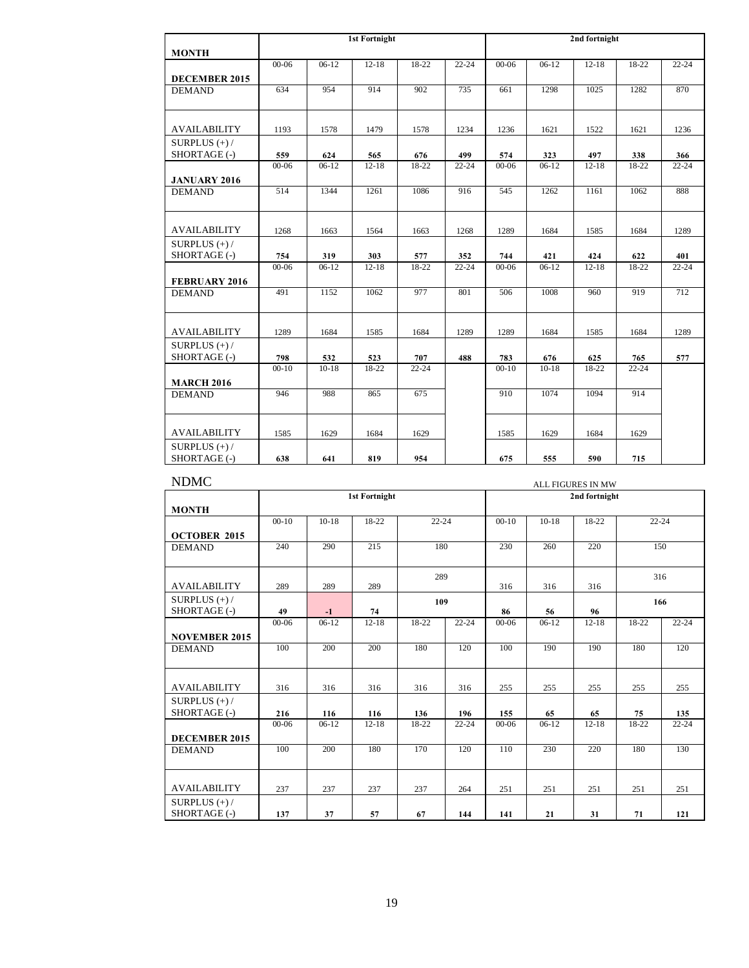|                      |                  |                | <b>1st Fortnight</b> |                |                  | 2nd fortnight    |                |                |              |                  |
|----------------------|------------------|----------------|----------------------|----------------|------------------|------------------|----------------|----------------|--------------|------------------|
| <b>MONTH</b>         |                  |                |                      |                |                  |                  |                |                |              |                  |
|                      | $00 - 06$        | $06-12$        | $12 - 18$            | $18-22$        | $22 - 24$        | $00 - 06$        | $06-12$        | $12 - 18$      | $18-22$      | $22 - 24$        |
| DECEMBER 2015        |                  |                |                      |                |                  |                  |                |                |              |                  |
| <b>DEMAND</b>        | 634              | 954            | 914                  | 902            | 735              | 661              | 1298           | 1025           | 1282         | 870              |
|                      |                  |                |                      |                |                  |                  |                |                |              |                  |
|                      |                  |                |                      |                |                  |                  |                |                |              |                  |
| <b>AVAILABILITY</b>  | 1193             | 1578           | 1479                 | 1578           | 1234             | 1236             | 1621           | 1522           | 1621         | 1236             |
| SURPLUS $(+)$ /      |                  |                |                      |                |                  |                  |                |                |              |                  |
| SHORTAGE (-)         | 559<br>$00 - 06$ | 624<br>$06-12$ | 565<br>$12 - 18$     | 676<br>$18-22$ | 499<br>$22 - 24$ | 574<br>$00 - 06$ | 323<br>$06-12$ | 497<br>$12-18$ | 338<br>18-22 | 366<br>$22 - 24$ |
|                      |                  |                |                      |                |                  |                  |                |                |              |                  |
| <b>JANUARY 2016</b>  | 514              | 1344           | 1261                 | 1086           |                  | 545              | 1262           |                | 1062         | 888              |
| <b>DEMAND</b>        |                  |                |                      |                | 916              |                  |                | 1161           |              |                  |
|                      |                  |                |                      |                |                  |                  |                |                |              |                  |
| <b>AVAILABILITY</b>  | 1268             | 1663           | 1564                 | 1663           | 1268             | 1289             | 1684           | 1585           | 1684         | 1289             |
| SURPLUS $(+)$ /      |                  |                |                      |                |                  |                  |                |                |              |                  |
| SHORTAGE (-)         | 754              | 319            | 303                  | 577            | 352              | 744              | 421            | 424            | 622          | 401              |
|                      | $00 - 06$        | $06-12$        | $12 - 18$            | 18-22          | $22 - 24$        | $00 - 06$        | $06-12$        | $12 - 18$      | 18-22        | $22 - 24$        |
| <b>FEBRUARY 2016</b> |                  |                |                      |                |                  |                  |                |                |              |                  |
| <b>DEMAND</b>        | 491              | 1152           | 1062                 | 977            | 801              | 506              | 1008           | 960            | 919          | 712              |
|                      |                  |                |                      |                |                  |                  |                |                |              |                  |
| <b>AVAILABILITY</b>  | 1289             | 1684           | 1585                 | 1684           | 1289             | 1289             | 1684           | 1585           | 1684         | 1289             |
| SURPLUS $(+)$ /      |                  |                |                      |                |                  |                  |                |                |              |                  |
| SHORTAGE (-)         | 798              | 532            | 523                  | 707            | 488              | 783              | 676            | 625            | 765          | 577              |
|                      | $00-10$          | $10-18$        | 18-22                | $22 - 24$      |                  | $00-10$          | $10-18$        | 18-22          | $22 - 24$    |                  |
| <b>MARCH 2016</b>    |                  |                |                      |                |                  |                  |                |                |              |                  |
| <b>DEMAND</b>        | 946              | 988            | 865                  | 675            |                  | 910              | 1074           | 1094           | 914          |                  |
|                      |                  |                |                      |                |                  |                  |                |                |              |                  |
|                      |                  |                |                      |                |                  |                  |                |                |              |                  |
| <b>AVAILABILITY</b>  | 1585             | 1629           | 1684                 | 1629           |                  | 1585             | 1629           | 1684           | 1629         |                  |
| SURPLUS $(+)$ /      |                  |                |                      |                |                  |                  |                |                |              |                  |
| SHORTAGE (-)         | 638              | 641            | 819                  | 954            |                  | 675              | 555            | 590            | 715          |                  |

| <b>NDMC</b>          | <b>ALL FIGURES IN MW</b> |         |                      |           |           |           |         |               |           |           |  |  |  |
|----------------------|--------------------------|---------|----------------------|-----------|-----------|-----------|---------|---------------|-----------|-----------|--|--|--|
|                      |                          |         | <b>1st Fortnight</b> |           |           |           |         | 2nd fortnight |           |           |  |  |  |
| <b>MONTH</b>         |                          |         |                      |           |           |           |         |               |           |           |  |  |  |
|                      | $00-10$                  | $10-18$ | 18-22                | $22 - 24$ |           | $00 - 10$ | $10-18$ | 18-22         | $22 - 24$ |           |  |  |  |
| <b>OCTOBER 2015</b>  |                          |         |                      |           |           |           |         |               |           |           |  |  |  |
| <b>DEMAND</b>        | 240                      | 290     | 215                  | 180       |           | 230       | 260     | 220           | 150       |           |  |  |  |
|                      |                          |         |                      |           |           |           |         |               |           |           |  |  |  |
|                      |                          |         |                      | 289       |           |           |         |               | 316       |           |  |  |  |
| <b>AVAILABILITY</b>  | 289                      | 289     | 289                  |           |           | 316       | 316     | 316           |           |           |  |  |  |
| SURPLUS $(+)$ /      |                          |         |                      | 109       |           |           | 166     |               |           |           |  |  |  |
| SHORTAGE (-)         | 49                       | $-1$    | 74                   |           | $22 - 24$ | 86        | 56      | 96<br>$12-18$ | $18-22$   |           |  |  |  |
|                      | $00 - 06$                | $06-12$ | $12 - 18$            | 18-22     |           | $00 - 06$ | $06-12$ |               |           | $22 - 24$ |  |  |  |
| <b>NOVEMBER 2015</b> |                          |         |                      |           |           |           |         |               |           |           |  |  |  |
| <b>DEMAND</b>        | 100                      | 200     | 200                  | 180       | 120       | 100       | 190     | 190           | 180       | 120       |  |  |  |
|                      |                          |         |                      |           |           |           |         |               |           |           |  |  |  |
| <b>AVAILABILITY</b>  | 316                      | 316     | 316                  | 316       | 316       | 255       | 255     | 255           | 255       | 255       |  |  |  |
| SURPLUS $(+)$ /      |                          |         |                      |           |           |           |         |               |           |           |  |  |  |
| SHORTAGE (-)         | 216                      | 116     | 116                  | 136       | 196       | 155       | 65      | 65            | 75        | 135       |  |  |  |
|                      | $00 - 06$                | $06-12$ | $12 - 18$            | 18-22     | $22 - 24$ | $00 - 06$ | $06-12$ | $12 - 18$     | 18-22     | $22 - 24$ |  |  |  |
| <b>DECEMBER 2015</b> |                          |         |                      |           |           |           |         |               |           |           |  |  |  |
| <b>DEMAND</b>        | 100                      | 200     | 180                  | 170       | 120       | 110       | 230     | 220           | 180       | 130       |  |  |  |
|                      |                          |         |                      |           |           |           |         |               |           |           |  |  |  |
|                      |                          |         |                      |           |           |           |         |               |           |           |  |  |  |
| <b>AVAILABILITY</b>  | 237                      | 237     | 237                  | 237       | 264       | 251       | 251     | 251           | 251       | 251       |  |  |  |
| SURPLUS $(+)$ /      |                          |         |                      |           |           |           |         |               |           |           |  |  |  |
| SHORTAGE (-)         | 137                      | 37      | 57                   | 67        | 144       | 141       | 21      | 31            | 71        | 121       |  |  |  |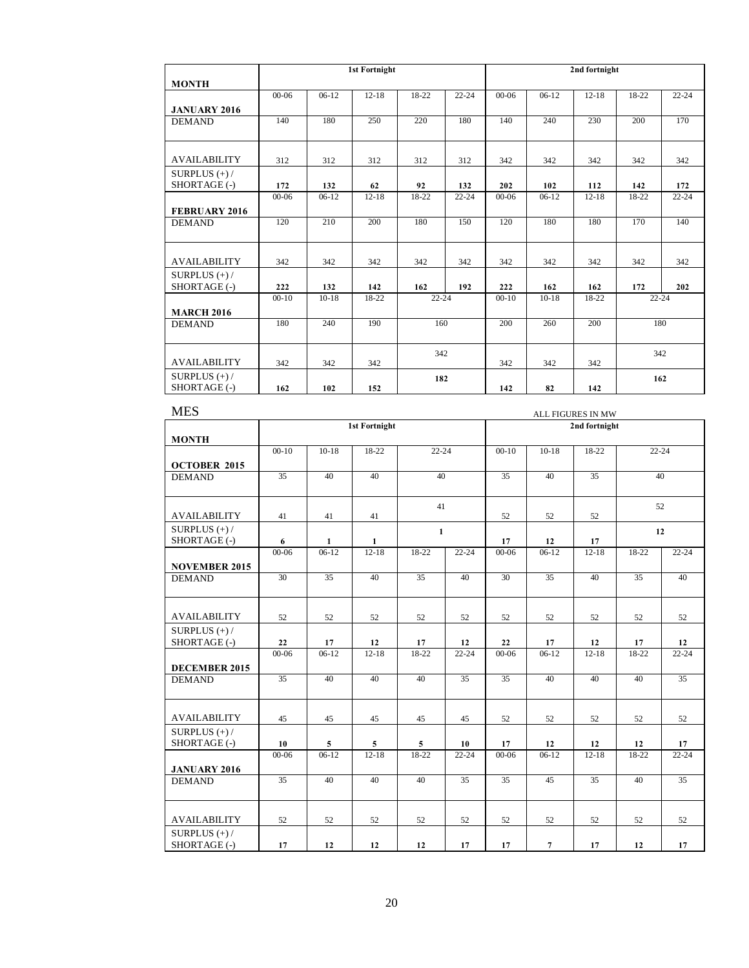|                                 |           |         | <b>1st Fortnight</b> |           |           | 2nd fortnight |         |           |           |           |
|---------------------------------|-----------|---------|----------------------|-----------|-----------|---------------|---------|-----------|-----------|-----------|
| <b>MONTH</b>                    |           |         |                      |           |           |               |         |           |           |           |
|                                 | $00 - 06$ | $06-12$ | $12 - 18$            | $18-22$   | $22 - 24$ | $00 - 06$     | $06-12$ | $12 - 18$ | 18-22     | $22 - 24$ |
| <b>JANUARY 2016</b>             |           |         |                      |           |           |               |         |           |           |           |
| <b>DEMAND</b>                   | 140       | 180     | 250                  | 220       | 180       | 140           | 240     | 230       | 200       | 170       |
| <b>AVAILABILITY</b>             |           |         |                      |           |           |               |         |           |           | 342       |
|                                 | 312       | 312     | 312                  | 312       | 312       | 342           | 342     | 342       | 342       |           |
| SURPLUS $(+)$ /<br>SHORTAGE (-) | 172       | 132     | 62                   | 92        | 132       | 202           | 102     | 112       | 142       | 172       |
|                                 | $00 - 06$ | $06-12$ | $12 - 18$            | 18-22     | $22 - 24$ | $00 - 06$     | $06-12$ | $12 - 18$ | 18-22     | $22 - 24$ |
| <b>FEBRUARY 2016</b>            |           |         |                      |           |           |               |         |           |           |           |
| <b>DEMAND</b>                   | 120       | 210     | 200                  | 180       | 150       | 120           | 180     | 180       | 170       | 140       |
| <b>AVAILABILITY</b>             | 342       | 342     | 342                  | 342       | 342       | 342           | 342     | 342       | 342       | 342       |
| SURPLUS $(+)$ /<br>SHORTAGE (-) | 222       | 132     | 142                  | 162       | 192       | 222           | 162     | 162       | 172       | 202       |
|                                 | $00-10$   | $10-18$ | 18-22                | $22 - 24$ |           | $00-10$       | $10-18$ | 18-22     | $22 - 24$ |           |
| <b>MARCH 2016</b>               |           |         |                      |           |           |               |         |           |           |           |
| <b>DEMAND</b>                   | 180       | 240     | 190                  | 160       |           | 200           | 260     | 200       | 180       |           |
|                                 |           |         |                      | 342       |           |               |         |           | 342       |           |
| <b>AVAILABILITY</b>             | 342       | 342     | 342                  |           |           | 342           | 342     | 342       |           |           |
| SURPLUS $(+)$ /<br>SHORTAGE (-) | 162       | 102     | 152                  | 182       |           | 142           | 82      | 142       | 162       |           |

| <b>MES</b>                            | ALL FIGURES IN MW |                 |                      |                 |           |                 |                 |                 |           |           |  |
|---------------------------------------|-------------------|-----------------|----------------------|-----------------|-----------|-----------------|-----------------|-----------------|-----------|-----------|--|
|                                       |                   |                 | <b>1st Fortnight</b> |                 |           |                 |                 | 2nd fortnight   |           |           |  |
| <b>MONTH</b>                          |                   |                 |                      |                 |           |                 |                 |                 |           |           |  |
|                                       | $00-10$           | $10-18$         | 18-22                | $22 - 24$       |           | $00-10$         | $10-18$         | 18-22           | $22 - 24$ |           |  |
| <b>OCTOBER 2015</b>                   |                   |                 |                      |                 |           |                 |                 |                 |           |           |  |
| <b>DEMAND</b>                         | 35                | 40              | 40                   | 40              |           | $\overline{35}$ | 40              | $\overline{35}$ | 40        |           |  |
|                                       |                   |                 |                      |                 |           |                 |                 |                 |           |           |  |
| <b>AVAILABILITY</b>                   | 41                | 41              | 41                   | 41              |           | 52              | 52              | 52              | 52        |           |  |
| SURPLUS $(+)$ /                       |                   |                 |                      |                 |           |                 |                 |                 |           |           |  |
| SHORTAGE (-)                          | 6                 | $\mathbf{1}$    | $\mathbf{1}$         | $\mathbf{1}$    |           | 17              | 12              | 17              | 12        |           |  |
|                                       | 00-06             | $06-12$         | $12 - 18$            | 18-22           | $22 - 24$ | $00 - 06$       | $06-12$         | $12 - 18$       | 18-22     | $22 - 24$ |  |
| <b>NOVEMBER 2015</b>                  |                   |                 |                      |                 |           |                 |                 |                 |           |           |  |
| <b>DEMAND</b>                         | 30                | $\overline{35}$ | 40                   | $\overline{35}$ | 40        | 30              | $\overline{35}$ | 40              | 35        | 40        |  |
|                                       |                   |                 |                      |                 |           |                 |                 |                 |           |           |  |
|                                       |                   |                 |                      |                 |           |                 |                 |                 |           |           |  |
| <b>AVAILABILITY</b>                   | 52                | 52              | 52                   | 52              | 52        | 52              | 52              | 52              | 52        | 52        |  |
| SURPLUS $(+)$ /                       |                   |                 |                      |                 |           |                 |                 |                 |           |           |  |
| SHORTAGE (-)                          | 22                | 17              | 12                   | 17              | 12        | 22              | 17              | 12              | 17        | 12        |  |
|                                       | $00 - 06$         | $06-12$         | $12-18$              | $18-22$         | $22 - 24$ | $00 - 06$       | $06-12$         | $12-18$         | $18-22$   | $22 - 24$ |  |
| <b>DECEMBER 2015</b><br><b>DEMAND</b> | 35                | 40              | 40                   | 40              | 35        | 35              | 40              | 40              | 40        | 35        |  |
|                                       |                   |                 |                      |                 |           |                 |                 |                 |           |           |  |
|                                       |                   |                 |                      |                 |           |                 |                 |                 |           |           |  |
| <b>AVAILABILITY</b>                   | 45                | 45              | 45                   | 45              | 45        | 52              | 52              | 52              | 52        | 52        |  |
| SURPLUS $(+)$ /                       |                   |                 |                      |                 |           |                 |                 |                 |           |           |  |
| SHORTAGE (-)                          | 10                | $\overline{5}$  | $5\phantom{.0}$      | $\mathbf{5}$    | 10        | 17              | 12              | 12              | 12        | 17        |  |
|                                       | $00 - 06$         | $06-12$         | $12 - 18$            | 18-22           | $22 - 24$ | $00 - 06$       | $06-12$         | $12 - 18$       | 18-22     | $22 - 24$ |  |
| <b>JANUARY 2016</b>                   |                   |                 |                      |                 |           |                 |                 |                 |           |           |  |
| <b>DEMAND</b>                         | 35                | 40              | 40                   | 40              | 35        | 35              | 45              | 35              | 40        | 35        |  |
|                                       |                   |                 |                      |                 |           |                 |                 |                 |           |           |  |
| <b>AVAILABILITY</b>                   | 52                | 52              | 52                   | 52              | 52        | 52              | 52              | 52              | 52        | 52        |  |
| SURPLUS $(+)$ /<br>SHORTAGE (-)       | 17                | 12              | 12                   | 12              | 17        | 17              | $\overline{7}$  | 17              | 12        |           |  |
|                                       |                   |                 |                      |                 |           |                 |                 |                 |           | 17        |  |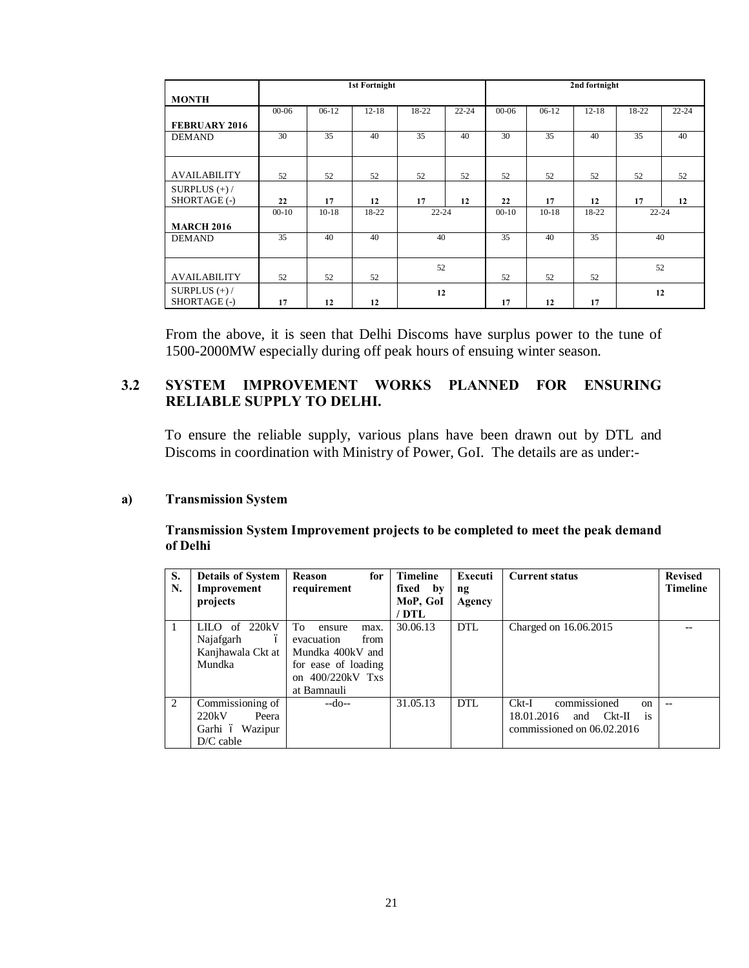|                      |           |         | <b>1st Fortnight</b> |           |           | 2nd fortnight |         |           |           |           |  |
|----------------------|-----------|---------|----------------------|-----------|-----------|---------------|---------|-----------|-----------|-----------|--|
| <b>MONTH</b>         |           |         |                      |           |           |               |         |           |           |           |  |
|                      | $00 - 06$ | $06-12$ | $12 - 18$            | 18-22     | $22 - 24$ | $00 - 06$     | $06-12$ | $12 - 18$ | 18-22     | $22 - 24$ |  |
| <b>FEBRUARY 2016</b> |           |         |                      |           |           |               |         |           |           |           |  |
| <b>DEMAND</b>        | 30        | 35      | 40                   | 35        | 40        | 30            | 35      | 40        | 35        | 40        |  |
|                      |           |         |                      |           |           |               |         |           |           |           |  |
|                      |           |         |                      |           |           |               |         |           |           |           |  |
| <b>AVAILABILITY</b>  | 52        | 52      | 52                   | 52        | 52        | 52            | 52      | 52        | 52        | 52        |  |
| SURPLUS $(+)$ /      |           |         |                      |           |           |               |         |           |           |           |  |
| SHORTAGE (-)         | 22        | 17      | 12                   | 17        | 12        | 22            | 17      | 12        | 17        | 12        |  |
|                      | $00-10$   | $10-18$ | 18-22                | $22 - 24$ |           | $00-10$       | $10-18$ | 18-22     | $22 - 24$ |           |  |
| <b>MARCH 2016</b>    |           |         |                      |           |           |               |         |           |           |           |  |
| <b>DEMAND</b>        | 35        | 40      | 40                   | 40        |           | 35            | 40      | 35        | 40        |           |  |
|                      |           |         |                      |           |           |               |         |           |           |           |  |
|                      |           |         |                      | 52        |           |               |         |           | 52        |           |  |
| <b>AVAILABILITY</b>  | 52        | 52      | 52                   |           |           | 52            | 52      | 52        |           |           |  |
| SURPLUS $(+)$ /      |           |         |                      | 12        |           |               |         |           | 12        |           |  |
| SHORTAGE (-)         | 17        | 12      | 12                   |           |           | 17            | 12      | 17        |           |           |  |

From the above, it is seen that Delhi Discoms have surplus power to the tune of 1500-2000MW especially during off peak hours of ensuing winter season.

## **3.2 SYSTEM IMPROVEMENT WORKS PLANNED FOR ENSURING RELIABLE SUPPLY TO DELHI.**

To ensure the reliable supply, various plans have been drawn out by DTL and Discoms in coordination with Ministry of Power, GoI. The details are as under:-

#### **a) Transmission System**

**Transmission System Improvement projects to be completed to meet the peak demand of Delhi**

| S.<br>N. | <b>Details of System</b><br>Improvement | Reason<br>for<br>requirement | <b>Timeline</b><br>fixed by | Executi<br>ng | <b>Current status</b>                        | <b>Revised</b><br><b>Timeline</b> |
|----------|-----------------------------------------|------------------------------|-----------------------------|---------------|----------------------------------------------|-----------------------------------|
|          | projects                                |                              | MoP, GoI                    | Agency        |                                              |                                   |
|          |                                         |                              | / DTL                       |               |                                              |                                   |
|          | 220kV<br>of<br>LILO.                    | To<br>ensure<br>max.         | 30.06.13                    | DTL           | Charged on 16.06.2015                        |                                   |
|          | Najafgarh<br>$\acute{o}$                | evacuation<br>from           |                             |               |                                              |                                   |
|          | Kanjhawala Ckt at                       | Mundka 400kV and             |                             |               |                                              |                                   |
|          | Mundka                                  | for ease of loading          |                             |               |                                              |                                   |
|          |                                         | on $400/220kV$ Txs           |                             |               |                                              |                                   |
|          |                                         | at Bamnauli                  |                             |               |                                              |                                   |
| 2        | Commissioning of                        | $-do-$                       | 31.05.13                    | DTL           | commissioned<br>$Ckt-I$<br>$_{\rm on}$       |                                   |
|          | 220kV<br>Peera                          |                              |                             |               | 18.01.2016<br>Ckt-II<br>and<br><sup>is</sup> |                                   |
|          | Garhi ó Wazipur                         |                              |                             |               | commissioned on 06.02.2016                   |                                   |
|          | $D/C$ cable                             |                              |                             |               |                                              |                                   |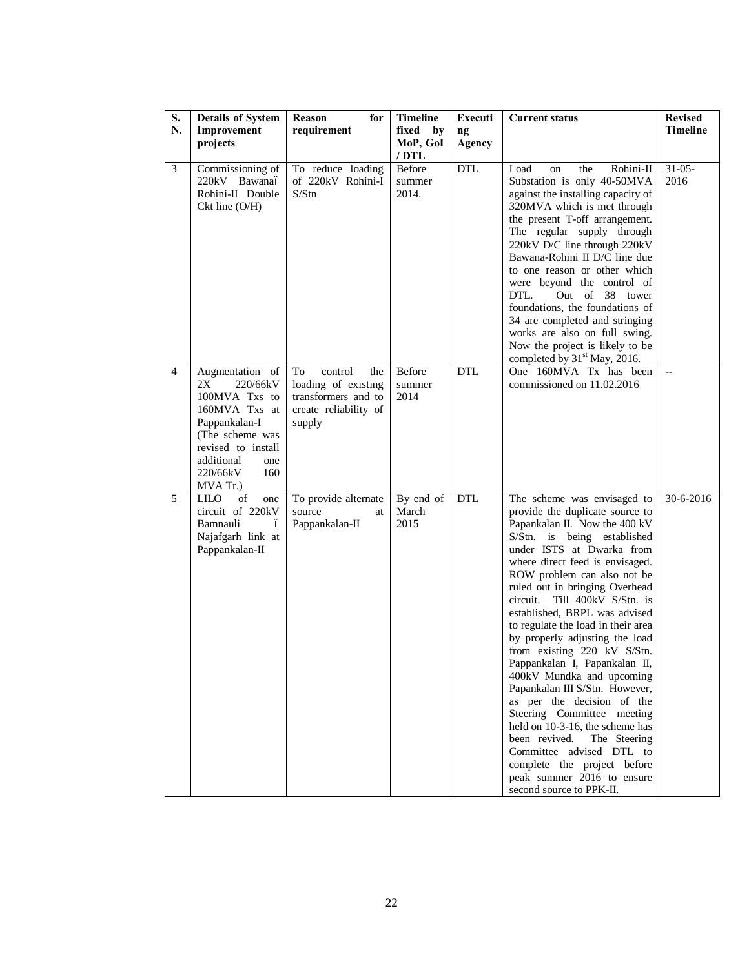| S.             | <b>Details of System</b>                                                                                                                                                          | Reason<br>for                                                                                         | <b>Timeline</b>                  | Executi      | <b>Current status</b>                                                                                                                                                                                                                                                                                                                                                                                                                                                                                                                                                                                                                                                                                                                                                                            | <b>Revised</b>      |
|----------------|-----------------------------------------------------------------------------------------------------------------------------------------------------------------------------------|-------------------------------------------------------------------------------------------------------|----------------------------------|--------------|--------------------------------------------------------------------------------------------------------------------------------------------------------------------------------------------------------------------------------------------------------------------------------------------------------------------------------------------------------------------------------------------------------------------------------------------------------------------------------------------------------------------------------------------------------------------------------------------------------------------------------------------------------------------------------------------------------------------------------------------------------------------------------------------------|---------------------|
| N.             | Improvement<br>projects                                                                                                                                                           | requirement                                                                                           | fixed by<br>MoP, GoI<br>$/$ DTL  | ng<br>Agency |                                                                                                                                                                                                                                                                                                                                                                                                                                                                                                                                                                                                                                                                                                                                                                                                  | <b>Timeline</b>     |
| 3              | Commissioning of<br>220kV Bawanaó<br>Rohini-II Double<br>$Ckt$ line $(O/H)$                                                                                                       | To reduce loading<br>of 220kV Rohini-I<br>S/Stn                                                       | <b>Before</b><br>summer<br>2014. | <b>DTL</b>   | Rohini-II<br>Load<br>the<br>on<br>Substation is only 40-50MVA<br>against the installing capacity of<br>320MVA which is met through<br>the present T-off arrangement.<br>The regular supply through<br>220kV D/C line through 220kV<br>Bawana-Rohini II D/C line due<br>to one reason or other which<br>were beyond the control of<br>DTL.<br>Out of 38 tower<br>foundations, the foundations of<br>34 are completed and stringing<br>works are also on full swing.<br>Now the project is likely to be<br>completed by 31 <sup>st</sup> May, 2016.                                                                                                                                                                                                                                                | $31 - 05 -$<br>2016 |
| $\overline{4}$ | Augmentation of<br>2X<br>220/66kV<br>100MVA Txs to<br>160MVA Txs at<br>Pappankalan-I<br>(The scheme was<br>revised to install<br>additional<br>one<br>220/66kV<br>160<br>MVA Tr.) | To<br>control<br>the<br>loading of existing<br>transformers and to<br>create reliability of<br>supply | Before<br>summer<br>2014         | DTL          | One 160MVA Tx has been<br>commissioned on 11.02.2016                                                                                                                                                                                                                                                                                                                                                                                                                                                                                                                                                                                                                                                                                                                                             |                     |
| 5              | <b>LILO</b><br>of<br>one<br>circuit of 220kV<br>Bamnauli<br>ó<br>Najafgarh link at<br>Pappankalan-II                                                                              | To provide alternate<br>source<br>at<br>Pappankalan-II                                                | By end of<br>March<br>2015       | <b>DTL</b>   | The scheme was envisaged to<br>provide the duplicate source to<br>Papankalan II. Now the 400 kV<br>S/Stn. is being established<br>under ISTS at Dwarka from<br>where direct feed is envisaged.<br>ROW problem can also not be<br>ruled out in bringing Overhead<br>Till 400kV S/Stn. is<br>circuit.<br>established, BRPL was advised<br>to regulate the load in their area<br>by properly adjusting the load<br>from existing 220 kV S/Stn.<br>Pappankalan I, Papankalan II,<br>400kV Mundka and upcoming<br>Papankalan III S/Stn. However,<br>as per the decision of the<br>Steering Committee meeting<br>held on 10-3-16, the scheme has<br>been revived.<br>The Steering<br>Committee advised DTL to<br>complete the project before<br>peak summer 2016 to ensure<br>second source to PPK-II. | 30-6-2016           |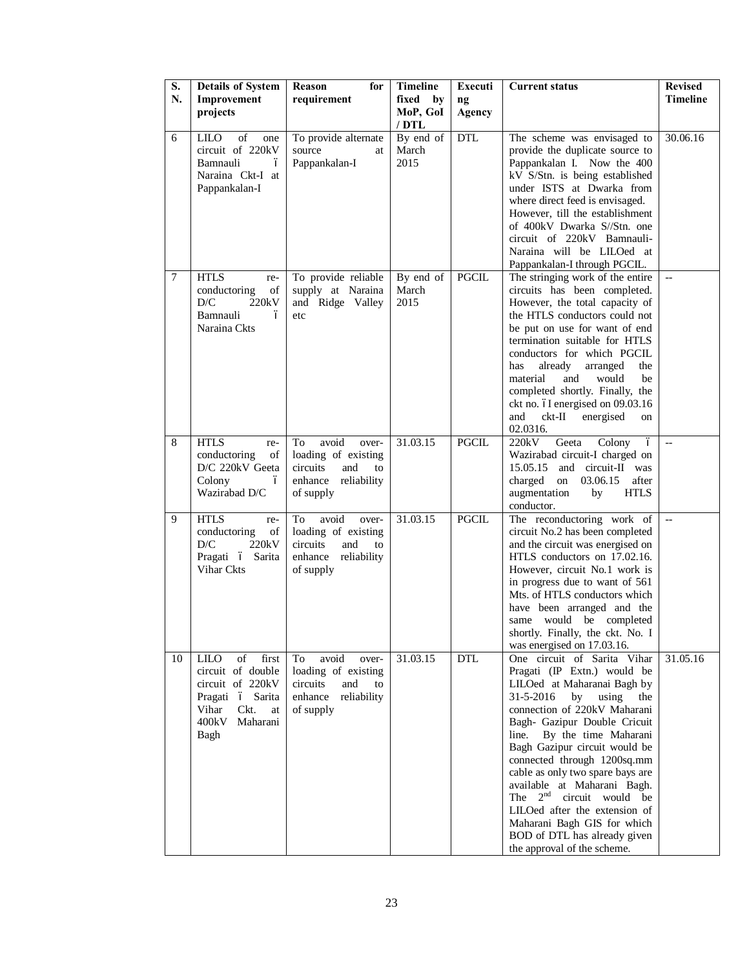| S.<br>N.    | <b>Details of System</b><br>Improvement                                                                                                                        | for<br><b>Reason</b><br>requirement                                                                                   | <b>Timeline</b><br>fixed<br>by                           | Executi<br>$\mathbf{ng}$   | <b>Current status</b>                                                                                                                                                                                                                                                                                                                                                                                                                                                                                                         | <b>Revised</b><br><b>Timeline</b>    |
|-------------|----------------------------------------------------------------------------------------------------------------------------------------------------------------|-----------------------------------------------------------------------------------------------------------------------|----------------------------------------------------------|----------------------------|-------------------------------------------------------------------------------------------------------------------------------------------------------------------------------------------------------------------------------------------------------------------------------------------------------------------------------------------------------------------------------------------------------------------------------------------------------------------------------------------------------------------------------|--------------------------------------|
|             | projects                                                                                                                                                       |                                                                                                                       | MoP, GoI<br>$/$ DTL                                      | Agency                     |                                                                                                                                                                                                                                                                                                                                                                                                                                                                                                                               |                                      |
| 6<br>$\tau$ | <b>LILO</b><br>of<br>one<br>circuit of 220kV<br>Bamnauli<br>ó<br>Naraina Ckt-I at<br>Pappankalan-I<br><b>HTLS</b><br>re-<br>conductoring<br>of<br>D/C<br>220kV | To provide alternate<br>source<br>at<br>Pappankalan-I<br>To provide reliable<br>supply at Naraina<br>and Ridge Valley | By end of<br>March<br>2015<br>By end of<br>March<br>2015 | <b>DTL</b><br><b>PGCIL</b> | The scheme was envisaged to<br>provide the duplicate source to<br>Pappankalan I. Now the 400<br>kV S/Stn. is being established<br>under ISTS at Dwarka from<br>where direct feed is envisaged.<br>However, till the establishment<br>of 400kV Dwarka S//Stn. one<br>circuit of 220kV Bamnauli-<br>Naraina will be LILOed at<br>Pappankalan-I through PGCIL.<br>The stringing work of the entire<br>circuits has been completed.<br>However, the total capacity of                                                             | 30.06.16<br>$\overline{\phantom{a}}$ |
|             | Bamnauli<br>ó<br>Naraina Ckts                                                                                                                                  | etc                                                                                                                   |                                                          |                            | the HTLS conductors could not<br>be put on use for want of end<br>termination suitable for HTLS<br>conductors for which PGCIL<br>already<br>arranged<br>has<br>the<br>material<br>and<br>would<br>be<br>completed shortly. Finally, the<br>ckt no. óI energised on 09.03.16<br>ckt-II<br>and<br>energised<br>on<br>02.0316.                                                                                                                                                                                                   |                                      |
| 8           | <b>HTLS</b><br>re-<br>conductoring<br>of<br>D/C 220kV Geeta<br>Colony<br>ó<br>Wazirabad D/C                                                                    | avoid<br>To<br>over-<br>loading of existing<br>circuits<br>and<br>to<br>enhance<br>reliability<br>of supply           | 31.03.15                                                 | <b>PGCIL</b>               | Geeta<br>Colony<br>$\acute{\rm{o}}$<br>220kV<br>Wazirabad circuit-I charged on<br>15.05.15<br>and circuit-II was<br>charged<br>03.06.15<br>after<br>on<br>augmentation<br><b>HTLS</b><br>by<br>conductor.                                                                                                                                                                                                                                                                                                                     | $\overline{a}$                       |
| 9           | <b>HTLS</b><br>re-<br>conductoring<br>of<br>$\mathbf{D}/\mathbf{C}$<br>220kV<br>Pragati ó Sarita<br>Vihar Ckts                                                 | avoid<br>To<br>over-<br>loading of existing<br>circuits<br>and<br>to<br>enhance<br>reliability<br>of supply           | 31.03.15                                                 | <b>PGCIL</b>               | The reconductoring work of<br>circuit No.2 has been completed<br>and the circuit was energised on<br>HTLS conductors on 17.02.16.<br>However, circuit No.1 work is<br>in progress due to want of 561<br>Mts. of HTLS conductors which<br>have been arranged and the<br>would<br>be completed<br>same<br>shortly. Finally, the ckt. No. I<br>was energised on 17.03.16.                                                                                                                                                        | $\overline{\phantom{a}}$             |
| 10          | <b>LILO</b><br>of<br>first<br>circuit of double<br>circuit of 220kV<br>Pragati ó Sarita<br>Vihar<br>Ckt.<br>at<br>400kV<br>Maharani<br>Bagh                    | avoid<br>To<br>over-<br>loading of existing<br>circuits<br>and<br>to<br>enhance<br>reliability<br>of supply           | 31.03.15                                                 | <b>DTL</b>                 | One circuit of Sarita Vihar<br>Pragati (IP Extn.) would be<br>LILOed at Maharanai Bagh by<br>31-5-2016<br>using the<br>by<br>connection of 220kV Maharani<br>Bagh- Gazipur Double Cricuit<br>By the time Maharani<br>line.<br>Bagh Gazipur circuit would be<br>connected through 1200sq.mm<br>cable as only two spare bays are<br>available at Maharani Bagh.<br>The $2^{nd}$ circuit would be<br>LILOed after the extension of<br>Maharani Bagh GIS for which<br>BOD of DTL has already given<br>the approval of the scheme. | 31.05.16                             |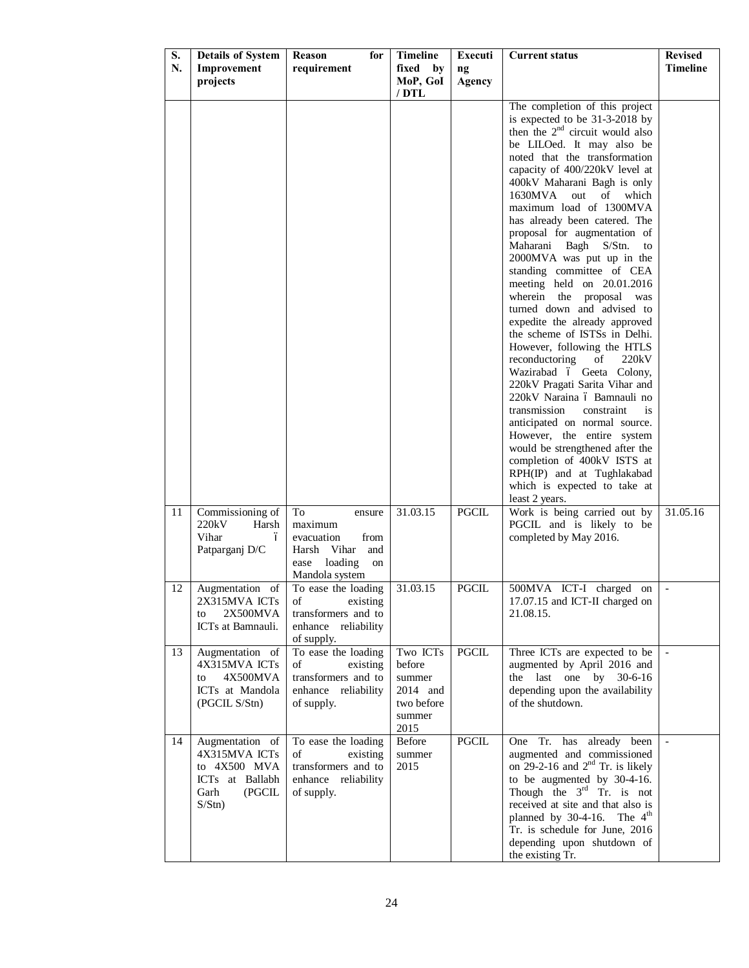| MoP, GoI<br>projects<br>Agency<br>$/$ DTL<br>The completion of this project<br>is expected to be 31-3-2018 by<br>then the $2nd$ circuit would also<br>be LILOed. It may also be<br>noted that the transformation<br>capacity of 400/220kV level at<br>400kV Maharani Bagh is only<br>1630MVA<br>out<br>of<br>which<br>maximum load of 1300MVA<br>has already been catered. The<br>proposal for augmentation of<br>Maharani Bagh S/Stn.<br>to<br>2000MVA was put up in the<br>standing committee of CEA<br>meeting held on 20.01.2016<br>wherein the<br>proposal<br>was<br>turned down and advised to<br>expedite the already approved<br>the scheme of ISTSs in Delhi.<br>However, following the HTLS<br>reconductoring<br>220kV<br>of<br>Wazirabad ó Geeta Colony,<br>220kV Pragati Sarita Vihar and<br>220kV Naraina ó Bamnauli no<br>transmission<br>constraint<br>is<br>anticipated on normal source.<br>However, the entire system<br>would be strengthened after the<br>completion of 400kV ISTS at<br>RPH(IP) and at Tughlakabad<br>which is expected to take at<br>least 2 years.<br>31.03.15<br><b>PGCIL</b><br>Work is being carried out by<br>31.05.16<br>11<br>Commissioning of<br>To<br>ensure<br>220kV<br>PGCIL and is likely to be<br>Harsh<br>maximum<br>Vihar<br>completed by May 2016.<br>evacuation<br>from<br>ó<br>Patparganj D/C<br>Harsh Vihar<br>and<br>loading<br>ease<br>on<br>Mandola system<br>31.03.15<br><b>PGCIL</b><br>500MVA ICT-I charged on<br>12<br>Augmentation of<br>To ease the loading<br>2X315MVA ICTs<br>17.07.15 and ICT-II charged on<br>existing<br>οf<br>transformers and to<br>2X500MVA<br>21.08.15.<br>to<br>enhance reliability<br>ICTs at Bamnauli.<br>of supply.<br>13<br>To ease the loading<br>Two ICTs<br>$\operatorname{PGCL}$<br>Augmentation of<br>Three ICTs are expected to be<br>4X315MVA ICTs<br>before<br>augmented by April 2016 and<br>οf<br>existing<br>4X500MVA<br>transformers and to<br>the last one by 30-6-16<br>summer<br>to<br>2014 and<br>depending upon the availability<br>ICTs at Mandola<br>enhance reliability<br>of the shutdown.<br>(PGCIL S/Stn)<br>of supply.<br>two before<br>summer<br>2015<br>14<br><b>PGCIL</b><br>Augmentation of<br>To ease the loading<br>Before<br>One Tr. has already been<br>4X315MVA ICTs<br>augmented and commissioned<br>existing<br>οf<br>summer<br>on 29-2-16 and $2nd$ Tr. is likely<br>to 4X500 MVA<br>transformers and to<br>2015<br>ICTs at Ballabh<br>to be augmented by 30-4-16.<br>enhance reliability<br>Though the $3rd$ Tr. is not<br>Garh<br>(PGCIL<br>of supply.<br>received at site and that also is<br>S/Stn)<br>planned by $30-4-16$ . The $4th$<br>Tr. is schedule for June, 2016<br>depending upon shutdown of<br>the existing Tr. | S. | <b>Details of System</b> | Reason<br>for | <b>Timeline</b> | Executi | <b>Current status</b> | <b>Revised</b>  |
|---------------------------------------------------------------------------------------------------------------------------------------------------------------------------------------------------------------------------------------------------------------------------------------------------------------------------------------------------------------------------------------------------------------------------------------------------------------------------------------------------------------------------------------------------------------------------------------------------------------------------------------------------------------------------------------------------------------------------------------------------------------------------------------------------------------------------------------------------------------------------------------------------------------------------------------------------------------------------------------------------------------------------------------------------------------------------------------------------------------------------------------------------------------------------------------------------------------------------------------------------------------------------------------------------------------------------------------------------------------------------------------------------------------------------------------------------------------------------------------------------------------------------------------------------------------------------------------------------------------------------------------------------------------------------------------------------------------------------------------------------------------------------------------------------------------------------------------------------------------------------------------------------------------------------------------------------------------------------------------------------------------------------------------------------------------------------------------------------------------------------------------------------------------------------------------------------------------------------------------------------------------------------------------------------------------------------------------------------------------------------------------------------------------------------------------------------------------------------------------------------------------------------------------------------------------------------------------------------------------------------------------------------------------------------------------------------------------------------------------------------------------------|----|--------------------------|---------------|-----------------|---------|-----------------------|-----------------|
|                                                                                                                                                                                                                                                                                                                                                                                                                                                                                                                                                                                                                                                                                                                                                                                                                                                                                                                                                                                                                                                                                                                                                                                                                                                                                                                                                                                                                                                                                                                                                                                                                                                                                                                                                                                                                                                                                                                                                                                                                                                                                                                                                                                                                                                                                                                                                                                                                                                                                                                                                                                                                                                                                                                                                                     | N. | Improvement              | requirement   | fixed<br>by     | ng      |                       | <b>Timeline</b> |
|                                                                                                                                                                                                                                                                                                                                                                                                                                                                                                                                                                                                                                                                                                                                                                                                                                                                                                                                                                                                                                                                                                                                                                                                                                                                                                                                                                                                                                                                                                                                                                                                                                                                                                                                                                                                                                                                                                                                                                                                                                                                                                                                                                                                                                                                                                                                                                                                                                                                                                                                                                                                                                                                                                                                                                     |    |                          |               |                 |         |                       |                 |
|                                                                                                                                                                                                                                                                                                                                                                                                                                                                                                                                                                                                                                                                                                                                                                                                                                                                                                                                                                                                                                                                                                                                                                                                                                                                                                                                                                                                                                                                                                                                                                                                                                                                                                                                                                                                                                                                                                                                                                                                                                                                                                                                                                                                                                                                                                                                                                                                                                                                                                                                                                                                                                                                                                                                                                     |    |                          |               |                 |         |                       |                 |
|                                                                                                                                                                                                                                                                                                                                                                                                                                                                                                                                                                                                                                                                                                                                                                                                                                                                                                                                                                                                                                                                                                                                                                                                                                                                                                                                                                                                                                                                                                                                                                                                                                                                                                                                                                                                                                                                                                                                                                                                                                                                                                                                                                                                                                                                                                                                                                                                                                                                                                                                                                                                                                                                                                                                                                     |    |                          |               |                 |         |                       |                 |
|                                                                                                                                                                                                                                                                                                                                                                                                                                                                                                                                                                                                                                                                                                                                                                                                                                                                                                                                                                                                                                                                                                                                                                                                                                                                                                                                                                                                                                                                                                                                                                                                                                                                                                                                                                                                                                                                                                                                                                                                                                                                                                                                                                                                                                                                                                                                                                                                                                                                                                                                                                                                                                                                                                                                                                     |    |                          |               |                 |         |                       |                 |
|                                                                                                                                                                                                                                                                                                                                                                                                                                                                                                                                                                                                                                                                                                                                                                                                                                                                                                                                                                                                                                                                                                                                                                                                                                                                                                                                                                                                                                                                                                                                                                                                                                                                                                                                                                                                                                                                                                                                                                                                                                                                                                                                                                                                                                                                                                                                                                                                                                                                                                                                                                                                                                                                                                                                                                     |    |                          |               |                 |         |                       |                 |
|                                                                                                                                                                                                                                                                                                                                                                                                                                                                                                                                                                                                                                                                                                                                                                                                                                                                                                                                                                                                                                                                                                                                                                                                                                                                                                                                                                                                                                                                                                                                                                                                                                                                                                                                                                                                                                                                                                                                                                                                                                                                                                                                                                                                                                                                                                                                                                                                                                                                                                                                                                                                                                                                                                                                                                     |    |                          |               |                 |         |                       |                 |
|                                                                                                                                                                                                                                                                                                                                                                                                                                                                                                                                                                                                                                                                                                                                                                                                                                                                                                                                                                                                                                                                                                                                                                                                                                                                                                                                                                                                                                                                                                                                                                                                                                                                                                                                                                                                                                                                                                                                                                                                                                                                                                                                                                                                                                                                                                                                                                                                                                                                                                                                                                                                                                                                                                                                                                     |    |                          |               |                 |         |                       |                 |
|                                                                                                                                                                                                                                                                                                                                                                                                                                                                                                                                                                                                                                                                                                                                                                                                                                                                                                                                                                                                                                                                                                                                                                                                                                                                                                                                                                                                                                                                                                                                                                                                                                                                                                                                                                                                                                                                                                                                                                                                                                                                                                                                                                                                                                                                                                                                                                                                                                                                                                                                                                                                                                                                                                                                                                     |    |                          |               |                 |         |                       |                 |
|                                                                                                                                                                                                                                                                                                                                                                                                                                                                                                                                                                                                                                                                                                                                                                                                                                                                                                                                                                                                                                                                                                                                                                                                                                                                                                                                                                                                                                                                                                                                                                                                                                                                                                                                                                                                                                                                                                                                                                                                                                                                                                                                                                                                                                                                                                                                                                                                                                                                                                                                                                                                                                                                                                                                                                     |    |                          |               |                 |         |                       |                 |
|                                                                                                                                                                                                                                                                                                                                                                                                                                                                                                                                                                                                                                                                                                                                                                                                                                                                                                                                                                                                                                                                                                                                                                                                                                                                                                                                                                                                                                                                                                                                                                                                                                                                                                                                                                                                                                                                                                                                                                                                                                                                                                                                                                                                                                                                                                                                                                                                                                                                                                                                                                                                                                                                                                                                                                     |    |                          |               |                 |         |                       |                 |
|                                                                                                                                                                                                                                                                                                                                                                                                                                                                                                                                                                                                                                                                                                                                                                                                                                                                                                                                                                                                                                                                                                                                                                                                                                                                                                                                                                                                                                                                                                                                                                                                                                                                                                                                                                                                                                                                                                                                                                                                                                                                                                                                                                                                                                                                                                                                                                                                                                                                                                                                                                                                                                                                                                                                                                     |    |                          |               |                 |         |                       |                 |
|                                                                                                                                                                                                                                                                                                                                                                                                                                                                                                                                                                                                                                                                                                                                                                                                                                                                                                                                                                                                                                                                                                                                                                                                                                                                                                                                                                                                                                                                                                                                                                                                                                                                                                                                                                                                                                                                                                                                                                                                                                                                                                                                                                                                                                                                                                                                                                                                                                                                                                                                                                                                                                                                                                                                                                     |    |                          |               |                 |         |                       |                 |
|                                                                                                                                                                                                                                                                                                                                                                                                                                                                                                                                                                                                                                                                                                                                                                                                                                                                                                                                                                                                                                                                                                                                                                                                                                                                                                                                                                                                                                                                                                                                                                                                                                                                                                                                                                                                                                                                                                                                                                                                                                                                                                                                                                                                                                                                                                                                                                                                                                                                                                                                                                                                                                                                                                                                                                     |    |                          |               |                 |         |                       |                 |
|                                                                                                                                                                                                                                                                                                                                                                                                                                                                                                                                                                                                                                                                                                                                                                                                                                                                                                                                                                                                                                                                                                                                                                                                                                                                                                                                                                                                                                                                                                                                                                                                                                                                                                                                                                                                                                                                                                                                                                                                                                                                                                                                                                                                                                                                                                                                                                                                                                                                                                                                                                                                                                                                                                                                                                     |    |                          |               |                 |         |                       |                 |
|                                                                                                                                                                                                                                                                                                                                                                                                                                                                                                                                                                                                                                                                                                                                                                                                                                                                                                                                                                                                                                                                                                                                                                                                                                                                                                                                                                                                                                                                                                                                                                                                                                                                                                                                                                                                                                                                                                                                                                                                                                                                                                                                                                                                                                                                                                                                                                                                                                                                                                                                                                                                                                                                                                                                                                     |    |                          |               |                 |         |                       |                 |
|                                                                                                                                                                                                                                                                                                                                                                                                                                                                                                                                                                                                                                                                                                                                                                                                                                                                                                                                                                                                                                                                                                                                                                                                                                                                                                                                                                                                                                                                                                                                                                                                                                                                                                                                                                                                                                                                                                                                                                                                                                                                                                                                                                                                                                                                                                                                                                                                                                                                                                                                                                                                                                                                                                                                                                     |    |                          |               |                 |         |                       |                 |
|                                                                                                                                                                                                                                                                                                                                                                                                                                                                                                                                                                                                                                                                                                                                                                                                                                                                                                                                                                                                                                                                                                                                                                                                                                                                                                                                                                                                                                                                                                                                                                                                                                                                                                                                                                                                                                                                                                                                                                                                                                                                                                                                                                                                                                                                                                                                                                                                                                                                                                                                                                                                                                                                                                                                                                     |    |                          |               |                 |         |                       |                 |
|                                                                                                                                                                                                                                                                                                                                                                                                                                                                                                                                                                                                                                                                                                                                                                                                                                                                                                                                                                                                                                                                                                                                                                                                                                                                                                                                                                                                                                                                                                                                                                                                                                                                                                                                                                                                                                                                                                                                                                                                                                                                                                                                                                                                                                                                                                                                                                                                                                                                                                                                                                                                                                                                                                                                                                     |    |                          |               |                 |         |                       |                 |
|                                                                                                                                                                                                                                                                                                                                                                                                                                                                                                                                                                                                                                                                                                                                                                                                                                                                                                                                                                                                                                                                                                                                                                                                                                                                                                                                                                                                                                                                                                                                                                                                                                                                                                                                                                                                                                                                                                                                                                                                                                                                                                                                                                                                                                                                                                                                                                                                                                                                                                                                                                                                                                                                                                                                                                     |    |                          |               |                 |         |                       |                 |
|                                                                                                                                                                                                                                                                                                                                                                                                                                                                                                                                                                                                                                                                                                                                                                                                                                                                                                                                                                                                                                                                                                                                                                                                                                                                                                                                                                                                                                                                                                                                                                                                                                                                                                                                                                                                                                                                                                                                                                                                                                                                                                                                                                                                                                                                                                                                                                                                                                                                                                                                                                                                                                                                                                                                                                     |    |                          |               |                 |         |                       |                 |
|                                                                                                                                                                                                                                                                                                                                                                                                                                                                                                                                                                                                                                                                                                                                                                                                                                                                                                                                                                                                                                                                                                                                                                                                                                                                                                                                                                                                                                                                                                                                                                                                                                                                                                                                                                                                                                                                                                                                                                                                                                                                                                                                                                                                                                                                                                                                                                                                                                                                                                                                                                                                                                                                                                                                                                     |    |                          |               |                 |         |                       |                 |
|                                                                                                                                                                                                                                                                                                                                                                                                                                                                                                                                                                                                                                                                                                                                                                                                                                                                                                                                                                                                                                                                                                                                                                                                                                                                                                                                                                                                                                                                                                                                                                                                                                                                                                                                                                                                                                                                                                                                                                                                                                                                                                                                                                                                                                                                                                                                                                                                                                                                                                                                                                                                                                                                                                                                                                     |    |                          |               |                 |         |                       |                 |
|                                                                                                                                                                                                                                                                                                                                                                                                                                                                                                                                                                                                                                                                                                                                                                                                                                                                                                                                                                                                                                                                                                                                                                                                                                                                                                                                                                                                                                                                                                                                                                                                                                                                                                                                                                                                                                                                                                                                                                                                                                                                                                                                                                                                                                                                                                                                                                                                                                                                                                                                                                                                                                                                                                                                                                     |    |                          |               |                 |         |                       |                 |
|                                                                                                                                                                                                                                                                                                                                                                                                                                                                                                                                                                                                                                                                                                                                                                                                                                                                                                                                                                                                                                                                                                                                                                                                                                                                                                                                                                                                                                                                                                                                                                                                                                                                                                                                                                                                                                                                                                                                                                                                                                                                                                                                                                                                                                                                                                                                                                                                                                                                                                                                                                                                                                                                                                                                                                     |    |                          |               |                 |         |                       |                 |
|                                                                                                                                                                                                                                                                                                                                                                                                                                                                                                                                                                                                                                                                                                                                                                                                                                                                                                                                                                                                                                                                                                                                                                                                                                                                                                                                                                                                                                                                                                                                                                                                                                                                                                                                                                                                                                                                                                                                                                                                                                                                                                                                                                                                                                                                                                                                                                                                                                                                                                                                                                                                                                                                                                                                                                     |    |                          |               |                 |         |                       |                 |
|                                                                                                                                                                                                                                                                                                                                                                                                                                                                                                                                                                                                                                                                                                                                                                                                                                                                                                                                                                                                                                                                                                                                                                                                                                                                                                                                                                                                                                                                                                                                                                                                                                                                                                                                                                                                                                                                                                                                                                                                                                                                                                                                                                                                                                                                                                                                                                                                                                                                                                                                                                                                                                                                                                                                                                     |    |                          |               |                 |         |                       |                 |
|                                                                                                                                                                                                                                                                                                                                                                                                                                                                                                                                                                                                                                                                                                                                                                                                                                                                                                                                                                                                                                                                                                                                                                                                                                                                                                                                                                                                                                                                                                                                                                                                                                                                                                                                                                                                                                                                                                                                                                                                                                                                                                                                                                                                                                                                                                                                                                                                                                                                                                                                                                                                                                                                                                                                                                     |    |                          |               |                 |         |                       |                 |
|                                                                                                                                                                                                                                                                                                                                                                                                                                                                                                                                                                                                                                                                                                                                                                                                                                                                                                                                                                                                                                                                                                                                                                                                                                                                                                                                                                                                                                                                                                                                                                                                                                                                                                                                                                                                                                                                                                                                                                                                                                                                                                                                                                                                                                                                                                                                                                                                                                                                                                                                                                                                                                                                                                                                                                     |    |                          |               |                 |         |                       |                 |
|                                                                                                                                                                                                                                                                                                                                                                                                                                                                                                                                                                                                                                                                                                                                                                                                                                                                                                                                                                                                                                                                                                                                                                                                                                                                                                                                                                                                                                                                                                                                                                                                                                                                                                                                                                                                                                                                                                                                                                                                                                                                                                                                                                                                                                                                                                                                                                                                                                                                                                                                                                                                                                                                                                                                                                     |    |                          |               |                 |         |                       |                 |
|                                                                                                                                                                                                                                                                                                                                                                                                                                                                                                                                                                                                                                                                                                                                                                                                                                                                                                                                                                                                                                                                                                                                                                                                                                                                                                                                                                                                                                                                                                                                                                                                                                                                                                                                                                                                                                                                                                                                                                                                                                                                                                                                                                                                                                                                                                                                                                                                                                                                                                                                                                                                                                                                                                                                                                     |    |                          |               |                 |         |                       |                 |
|                                                                                                                                                                                                                                                                                                                                                                                                                                                                                                                                                                                                                                                                                                                                                                                                                                                                                                                                                                                                                                                                                                                                                                                                                                                                                                                                                                                                                                                                                                                                                                                                                                                                                                                                                                                                                                                                                                                                                                                                                                                                                                                                                                                                                                                                                                                                                                                                                                                                                                                                                                                                                                                                                                                                                                     |    |                          |               |                 |         |                       |                 |
|                                                                                                                                                                                                                                                                                                                                                                                                                                                                                                                                                                                                                                                                                                                                                                                                                                                                                                                                                                                                                                                                                                                                                                                                                                                                                                                                                                                                                                                                                                                                                                                                                                                                                                                                                                                                                                                                                                                                                                                                                                                                                                                                                                                                                                                                                                                                                                                                                                                                                                                                                                                                                                                                                                                                                                     |    |                          |               |                 |         |                       |                 |
|                                                                                                                                                                                                                                                                                                                                                                                                                                                                                                                                                                                                                                                                                                                                                                                                                                                                                                                                                                                                                                                                                                                                                                                                                                                                                                                                                                                                                                                                                                                                                                                                                                                                                                                                                                                                                                                                                                                                                                                                                                                                                                                                                                                                                                                                                                                                                                                                                                                                                                                                                                                                                                                                                                                                                                     |    |                          |               |                 |         |                       |                 |
|                                                                                                                                                                                                                                                                                                                                                                                                                                                                                                                                                                                                                                                                                                                                                                                                                                                                                                                                                                                                                                                                                                                                                                                                                                                                                                                                                                                                                                                                                                                                                                                                                                                                                                                                                                                                                                                                                                                                                                                                                                                                                                                                                                                                                                                                                                                                                                                                                                                                                                                                                                                                                                                                                                                                                                     |    |                          |               |                 |         |                       |                 |
|                                                                                                                                                                                                                                                                                                                                                                                                                                                                                                                                                                                                                                                                                                                                                                                                                                                                                                                                                                                                                                                                                                                                                                                                                                                                                                                                                                                                                                                                                                                                                                                                                                                                                                                                                                                                                                                                                                                                                                                                                                                                                                                                                                                                                                                                                                                                                                                                                                                                                                                                                                                                                                                                                                                                                                     |    |                          |               |                 |         |                       |                 |
|                                                                                                                                                                                                                                                                                                                                                                                                                                                                                                                                                                                                                                                                                                                                                                                                                                                                                                                                                                                                                                                                                                                                                                                                                                                                                                                                                                                                                                                                                                                                                                                                                                                                                                                                                                                                                                                                                                                                                                                                                                                                                                                                                                                                                                                                                                                                                                                                                                                                                                                                                                                                                                                                                                                                                                     |    |                          |               |                 |         |                       |                 |
|                                                                                                                                                                                                                                                                                                                                                                                                                                                                                                                                                                                                                                                                                                                                                                                                                                                                                                                                                                                                                                                                                                                                                                                                                                                                                                                                                                                                                                                                                                                                                                                                                                                                                                                                                                                                                                                                                                                                                                                                                                                                                                                                                                                                                                                                                                                                                                                                                                                                                                                                                                                                                                                                                                                                                                     |    |                          |               |                 |         |                       |                 |
|                                                                                                                                                                                                                                                                                                                                                                                                                                                                                                                                                                                                                                                                                                                                                                                                                                                                                                                                                                                                                                                                                                                                                                                                                                                                                                                                                                                                                                                                                                                                                                                                                                                                                                                                                                                                                                                                                                                                                                                                                                                                                                                                                                                                                                                                                                                                                                                                                                                                                                                                                                                                                                                                                                                                                                     |    |                          |               |                 |         |                       |                 |
|                                                                                                                                                                                                                                                                                                                                                                                                                                                                                                                                                                                                                                                                                                                                                                                                                                                                                                                                                                                                                                                                                                                                                                                                                                                                                                                                                                                                                                                                                                                                                                                                                                                                                                                                                                                                                                                                                                                                                                                                                                                                                                                                                                                                                                                                                                                                                                                                                                                                                                                                                                                                                                                                                                                                                                     |    |                          |               |                 |         |                       |                 |
|                                                                                                                                                                                                                                                                                                                                                                                                                                                                                                                                                                                                                                                                                                                                                                                                                                                                                                                                                                                                                                                                                                                                                                                                                                                                                                                                                                                                                                                                                                                                                                                                                                                                                                                                                                                                                                                                                                                                                                                                                                                                                                                                                                                                                                                                                                                                                                                                                                                                                                                                                                                                                                                                                                                                                                     |    |                          |               |                 |         |                       |                 |
|                                                                                                                                                                                                                                                                                                                                                                                                                                                                                                                                                                                                                                                                                                                                                                                                                                                                                                                                                                                                                                                                                                                                                                                                                                                                                                                                                                                                                                                                                                                                                                                                                                                                                                                                                                                                                                                                                                                                                                                                                                                                                                                                                                                                                                                                                                                                                                                                                                                                                                                                                                                                                                                                                                                                                                     |    |                          |               |                 |         |                       |                 |
|                                                                                                                                                                                                                                                                                                                                                                                                                                                                                                                                                                                                                                                                                                                                                                                                                                                                                                                                                                                                                                                                                                                                                                                                                                                                                                                                                                                                                                                                                                                                                                                                                                                                                                                                                                                                                                                                                                                                                                                                                                                                                                                                                                                                                                                                                                                                                                                                                                                                                                                                                                                                                                                                                                                                                                     |    |                          |               |                 |         |                       |                 |
|                                                                                                                                                                                                                                                                                                                                                                                                                                                                                                                                                                                                                                                                                                                                                                                                                                                                                                                                                                                                                                                                                                                                                                                                                                                                                                                                                                                                                                                                                                                                                                                                                                                                                                                                                                                                                                                                                                                                                                                                                                                                                                                                                                                                                                                                                                                                                                                                                                                                                                                                                                                                                                                                                                                                                                     |    |                          |               |                 |         |                       |                 |
|                                                                                                                                                                                                                                                                                                                                                                                                                                                                                                                                                                                                                                                                                                                                                                                                                                                                                                                                                                                                                                                                                                                                                                                                                                                                                                                                                                                                                                                                                                                                                                                                                                                                                                                                                                                                                                                                                                                                                                                                                                                                                                                                                                                                                                                                                                                                                                                                                                                                                                                                                                                                                                                                                                                                                                     |    |                          |               |                 |         |                       |                 |
|                                                                                                                                                                                                                                                                                                                                                                                                                                                                                                                                                                                                                                                                                                                                                                                                                                                                                                                                                                                                                                                                                                                                                                                                                                                                                                                                                                                                                                                                                                                                                                                                                                                                                                                                                                                                                                                                                                                                                                                                                                                                                                                                                                                                                                                                                                                                                                                                                                                                                                                                                                                                                                                                                                                                                                     |    |                          |               |                 |         |                       |                 |
|                                                                                                                                                                                                                                                                                                                                                                                                                                                                                                                                                                                                                                                                                                                                                                                                                                                                                                                                                                                                                                                                                                                                                                                                                                                                                                                                                                                                                                                                                                                                                                                                                                                                                                                                                                                                                                                                                                                                                                                                                                                                                                                                                                                                                                                                                                                                                                                                                                                                                                                                                                                                                                                                                                                                                                     |    |                          |               |                 |         |                       |                 |
|                                                                                                                                                                                                                                                                                                                                                                                                                                                                                                                                                                                                                                                                                                                                                                                                                                                                                                                                                                                                                                                                                                                                                                                                                                                                                                                                                                                                                                                                                                                                                                                                                                                                                                                                                                                                                                                                                                                                                                                                                                                                                                                                                                                                                                                                                                                                                                                                                                                                                                                                                                                                                                                                                                                                                                     |    |                          |               |                 |         |                       |                 |
|                                                                                                                                                                                                                                                                                                                                                                                                                                                                                                                                                                                                                                                                                                                                                                                                                                                                                                                                                                                                                                                                                                                                                                                                                                                                                                                                                                                                                                                                                                                                                                                                                                                                                                                                                                                                                                                                                                                                                                                                                                                                                                                                                                                                                                                                                                                                                                                                                                                                                                                                                                                                                                                                                                                                                                     |    |                          |               |                 |         |                       |                 |
|                                                                                                                                                                                                                                                                                                                                                                                                                                                                                                                                                                                                                                                                                                                                                                                                                                                                                                                                                                                                                                                                                                                                                                                                                                                                                                                                                                                                                                                                                                                                                                                                                                                                                                                                                                                                                                                                                                                                                                                                                                                                                                                                                                                                                                                                                                                                                                                                                                                                                                                                                                                                                                                                                                                                                                     |    |                          |               |                 |         |                       |                 |
|                                                                                                                                                                                                                                                                                                                                                                                                                                                                                                                                                                                                                                                                                                                                                                                                                                                                                                                                                                                                                                                                                                                                                                                                                                                                                                                                                                                                                                                                                                                                                                                                                                                                                                                                                                                                                                                                                                                                                                                                                                                                                                                                                                                                                                                                                                                                                                                                                                                                                                                                                                                                                                                                                                                                                                     |    |                          |               |                 |         |                       |                 |
|                                                                                                                                                                                                                                                                                                                                                                                                                                                                                                                                                                                                                                                                                                                                                                                                                                                                                                                                                                                                                                                                                                                                                                                                                                                                                                                                                                                                                                                                                                                                                                                                                                                                                                                                                                                                                                                                                                                                                                                                                                                                                                                                                                                                                                                                                                                                                                                                                                                                                                                                                                                                                                                                                                                                                                     |    |                          |               |                 |         |                       |                 |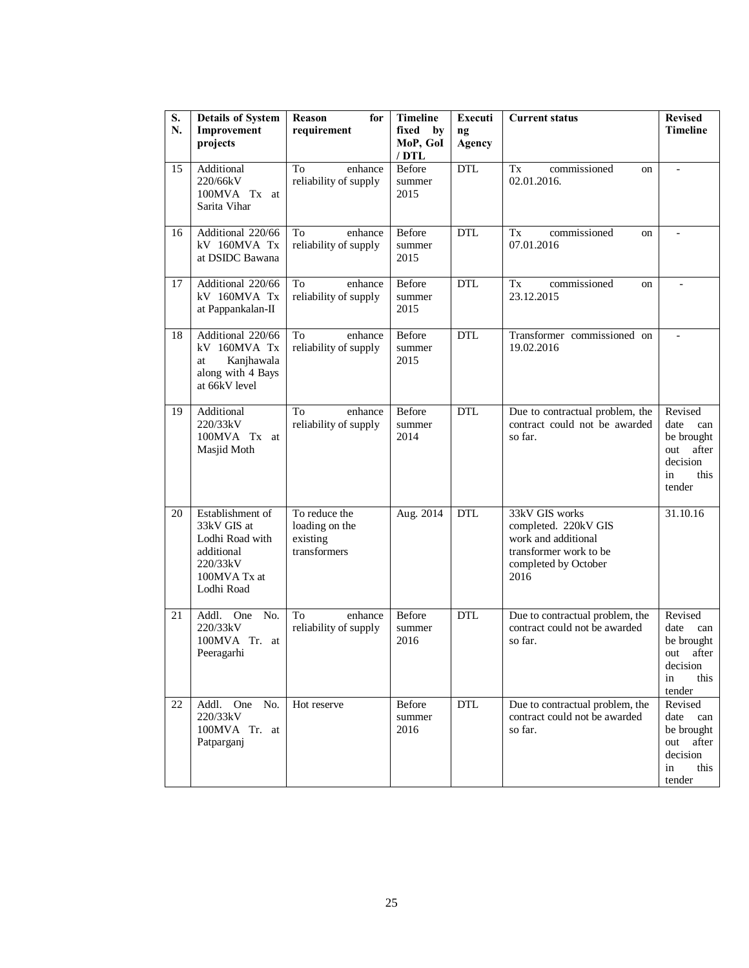| S.<br>N. | <b>Details of System</b><br>Improvement<br>projects                                                        | <b>Reason</b><br>for<br>requirement                         | <b>Timeline</b><br>fixed<br>by<br>MoP, GoI<br>$/$ DTL | Executi<br>ng<br>Agency | <b>Current status</b>                                                                                                   | <b>Revised</b><br><b>Timeline</b>                                                        |
|----------|------------------------------------------------------------------------------------------------------------|-------------------------------------------------------------|-------------------------------------------------------|-------------------------|-------------------------------------------------------------------------------------------------------------------------|------------------------------------------------------------------------------------------|
| 15       | Additional<br>220/66kV<br>100MVA Tx at<br>Sarita Vihar                                                     | enhance<br>To<br>reliability of supply                      | Before<br>summer<br>2015                              | <b>DTL</b>              | commissioned<br>Tx<br>on<br>02.01.2016.                                                                                 | $\overline{\phantom{m}}$                                                                 |
| 16       | Additional 220/66<br>kV 160MVA Tx<br>at DSIDC Bawana                                                       | To<br>enhance<br>reliability of supply                      | Before<br>summer<br>2015                              | <b>DTL</b>              | Tx<br>commissioned<br><sub>on</sub><br>07.01.2016                                                                       | $\overline{a}$                                                                           |
| 17       | Additional 220/66<br>kV 160MVA Tx<br>at Pappankalan-II                                                     | To<br>enhance<br>reliability of supply                      | Before<br>summer<br>2015                              | DTL                     | commissioned<br>Tx<br>on<br>23.12.2015                                                                                  |                                                                                          |
| 18       | Additional 220/66<br>kV 160MVA Tx<br>Kanjhawala<br>at<br>along with 4 Bays<br>at 66kV level                | To<br>enhance<br>reliability of supply                      | Before<br>summer<br>2015                              | <b>DTL</b>              | Transformer commissioned on<br>19.02.2016                                                                               | $\overline{a}$                                                                           |
| 19       | Additional<br>220/33kV<br>100MVA Tx at<br>Masjid Moth                                                      | To<br>enhance<br>reliability of supply                      | Before<br>summer<br>2014                              | <b>DTL</b>              | Due to contractual problem, the<br>contract could not be awarded<br>so far.                                             | Revised<br>date<br>can<br>be brought<br>after<br>out<br>decision<br>in<br>this<br>tender |
| 20       | Establishment of<br>33kV GIS at<br>Lodhi Road with<br>additional<br>220/33kV<br>100MVA Tx at<br>Lodhi Road | To reduce the<br>loading on the<br>existing<br>transformers | Aug. 2014                                             | <b>DTL</b>              | 33kV GIS works<br>completed. 220kV GIS<br>work and additional<br>transformer work to be<br>completed by October<br>2016 | 31.10.16                                                                                 |
| 21       | One<br>No.<br>Addl.<br>220/33kV<br>100MVA Tr. at<br>Peeragarhi                                             | To<br>enhance<br>reliability of supply                      | Before<br>summer<br>2016                              | <b>DTL</b>              | Due to contractual problem, the<br>contract could not be awarded<br>so far.                                             | Revised<br>date<br>can<br>be brought<br>out after<br>decision<br>in<br>this<br>tender    |
| 22       | Addl. One No.<br>220/33kV<br>100MVA Tr. at<br>Patparganj                                                   | Hot reserve                                                 | Before<br>summer<br>2016                              | <b>DTL</b>              | Due to contractual problem, the<br>contract could not be awarded<br>so far.                                             | Revised<br>date<br>can<br>be brought<br>after<br>out<br>decision<br>this<br>in<br>tender |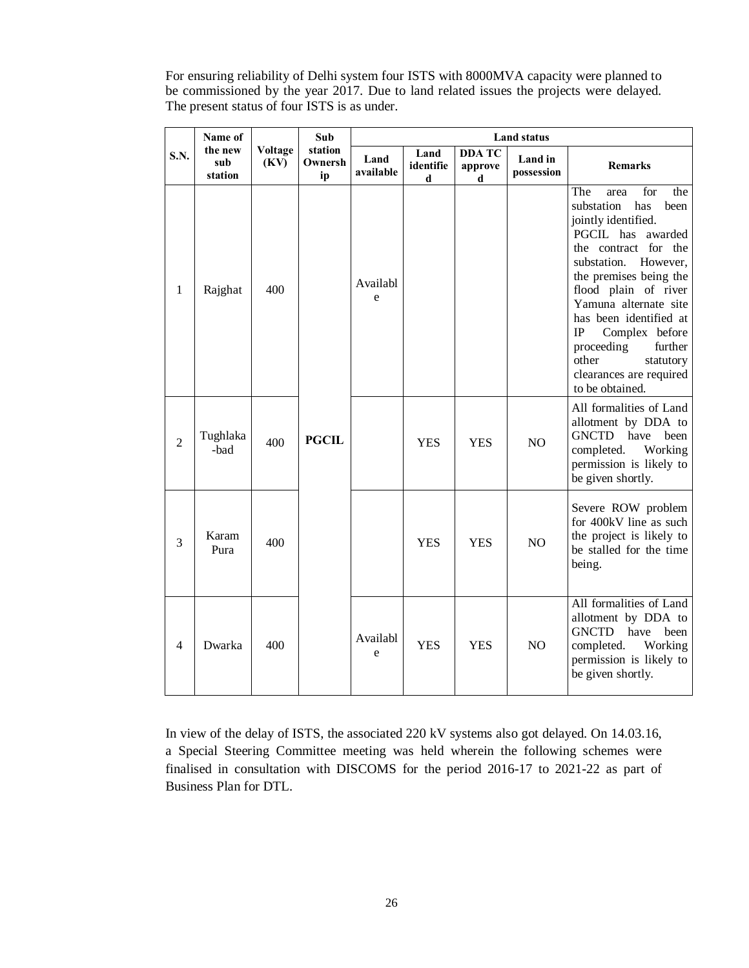For ensuring reliability of Delhi system four ISTS with 8000MVA capacity were planned to be commissioned by the year 2017. Due to land related issues the projects were delayed. The present status of four ISTS is as under.

|                | Name of                   |                 | Sub                      | <b>Land status</b>       |                        |                               |                       |                                                                                                                                                                                                                                                                                                                                                                                        |
|----------------|---------------------------|-----------------|--------------------------|--------------------------|------------------------|-------------------------------|-----------------------|----------------------------------------------------------------------------------------------------------------------------------------------------------------------------------------------------------------------------------------------------------------------------------------------------------------------------------------------------------------------------------------|
| S.N.           | the new<br>sub<br>station | Voltage<br>(KV) | station<br>Ownersh<br>ip | Land<br>available        | Land<br>identifie<br>d | <b>DDA TC</b><br>approve<br>d | Land in<br>possession | <b>Remarks</b>                                                                                                                                                                                                                                                                                                                                                                         |
| 1              | Rajghat                   | 400             |                          | Availabl<br>$\mathbf{e}$ |                        |                               |                       | The<br>for<br>the<br>area<br>substation<br>has<br>been<br>jointly identified.<br>PGCIL has awarded<br>the contract for the<br>substation.<br>However,<br>the premises being the<br>flood plain of river<br>Yamuna alternate site<br>has been identified at<br>Complex before<br><b>IP</b><br>proceeding<br>further<br>other<br>statutory<br>clearances are required<br>to be obtained. |
| $\overline{2}$ | Tughlaka<br>-bad          | 400             | <b>PGCIL</b>             |                          | <b>YES</b>             | <b>YES</b>                    | N <sub>O</sub>        | All formalities of Land<br>allotment by DDA to<br>GNCTD have been<br>completed.<br>Working<br>permission is likely to<br>be given shortly.                                                                                                                                                                                                                                             |
| 3              | Karam<br>Pura             | 400             |                          |                          | <b>YES</b>             | <b>YES</b>                    | NO                    | Severe ROW problem<br>for 400kV line as such<br>the project is likely to<br>be stalled for the time<br>being.                                                                                                                                                                                                                                                                          |
| 4              | Dwarka                    | 400             |                          | Availabl<br>e            | <b>YES</b>             | <b>YES</b>                    | NO                    | All formalities of Land<br>allotment by DDA to<br><b>GNCTD</b><br>have<br>been<br>completed.<br>Working<br>permission is likely to<br>be given shortly.                                                                                                                                                                                                                                |

In view of the delay of ISTS, the associated 220 kV systems also got delayed. On 14.03.16, a Special Steering Committee meeting was held wherein the following schemes were finalised in consultation with DISCOMS for the period 2016-17 to 2021-22 as part of Business Plan for DTL.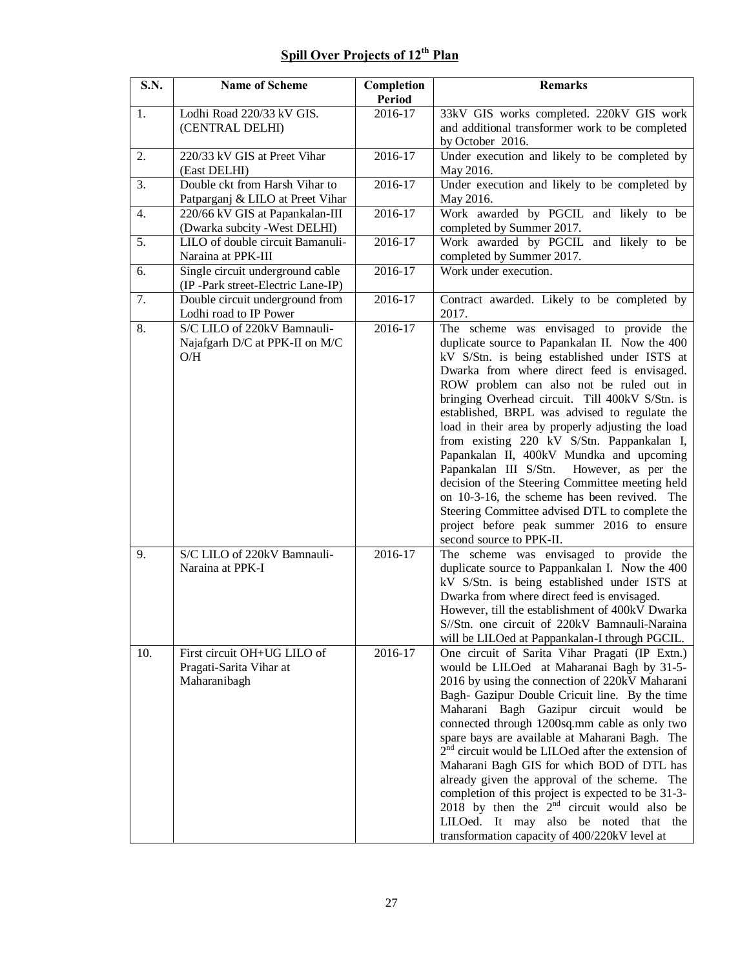## **Spill Over Projects of 12th Plan**

| <b>S.N.</b> | <b>Name of Scheme</b>                                                 | Completion<br><b>Period</b> | Remarks                                                                                                         |
|-------------|-----------------------------------------------------------------------|-----------------------------|-----------------------------------------------------------------------------------------------------------------|
| 1.          | Lodhi Road 220/33 kV GIS.                                             | 2016-17                     |                                                                                                                 |
|             | (CENTRAL DELHI)                                                       |                             | 33kV GIS works completed. 220kV GIS work<br>and additional transformer work to be completed<br>by October 2016. |
| 2.          | 220/33 kV GIS at Preet Vihar                                          | 2016-17                     | Under execution and likely to be completed by                                                                   |
|             | (East DELHI)                                                          |                             | May 2016.                                                                                                       |
| 3.          | Double ckt from Harsh Vihar to                                        | 2016-17                     | Under execution and likely to be completed by                                                                   |
|             | Patparganj & LILO at Preet Vihar                                      |                             | May 2016.                                                                                                       |
| 4.          | 220/66 kV GIS at Papankalan-III<br>(Dwarka subcity -West DELHI)       | 2016-17                     | Work awarded by PGCIL and likely to be<br>completed by Summer 2017.                                             |
| 5.          | LILO of double circuit Bamanuli-                                      | 2016-17                     | Work awarded by PGCIL and likely to be                                                                          |
|             | Naraina at PPK-III                                                    |                             | completed by Summer 2017.                                                                                       |
| 6.          | Single circuit underground cable<br>(IP-Park street-Electric Lane-IP) | $2016 - 17$                 | Work under execution.                                                                                           |
| 7.          | Double circuit underground from                                       | $2016 - 17$                 | Contract awarded. Likely to be completed by                                                                     |
|             | Lodhi road to IP Power                                                |                             | 2017.                                                                                                           |
| 8.          | S/C LILO of 220kV Bamnauli-                                           | 2016-17                     | The scheme was envisaged to provide the                                                                         |
|             | Najafgarh D/C at PPK-II on M/C                                        |                             | duplicate source to Papankalan II. Now the 400                                                                  |
|             | O/H                                                                   |                             | kV S/Stn. is being established under ISTS at                                                                    |
|             |                                                                       |                             | Dwarka from where direct feed is envisaged.                                                                     |
|             |                                                                       |                             | ROW problem can also not be ruled out in                                                                        |
|             |                                                                       |                             | bringing Overhead circuit. Till 400kV S/Stn. is                                                                 |
|             |                                                                       |                             | established, BRPL was advised to regulate the                                                                   |
|             |                                                                       |                             | load in their area by properly adjusting the load                                                               |
|             |                                                                       |                             |                                                                                                                 |
|             |                                                                       |                             | from existing 220 kV S/Stn. Pappankalan I,                                                                      |
|             |                                                                       |                             | Papankalan II, 400kV Mundka and upcoming                                                                        |
|             |                                                                       |                             | Papankalan III S/Stn.<br>However, as per the                                                                    |
|             |                                                                       |                             | decision of the Steering Committee meeting held                                                                 |
|             |                                                                       |                             | on 10-3-16, the scheme has been revived. The                                                                    |
|             |                                                                       |                             | Steering Committee advised DTL to complete the                                                                  |
|             |                                                                       |                             | project before peak summer 2016 to ensure                                                                       |
|             |                                                                       |                             | second source to PPK-II.                                                                                        |
| 9.          | S/C LILO of 220kV Bamnauli-                                           | 2016-17                     | The scheme was envisaged to provide the                                                                         |
|             | Naraina at PPK-I                                                      |                             | duplicate source to Pappankalan I. Now the 400                                                                  |
|             |                                                                       |                             | kV S/Stn. is being established under ISTS at                                                                    |
|             |                                                                       |                             | Dwarka from where direct feed is envisaged.                                                                     |
|             |                                                                       |                             | However, till the establishment of 400kV Dwarka                                                                 |
|             |                                                                       |                             | S//Stn. one circuit of 220kV Bamnauli-Naraina                                                                   |
|             |                                                                       |                             | will be LILOed at Pappankalan-I through PGCIL.                                                                  |
| 10.         | First circuit OH+UG LILO of                                           | 2016-17                     | One circuit of Sarita Vihar Pragati (IP Extn.)                                                                  |
|             | Pragati-Sarita Vihar at                                               |                             | would be LILOed at Maharanai Bagh by 31-5-                                                                      |
|             | Maharanibagh                                                          |                             | 2016 by using the connection of 220kV Maharani                                                                  |
|             |                                                                       |                             | Bagh- Gazipur Double Cricuit line. By the time                                                                  |
|             |                                                                       |                             | Maharani Bagh Gazipur circuit would be                                                                          |
|             |                                                                       |                             | connected through 1200sq.mm cable as only two                                                                   |
|             |                                                                       |                             | spare bays are available at Maharani Bagh. The                                                                  |
|             |                                                                       |                             | $2nd$ circuit would be LILOed after the extension of                                                            |
|             |                                                                       |                             | Maharani Bagh GIS for which BOD of DTL has                                                                      |
|             |                                                                       |                             | already given the approval of the scheme. The                                                                   |
|             |                                                                       |                             | completion of this project is expected to be 31-3-                                                              |
|             |                                                                       |                             | 2018 by then the $2nd$ circuit would also be                                                                    |
|             |                                                                       |                             | LILOed. It may also be noted that the                                                                           |
|             |                                                                       |                             | transformation capacity of 400/220kV level at                                                                   |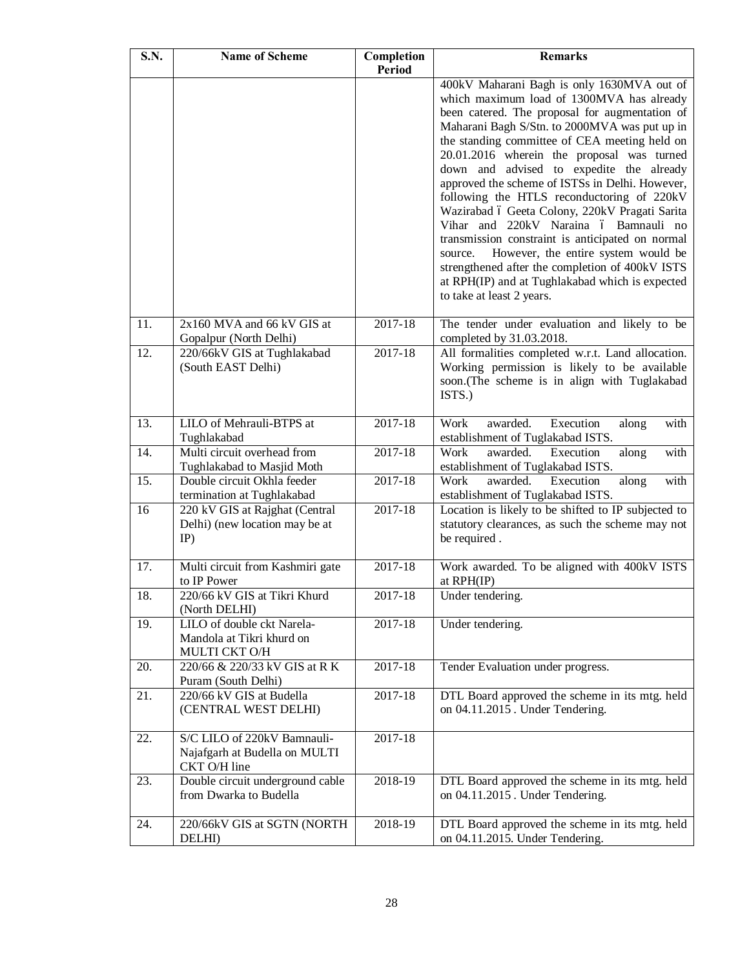| S.N. | <b>Name of Scheme</b>                                        | Completion<br><b>Period</b> | <b>Remarks</b>                                                                               |
|------|--------------------------------------------------------------|-----------------------------|----------------------------------------------------------------------------------------------|
|      |                                                              |                             | 400kV Maharani Bagh is only 1630MVA out of                                                   |
|      |                                                              |                             | which maximum load of 1300MVA has already                                                    |
|      |                                                              |                             | been catered. The proposal for augmentation of                                               |
|      |                                                              |                             | Maharani Bagh S/Stn. to 2000MVA was put up in                                                |
|      |                                                              |                             | the standing committee of CEA meeting held on                                                |
|      |                                                              |                             | 20.01.2016 wherein the proposal was turned                                                   |
|      |                                                              |                             | down and advised to expedite the already                                                     |
|      |                                                              |                             | approved the scheme of ISTSs in Delhi. However,                                              |
|      |                                                              |                             | following the HTLS reconductoring of 220kV<br>Wazirabad ó Geeta Colony, 220kV Pragati Sarita |
|      |                                                              |                             | Vihar and 220kV Naraina ó Bamnauli no                                                        |
|      |                                                              |                             | transmission constraint is anticipated on normal                                             |
|      |                                                              |                             | However, the entire system would be<br>source.                                               |
|      |                                                              |                             | strengthened after the completion of 400kV ISTS                                              |
|      |                                                              |                             | at RPH(IP) and at Tughlakabad which is expected                                              |
|      |                                                              |                             | to take at least 2 years.                                                                    |
| 11.  | 2x160 MVA and 66 kV GIS at                                   | $2017 - 18$                 | The tender under evaluation and likely to be                                                 |
|      | Gopalpur (North Delhi)                                       |                             | completed by 31.03.2018.                                                                     |
| 12.  | 220/66kV GIS at Tughlakabad                                  | $2017 - 18$                 | All formalities completed w.r.t. Land allocation.                                            |
|      | (South EAST Delhi)                                           |                             | Working permission is likely to be available                                                 |
|      |                                                              |                             | soon.(The scheme is in align with Tuglakabad<br>ISTS.)                                       |
|      |                                                              |                             |                                                                                              |
| 13.  | LILO of Mehrauli-BTPS at                                     | 2017-18                     | Work<br>awarded.<br>Execution<br>with<br>along                                               |
|      | Tughlakabad                                                  |                             | establishment of Tuglakabad ISTS.                                                            |
| 14.  | Multi circuit overhead from                                  | $2017 - 18$                 | Work<br>Execution<br>with<br>awarded.<br>along                                               |
|      | Tughlakabad to Masjid Moth                                   |                             | establishment of Tuglakabad ISTS.                                                            |
| 15.  | Double circuit Okhla feeder                                  | 2017-18                     | Work<br>awarded.<br>Execution<br>with<br>along                                               |
| 16   | termination at Tughlakabad<br>220 kV GIS at Rajghat (Central | 2017-18                     | establishment of Tuglakabad ISTS.<br>Location is likely to be shifted to IP subjected to     |
|      | Delhi) (new location may be at                               |                             | statutory clearances, as such the scheme may not                                             |
|      | $IP$ )                                                       |                             | be required.                                                                                 |
|      |                                                              |                             |                                                                                              |
| 17.  | Multi circuit from Kashmiri gate                             | 2017-18                     | Work awarded. To be aligned with 400kV ISTS                                                  |
|      | to IP Power                                                  |                             | at RPH(IP)                                                                                   |
| 18.  | 220/66 kV GIS at Tikri Khurd<br>(North DELHI)                | $2017 - 18$                 | Under tendering.                                                                             |
| 19.  | LILO of double ckt Narela-                                   | 2017-18                     | Under tendering.                                                                             |
|      | Mandola at Tikri khurd on                                    |                             |                                                                                              |
|      | MULTI CKT O/H                                                |                             |                                                                                              |
| 20.  | 220/66 & 220/33 kV GIS at R K                                | 2017-18                     | Tender Evaluation under progress.                                                            |
|      | Puram (South Delhi)                                          |                             |                                                                                              |
| 21.  | 220/66 kV GIS at Budella                                     | 2017-18                     | DTL Board approved the scheme in its mtg. held                                               |
|      | (CENTRAL WEST DELHI)                                         |                             | on 04.11.2015. Under Tendering.                                                              |
|      |                                                              |                             |                                                                                              |
| 22.  | S/C LILO of 220kV Bamnauli-                                  | 2017-18                     |                                                                                              |
|      | Najafgarh at Budella on MULTI<br>CKT O/H line                |                             |                                                                                              |
| 23.  | Double circuit underground cable                             | 2018-19                     | DTL Board approved the scheme in its mtg. held                                               |
|      | from Dwarka to Budella                                       |                             | on 04.11.2015. Under Tendering.                                                              |
|      |                                                              |                             |                                                                                              |
| 24.  | 220/66kV GIS at SGTN (NORTH                                  | 2018-19                     | DTL Board approved the scheme in its mtg. held                                               |
|      | DELHI)                                                       |                             | on 04.11.2015. Under Tendering.                                                              |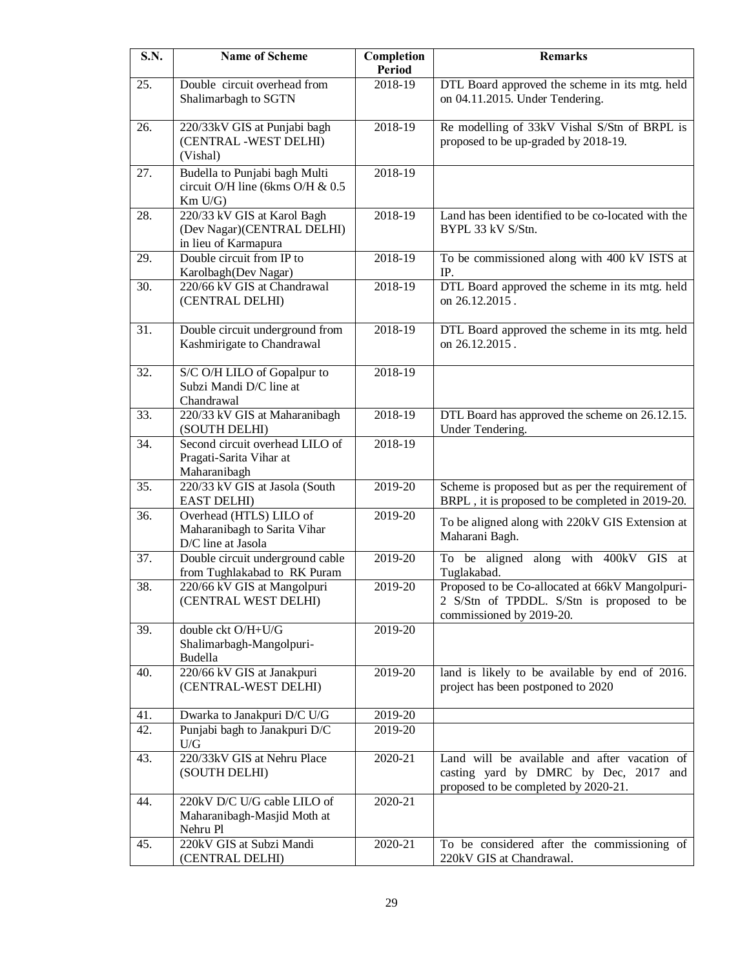| <b>S.N.</b> | <b>Name of Scheme</b>                                                             | Completion<br><b>Period</b> | <b>Remarks</b>                                                                                                                |
|-------------|-----------------------------------------------------------------------------------|-----------------------------|-------------------------------------------------------------------------------------------------------------------------------|
| 25.         | Double circuit overhead from<br>Shalimarbagh to SGTN                              | 2018-19                     | DTL Board approved the scheme in its mtg. held<br>on 04.11.2015. Under Tendering.                                             |
| 26.         | 220/33kV GIS at Punjabi bagh<br>(CENTRAL -WEST DELHI)<br>(Vishal)                 | 2018-19                     | Re modelling of 33kV Vishal S/Stn of BRPL is<br>proposed to be up-graded by 2018-19.                                          |
| 27.         | Budella to Punjabi bagh Multi<br>circuit O/H line (6kms O/H & 0.5<br>$Km$ U/G)    | 2018-19                     |                                                                                                                               |
| 28.         | 220/33 kV GIS at Karol Bagh<br>(Dev Nagar)(CENTRAL DELHI)<br>in lieu of Karmapura | 2018-19                     | Land has been identified to be co-located with the<br>BYPL 33 kV S/Stn.                                                       |
| 29.         | Double circuit from IP to<br>Karolbagh(Dev Nagar)                                 | 2018-19                     | To be commissioned along with 400 kV ISTS at<br>IP.                                                                           |
| 30.         | 220/66 kV GIS at Chandrawal<br>(CENTRAL DELHI)                                    | 2018-19                     | DTL Board approved the scheme in its mtg. held<br>on 26.12.2015.                                                              |
| 31.         | Double circuit underground from<br>Kashmirigate to Chandrawal                     | 2018-19                     | DTL Board approved the scheme in its mtg. held<br>on 26.12.2015.                                                              |
| 32.         | S/C O/H LILO of Gopalpur to<br>Subzi Mandi D/C line at<br>Chandrawal              | 2018-19                     |                                                                                                                               |
| 33.         | 220/33 kV GIS at Maharanibagh<br>(SOUTH DELHI)                                    | 2018-19                     | DTL Board has approved the scheme on 26.12.15.<br>Under Tendering.                                                            |
| 34.         | Second circuit overhead LILO of<br>Pragati-Sarita Vihar at<br>Maharanibagh        | 2018-19                     |                                                                                                                               |
| 35.         | 220/33 kV GIS at Jasola (South<br><b>EAST DELHI</b> )                             | 2019-20                     | Scheme is proposed but as per the requirement of<br>BRPL, it is proposed to be completed in 2019-20.                          |
| 36.         | Overhead (HTLS) LILO of<br>Maharanibagh to Sarita Vihar<br>D/C line at Jasola     | 2019-20                     | To be aligned along with 220kV GIS Extension at<br>Maharani Bagh.                                                             |
| 37.         | Double circuit underground cable<br>from Tughlakabad to RK Puram                  | 2019-20                     | To be aligned along with 400kV<br>GIS at<br>Tuglakabad.                                                                       |
| 38.         | 220/66 kV GIS at Mangolpuri<br>(CENTRAL WEST DELHI)                               | 2019-20                     | Proposed to be Co-allocated at 66kV Mangolpuri-<br>2 S/Stn of TPDDL. S/Stn is proposed to be<br>commissioned by 2019-20.      |
| 39.         | double ckt O/H+U/G<br>Shalimarbagh-Mangolpuri-<br>Budella                         | 2019-20                     |                                                                                                                               |
| 40.         | 220/66 kV GIS at Janakpuri<br>(CENTRAL-WEST DELHI)                                | 2019-20                     | land is likely to be available by end of 2016.<br>project has been postponed to 2020                                          |
| 41.         | Dwarka to Janakpuri D/C U/G                                                       | 2019-20                     |                                                                                                                               |
| 42.         | Punjabi bagh to Janakpuri D/C<br>$\mathbf{U}/\mathbf{G}$                          | 2019-20                     |                                                                                                                               |
| 43.         | 220/33kV GIS at Nehru Place<br>(SOUTH DELHI)                                      | 2020-21                     | Land will be available and after vacation of<br>casting yard by DMRC by Dec, 2017 and<br>proposed to be completed by 2020-21. |
| 44.         | 220kV D/C U/G cable LILO of<br>Maharanibagh-Masjid Moth at<br>Nehru Pl            | 2020-21                     |                                                                                                                               |
| 45.         | 220kV GIS at Subzi Mandi<br>(CENTRAL DELHI)                                       | 2020-21                     | To be considered after the commissioning of<br>220kV GIS at Chandrawal.                                                       |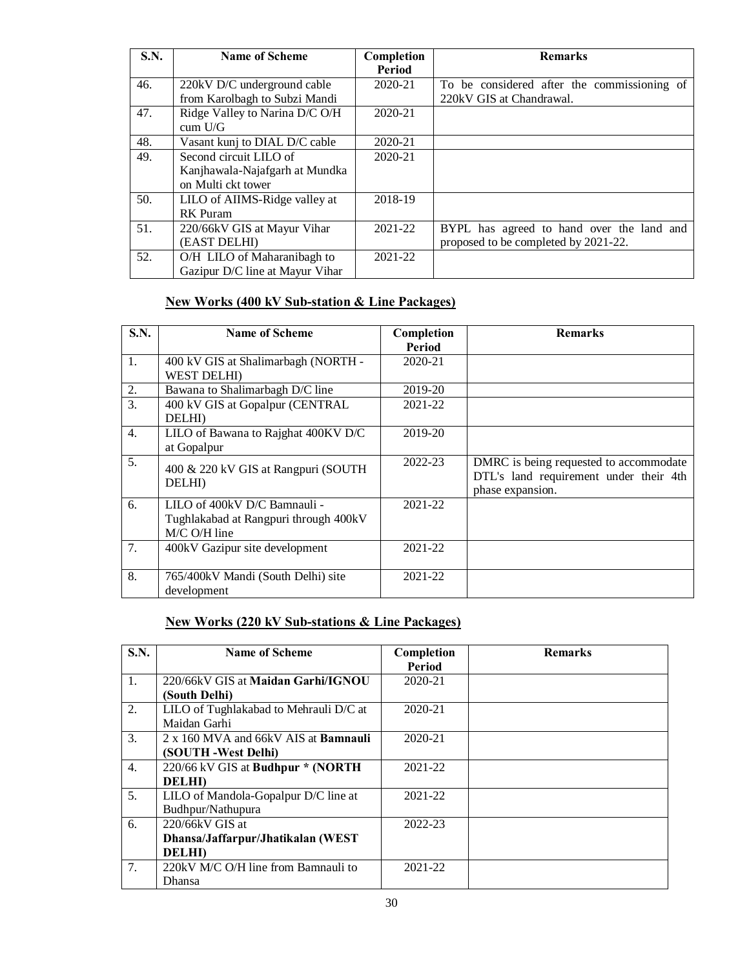| S.N. | <b>Name of Scheme</b>           | Completion | <b>Remarks</b>                              |
|------|---------------------------------|------------|---------------------------------------------|
|      |                                 | Period     |                                             |
| 46.  | 220kV D/C underground cable     | 2020-21    | To be considered after the commissioning of |
|      | from Karolbagh to Subzi Mandi   |            | 220kV GIS at Chandrawal.                    |
| 47.  | Ridge Valley to Narina D/C O/H  | 2020-21    |                                             |
|      | cum U/G                         |            |                                             |
| 48.  | Vasant kunj to DIAL D/C cable   | 2020-21    |                                             |
| 49.  | Second circuit LILO of          | 2020-21    |                                             |
|      | Kanjhawala-Najafgarh at Mundka  |            |                                             |
|      | on Multi ckt tower              |            |                                             |
| 50.  | LILO of AIIMS-Ridge valley at   | 2018-19    |                                             |
|      | <b>RK</b> Puram                 |            |                                             |
| 51.  | 220/66kV GIS at Mayur Vihar     | 2021-22    | BYPL has agreed to hand over the land and   |
|      | (EAST DELHI)                    |            | proposed to be completed by 2021-22.        |
| 52.  | O/H LILO of Maharanibagh to     | 2021-22    |                                             |
|      | Gazipur D/C line at Mayur Vihar |            |                                             |

## **New Works (400 kV Sub-station & Line Packages)**

| <b>S.N.</b> | <b>Name of Scheme</b>                                                                 | Completion               | <b>Remarks</b>                                                                                       |
|-------------|---------------------------------------------------------------------------------------|--------------------------|------------------------------------------------------------------------------------------------------|
| 1.          | 400 kV GIS at Shalimarbagh (NORTH -<br><b>WEST DELHI</b> )                            | <b>Period</b><br>2020-21 |                                                                                                      |
| 2.          | Bawana to Shalimarbagh D/C line                                                       | 2019-20                  |                                                                                                      |
| 3.          | 400 kV GIS at Gopalpur (CENTRAL<br><b>DELHI</b>                                       | 2021-22                  |                                                                                                      |
| 4.          | LILO of Bawana to Rajghat 400KV D/C<br>at Gopalpur                                    | 2019-20                  |                                                                                                      |
| 5.          | 400 & 220 kV GIS at Rangpuri (SOUTH<br><b>DELHI</b> )                                 | 2022-23                  | DMRC is being requested to accommodate<br>DTL's land requirement under their 4th<br>phase expansion. |
| 6.          | LILO of 400kV D/C Bamnauli -<br>Tughlakabad at Rangpuri through 400kV<br>M/C O/H line | 2021-22                  |                                                                                                      |
| 7.          | 400kV Gazipur site development                                                        | 2021-22                  |                                                                                                      |
| 8.          | 765/400kV Mandi (South Delhi) site<br>development                                     | 2021-22                  |                                                                                                      |

## **New Works (220 kV Sub-stations & Line Packages)**

| <b>S.N.</b> | Name of Scheme                              | Completion | <b>Remarks</b> |
|-------------|---------------------------------------------|------------|----------------|
|             |                                             | Period     |                |
| 1.          | 220/66kV GIS at Maidan Garhi/IGNOU          | 2020-21    |                |
|             | (South Delhi)                               |            |                |
| 2.          | LILO of Tughlakabad to Mehrauli D/C at      | 2020-21    |                |
|             | Maidan Garhi                                |            |                |
| 3.          | 2 x 160 MVA and 66kV AIS at <b>Bamnauli</b> | 2020-21    |                |
|             | (SOUTH - West Delhi)                        |            |                |
| 4.          | 220/66 kV GIS at Budhpur * (NORTH           | 2021-22    |                |
|             | <b>DELHI</b>                                |            |                |
| 5.          | LILO of Mandola-Gopalpur D/C line at        | 2021-22    |                |
|             | Budhpur/Nathupura                           |            |                |
| 6.          | $220/66kV$ GIS at                           | 2022-23    |                |
|             | Dhansa/Jaffarpur/Jhatikalan (WEST           |            |                |
|             | <b>DELHI</b>                                |            |                |
| 7.          | 220kV M/C O/H line from Bamnauli to         | 2021-22    |                |
|             | <b>Dhansa</b>                               |            |                |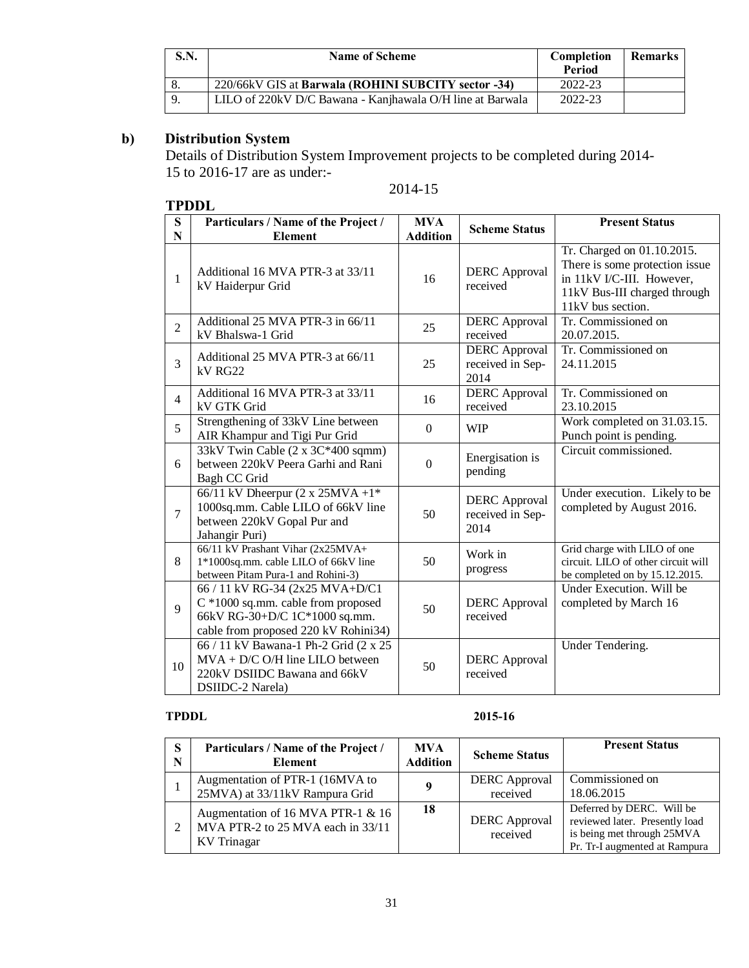| <b>S.N.</b> | <b>Name of Scheme</b>                                     | Completion<br>Period | <b>Remarks</b> |
|-------------|-----------------------------------------------------------|----------------------|----------------|
|             | 220/66kV GIS at Barwala (ROHINI SUBCITY sector -34)       | 2022-23              |                |
|             | LILO of 220kV D/C Bawana - Kanjhawala O/H line at Barwala | 2022-23              |                |

## **b) Distribution System**

Details of Distribution System Improvement projects to be completed during 2014- 15 to 2016-17 are as under:-

## **TPDDL**

## 2014-15

|                  | II レレレ                                                                                                                                         |                               |                                                  |                                                                                                                                                |
|------------------|------------------------------------------------------------------------------------------------------------------------------------------------|-------------------------------|--------------------------------------------------|------------------------------------------------------------------------------------------------------------------------------------------------|
| S<br>$\mathbf N$ | Particulars / Name of the Project /<br><b>Element</b>                                                                                          | <b>MVA</b><br><b>Addition</b> | <b>Scheme Status</b>                             | <b>Present Status</b>                                                                                                                          |
| $\mathbf{1}$     | Additional 16 MVA PTR-3 at 33/11<br>kV Haiderpur Grid                                                                                          | 16                            | <b>DERC</b> Approval<br>received                 | Tr. Charged on 01.10.2015.<br>There is some protection issue<br>in 11kV I/C-III. However,<br>11kV Bus-III charged through<br>11kV bus section. |
| $\overline{2}$   | Additional 25 MVA PTR-3 in 66/11<br>kV Bhalswa-1 Grid                                                                                          | 25                            | <b>DERC</b> Approval<br>received                 | Tr. Commissioned on<br>20.07.2015.                                                                                                             |
| 3                | Additional 25 MVA PTR-3 at 66/11<br>kV RG22                                                                                                    | 25                            | <b>DERC</b> Approval<br>received in Sep-<br>2014 | Tr. Commissioned on<br>24.11.2015                                                                                                              |
| $\overline{4}$   | Additional 16 MVA PTR-3 at 33/11<br>kV GTK Grid                                                                                                | 16                            | <b>DERC</b> Approval<br>received                 | Tr. Commissioned on<br>23.10.2015                                                                                                              |
| 5                | Strengthening of 33kV Line between<br>AIR Khampur and Tigi Pur Grid                                                                            | $\mathbf{0}$                  | <b>WIP</b>                                       | Work completed on 31.03.15.<br>Punch point is pending.                                                                                         |
| 6                | 33kV Twin Cable (2 x 3C*400 sqmm)<br>between 220kV Peera Garhi and Rani<br>Bagh CC Grid                                                        | $\mathbf{0}$                  | Energisation is<br>pending                       | Circuit commissioned.                                                                                                                          |
| $\overline{7}$   | 66/11 kV Dheerpur $(2 \times 25MVA + 1^*)$<br>1000sq.mm. Cable LILO of 66kV line<br>between 220kV Gopal Pur and<br>Jahangir Puri)              | 50                            | <b>DERC</b> Approval<br>received in Sep-<br>2014 | Under execution. Likely to be<br>completed by August 2016.                                                                                     |
| 8                | 66/11 kV Prashant Vihar (2x25MVA+<br>1*1000sq.mm. cable LILO of 66kV line<br>between Pitam Pura-1 and Rohini-3)                                | 50                            | Work in<br>progress                              | Grid charge with LILO of one<br>circuit. LILO of other circuit will<br>be completed on by 15.12.2015.                                          |
| 9                | 66 / 11 kV RG-34 (2x25 MVA+D/C1<br>C *1000 sq.mm. cable from proposed<br>66kV RG-30+D/C 1C*1000 sq.mm.<br>cable from proposed 220 kV Rohini34) | 50                            | <b>DERC</b> Approval<br>received                 | Under Execution. Will be<br>completed by March 16                                                                                              |
| 10               | 66 / 11 kV Bawana-1 Ph-2 Grid (2 x 25<br>$MVA + D/C O/H$ line LILO between<br>220kV DSIIDC Bawana and 66kV<br>DSIIDC-2 Narela)                 | 50                            | <b>DERC</b> Approval<br>received                 | Under Tendering.                                                                                                                               |

### **TPDDL 2015-16**

| S.<br>N | Particulars / Name of the Project /<br><b>Element</b>                                 | <b>MVA</b><br><b>Addition</b> | <b>Scheme Status</b>             | <b>Present Status</b>                                                                                                      |
|---------|---------------------------------------------------------------------------------------|-------------------------------|----------------------------------|----------------------------------------------------------------------------------------------------------------------------|
|         | Augmentation of PTR-1 (16MVA to<br>25MVA) at 33/11kV Rampura Grid                     | $\mathbf o$                   | <b>DERC</b> Approval<br>received | Commissioned on<br>18.06.2015                                                                                              |
|         | Augmentation of 16 MVA PTR-1 & 16<br>MVA PTR-2 to 25 MVA each in 33/11<br>KV Trinagar | 18                            | <b>DERC</b> Approval<br>received | Deferred by DERC. Will be<br>reviewed later. Presently load<br>is being met through 25MVA<br>Pr. Tr-I augmented at Rampura |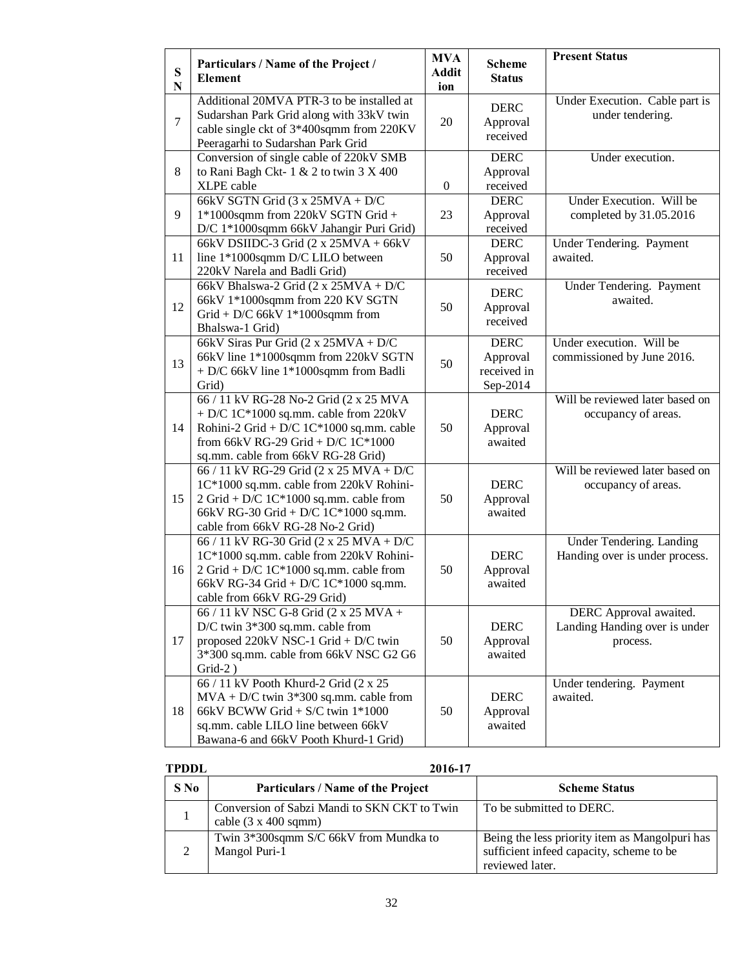| ${\bf S}$<br>${\bf N}$ | Particulars / Name of the Project /<br><b>Element</b>                                                                                                                                                                            | <b>MVA</b><br><b>Addit</b><br>ion | <b>Scheme</b><br><b>Status</b>                     | <b>Present Status</b>                                               |
|------------------------|----------------------------------------------------------------------------------------------------------------------------------------------------------------------------------------------------------------------------------|-----------------------------------|----------------------------------------------------|---------------------------------------------------------------------|
| $\overline{7}$         | Additional 20MVA PTR-3 to be installed at<br>Sudarshan Park Grid along with 33kV twin<br>cable single ckt of 3*400sqmm from 220KV<br>Peeragarhi to Sudarshan Park Grid                                                           | 20                                | <b>DERC</b><br>Approval<br>received                | Under Execution. Cable part is<br>under tendering.                  |
| 8                      | Conversion of single cable of 220kV SMB<br>to Rani Bagh Ckt-1 & 2 to twin 3 X 400<br>XLPE cable                                                                                                                                  | $\mathbf{0}$                      | <b>DERC</b><br>Approval<br>received                | Under execution.                                                    |
| 9                      | 66kV SGTN Grid $(3 x 25MVA + D/C)$<br>1*1000sqmm from 220kV SGTN Grid +<br>D/C 1*1000sqmm 66kV Jahangir Puri Grid)                                                                                                               | 23                                | <b>DERC</b><br>Approval<br>received                | Under Execution. Will be<br>completed by 31.05.2016                 |
| 11                     | 66kV DSIIDC-3 Grid $(2 x 25MVA + 66kV)$<br>line 1*1000sqmm D/C LILO between<br>220kV Narela and Badli Grid)                                                                                                                      | 50                                | <b>DERC</b><br>Approval<br>received                | Under Tendering. Payment<br>awaited.                                |
| 12                     | 66kV Bhalswa-2 Grid $(2 \times 25MVA + D/C)$<br>66kV 1*1000sqmm from 220 KV SGTN<br>Grid + D/C 66kV $1*1000$ sqmm from<br>Bhalswa-1 Grid)                                                                                        | 50                                | <b>DERC</b><br>Approval<br>received                | Under Tendering. Payment<br>awaited.                                |
| 13                     | 66kV Siras Pur Grid (2 x 25MVA + D/C<br>66kV line 1*1000sqmm from 220kV SGTN<br>+ D/C 66kV line 1*1000sqmm from Badli<br>Grid)                                                                                                   | 50                                | <b>DERC</b><br>Approval<br>received in<br>Sep-2014 | Under execution. Will be<br>commissioned by June 2016.              |
| 14                     | 66 / 11 kV RG-28 No-2 Grid (2 x 25 MVA<br>+ D/C 1C*1000 sq.mm. cable from 220kV<br>Rohini-2 Grid + D/C $1C*1000$ sq.mm. cable<br>from 66kV RG-29 Grid + D/C 1C*1000<br>sq.mm. cable from 66kV RG-28 Grid)                        | 50                                | <b>DERC</b><br>Approval<br>awaited                 | Will be reviewed later based on<br>occupancy of areas.              |
| 15                     | 66 / 11 kV RG-29 Grid (2 x 25 MVA + D/C<br>1C*1000 sq.mm. cable from 220kV Rohini-<br>2 Grid + D/C $1C*1000$ sq.mm. cable from<br>66kV RG-30 Grid + D/C 1C*1000 sq.mm.<br>cable from 66kV RG-28 No-2 Grid)                       | 50                                | <b>DERC</b><br>Approval<br>awaited                 | Will be reviewed later based on<br>occupancy of areas.              |
| 16                     | 66 / 11 kV RG-30 Grid (2 x 25 MVA + D/C<br>1C*1000 sq.mm. cable from 220kV Rohini-<br>$2 \text{ Grid} + D/C$ $1 \text{C*} 1000 \text{ sq.mm.}$ cable from<br>66kV RG-34 Grid + D/C 1C*1000 sq.mm.<br>cable from 66kV RG-29 Grid) | 50                                | <b>DERC</b><br>Approval<br>awaited                 | Under Tendering. Landing<br>Handing over is under process.          |
| 17                     | 66 / 11 kV NSC G-8 Grid (2 x 25 MVA +<br>D/C twin $3*300$ sq.mm. cable from<br>proposed 220kV NSC-1 Grid + D/C twin<br>3*300 sq.mm. cable from 66kV NSC G2 G6<br>$Grid-2)$                                                       | 50                                | <b>DERC</b><br>Approval<br>awaited                 | DERC Approval awaited.<br>Landing Handing over is under<br>process. |
| 18                     | 66 / 11 kV Pooth Khurd-2 Grid (2 x 25<br>$MVA + D/C$ twin 3*300 sq.mm. cable from<br>66kV BCWW Grid + S/C twin $1*1000$<br>sq.mm. cable LILO line between 66kV<br>Bawana-6 and 66kV Pooth Khurd-1 Grid)                          | 50                                | <b>DERC</b><br>Approval<br>awaited                 | Under tendering. Payment<br>awaited.                                |

| <b>TPDDL</b> | 2016-17                                                                             |                                                                                                               |
|--------------|-------------------------------------------------------------------------------------|---------------------------------------------------------------------------------------------------------------|
| $S$ No       | Particulars / Name of the Project                                                   | <b>Scheme Status</b>                                                                                          |
|              | Conversion of Sabzi Mandi to SKN CKT to Twin<br>cable $(3 \times 400 \text{ sqmm})$ | To be submitted to DERC.                                                                                      |
|              | Twin 3*300sqmm S/C 66kV from Mundka to<br>Mangol Puri-1                             | Being the less priority item as Mangolpuri has<br>sufficient infeed capacity, scheme to be<br>reviewed later. |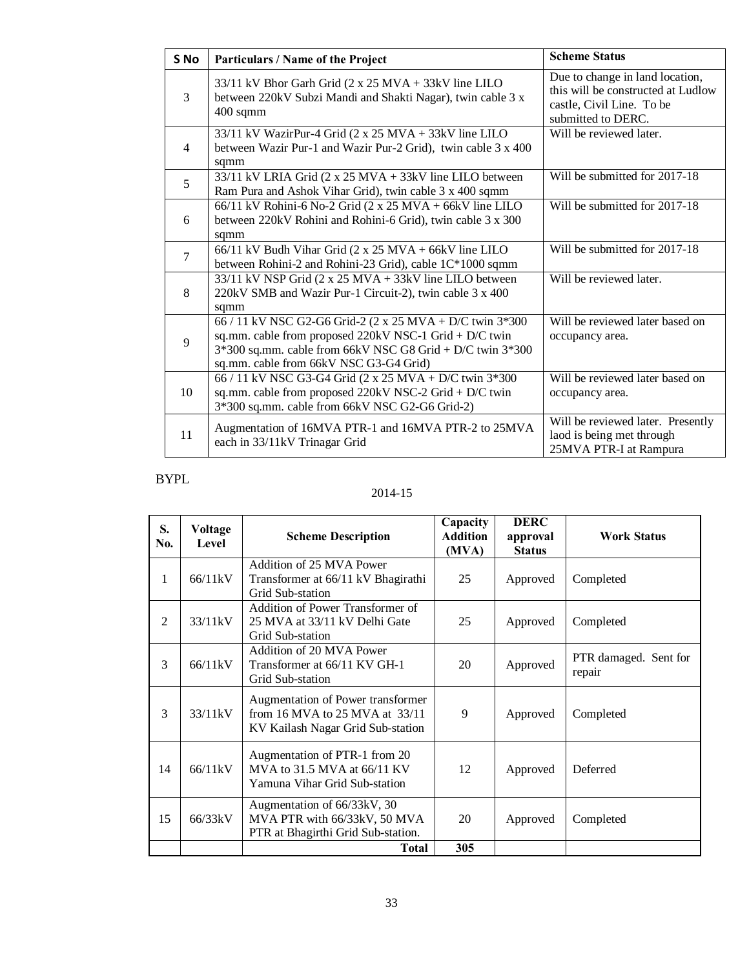| S <sub>No</sub> | Particulars / Name of the Project                                                                                                                                                                                             | <b>Scheme Status</b>                                                                                                     |
|-----------------|-------------------------------------------------------------------------------------------------------------------------------------------------------------------------------------------------------------------------------|--------------------------------------------------------------------------------------------------------------------------|
| 3               | 33/11 kV Bhor Garh Grid (2 x 25 MVA + 33kV line LILO<br>between 220kV Subzi Mandi and Shakti Nagar), twin cable 3 x<br>$400$ sqmm                                                                                             | Due to change in land location,<br>this will be constructed at Ludlow<br>castle, Civil Line. To be<br>submitted to DERC. |
| $\overline{4}$  | 33/11 kV WazirPur-4 Grid (2 x 25 MVA + 33kV line LILO<br>between Wazir Pur-1 and Wazir Pur-2 Grid), twin cable 3 x 400<br>sqmm                                                                                                | Will be reviewed later.                                                                                                  |
| 5               | 33/11 kV LRIA Grid (2 x 25 MVA + 33kV line LILO between<br>Ram Pura and Ashok Vihar Grid), twin cable 3 x 400 sqmm                                                                                                            | Will be submitted for 2017-18                                                                                            |
| 6               | 66/11 kV Rohini-6 No-2 Grid (2 x 25 MVA + 66kV line LILO<br>between 220kV Rohini and Rohini-6 Grid), twin cable 3 x 300<br>sqmm                                                                                               | Will be submitted for 2017-18                                                                                            |
| $\overline{7}$  | $66/11$ kV Budh Vihar Grid (2 x 25 MVA + 66kV line LILO<br>between Rohini-2 and Rohini-23 Grid), cable 1C*1000 sqmm                                                                                                           | Will be submitted for 2017-18                                                                                            |
| 8               | 33/11 kV NSP Grid (2 x 25 MVA + 33kV line LILO between<br>220kV SMB and Wazir Pur-1 Circuit-2), twin cable 3 x 400<br>sqmm                                                                                                    | Will be reviewed later.                                                                                                  |
| 9               | 66 / 11 kV NSC G2-G6 Grid-2 (2 x 25 MVA + D/C twin 3*300<br>sq.mm. cable from proposed 220kV NSC-1 Grid + D/C twin<br>$3*300$ sq.mm. cable from 66kV NSC G8 Grid + D/C twin $3*300$<br>sq.mm. cable from 66kV NSC G3-G4 Grid) | Will be reviewed later based on<br>occupancy area.                                                                       |
| 10              | 66 / 11 kV NSC G3-G4 Grid (2 x 25 MVA + D/C twin 3*300<br>sq.mm. cable from proposed 220kV NSC-2 Grid + D/C twin<br>3*300 sq.mm. cable from 66kV NSC G2-G6 Grid-2)                                                            | Will be reviewed later based on<br>occupancy area.                                                                       |
| 11              | Augmentation of 16MVA PTR-1 and 16MVA PTR-2 to 25MVA<br>each in 33/11kV Trinagar Grid                                                                                                                                         | Will be reviewed later. Presently<br>laod is being met through<br>25MVA PTR-I at Rampura                                 |

## BYPL

## 2014-15

| S.<br>No.      | Voltage<br>Level | <b>Scheme Description</b>                                                                                | Capacity<br><b>Addition</b><br>(MVA) | <b>DERC</b><br>approval<br><b>Status</b> | <b>Work Status</b>              |
|----------------|------------------|----------------------------------------------------------------------------------------------------------|--------------------------------------|------------------------------------------|---------------------------------|
| 1              | 66/11kV          | Addition of 25 MVA Power<br>Transformer at 66/11 kV Bhagirathi<br>Grid Sub-station                       | 25                                   | Approved                                 | Completed                       |
| $\overline{2}$ | 33/11kV          | Addition of Power Transformer of<br>25 MVA at 33/11 kV Delhi Gate<br>Grid Sub-station                    | 25                                   | Approved                                 | Completed                       |
| 3              | 66/11kV          | Addition of 20 MVA Power<br>Transformer at 66/11 KV GH-1<br>Grid Sub-station                             | 20                                   | Approved                                 | PTR damaged. Sent for<br>repair |
| 3              | 33/11kV          | Augmentation of Power transformer<br>from 16 MVA to 25 MVA at 33/11<br>KV Kailash Nagar Grid Sub-station | 9                                    | Approved                                 | Completed                       |
| 14             | 66/11kV          | Augmentation of PTR-1 from 20<br>MVA to 31.5 MVA at 66/11 KV<br>Yamuna Vihar Grid Sub-station            | 12                                   | Approved                                 | Deferred                        |
| 15             | 66/33kV          | Augmentation of 66/33kV, 30<br>MVA PTR with 66/33kV, 50 MVA<br>PTR at Bhagirthi Grid Sub-station.        | 20                                   | Approved                                 | Completed                       |
|                |                  | <b>Total</b>                                                                                             | 305                                  |                                          |                                 |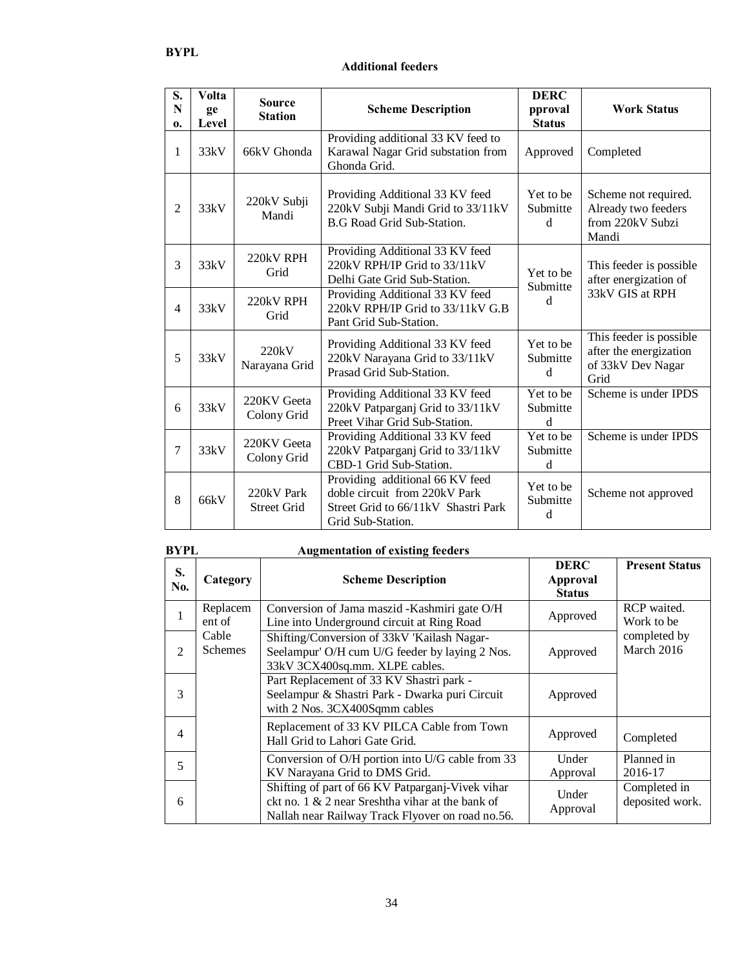#### **Additional feeders**

| S.<br>N<br>0.  | <b>Volta</b><br>ge<br>Level | <b>Source</b><br><b>Station</b>  | <b>Scheme Description</b>                                                                                                    | <b>DERC</b><br>pproval<br><b>Status</b> | <b>Work Status</b>                                                             |  |
|----------------|-----------------------------|----------------------------------|------------------------------------------------------------------------------------------------------------------------------|-----------------------------------------|--------------------------------------------------------------------------------|--|
| 1              | 33kV                        | 66kV Ghonda                      | Providing additional 33 KV feed to<br>Karawal Nagar Grid substation from<br>Ghonda Grid.                                     | Approved                                | Completed                                                                      |  |
| $\overline{2}$ | 33kV                        | 220kV Subji<br>Mandi             | Providing Additional 33 KV feed<br>220kV Subji Mandi Grid to 33/11kV<br><b>B.G Road Grid Sub-Station.</b>                    | Yet to be<br>Submitte<br>d              | Scheme not required.<br>Already two feeders<br>from 220kV Subzi<br>Mandi       |  |
| 3              | 33kV                        | 220kV RPH<br>Grid                | Providing Additional 33 KV feed<br>220kV RPH/IP Grid to 33/11kV<br>Delhi Gate Grid Sub-Station.                              | Yet to be<br>Submitte                   | This feeder is possible<br>after energization of                               |  |
| $\overline{4}$ | 33kV                        | 220kV RPH<br>Grid                | Providing Additional 33 KV feed<br>220kV RPH/IP Grid to 33/11kV G.B<br>Pant Grid Sub-Station.                                | d                                       | 33kV GIS at RPH                                                                |  |
| 5              | 33kV                        | 220kV<br>Narayana Grid           | Providing Additional 33 KV feed<br>220kV Narayana Grid to 33/11kV<br>Prasad Grid Sub-Station.                                | Yet to be<br>Submitte<br>d              | This feeder is possible<br>after the energization<br>of 33kV Dev Nagar<br>Grid |  |
| 6              | 33kV                        | 220KV Geeta<br>Colony Grid       | Providing Additional 33 KV feed<br>220kV Patparganj Grid to 33/11kV<br>Preet Vihar Grid Sub-Station.                         | Yet to be<br>Submitte<br>d              | Scheme is under IPDS                                                           |  |
| 7              | 33kV                        | 220KV Geeta<br>Colony Grid       | Providing Additional 33 KV feed<br>220kV Patparganj Grid to 33/11kV<br>CBD-1 Grid Sub-Station.                               | Yet to be<br>Submitte<br>d              | Scheme is under IPDS                                                           |  |
| 8              | 66kV                        | 220kV Park<br><b>Street Grid</b> | Providing additional 66 KV feed<br>doble circuit from 220kV Park<br>Street Grid to 66/11kV Shastri Park<br>Grid Sub-Station. | Yet to be<br>Submitte<br>d              | Scheme not approved                                                            |  |

| <b>BYPL</b> |                         | <b>Augmentation of existing feeders</b>                                                                                                                  |                                          |                                 |
|-------------|-------------------------|----------------------------------------------------------------------------------------------------------------------------------------------------------|------------------------------------------|---------------------------------|
| S.<br>No.   | Category                | <b>Scheme Description</b>                                                                                                                                | <b>DERC</b><br>Approval<br><b>Status</b> | <b>Present Status</b>           |
|             | Replacem<br>ent of      | Conversion of Jama maszid - Kashmiri gate O/H<br>Line into Underground circuit at Ring Road                                                              | Approved                                 | RCP waited.<br>Work to be       |
| 2           | Cable<br><b>Schemes</b> | Shifting/Conversion of 33kV 'Kailash Nagar-<br>Seelampur' O/H cum U/G feeder by laying 2 Nos.<br>33kV 3CX400sq.mm. XLPE cables.                          | Approved                                 | completed by<br>March 2016      |
| 3           |                         | Part Replacement of 33 KV Shastri park -<br>Seelampur & Shastri Park - Dwarka puri Circuit<br>with 2 Nos. 3CX400Sqmm cables                              | Approved                                 |                                 |
| 4           |                         | Replacement of 33 KV PILCA Cable from Town<br>Hall Grid to Lahori Gate Grid.                                                                             | Approved                                 | Completed                       |
| 5           |                         | Conversion of O/H portion into U/G cable from 33<br>KV Narayana Grid to DMS Grid.                                                                        | Under<br>Approval                        | Planned in<br>2016-17           |
| 6           |                         | Shifting of part of 66 KV Patparganj-Vivek vihar<br>ckt no. 1 & 2 near Sreshtha vihar at the bank of<br>Nallah near Railway Track Flyover on road no.56. | Under<br>Approval                        | Completed in<br>deposited work. |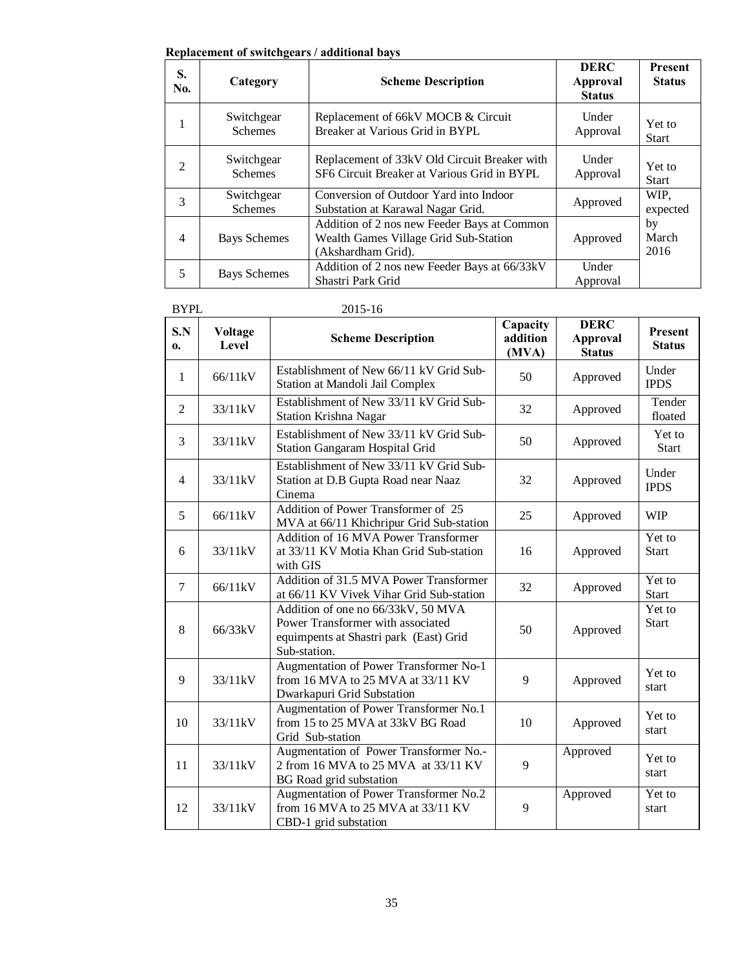#### **Replacement of switchgears / additional bays**

| S.<br>No.      | Category                     | <b>Scheme Description</b>                                                                                  | <b>DERC</b><br>Approval<br><b>Status</b> | <b>Present</b><br><b>Status</b> |
|----------------|------------------------------|------------------------------------------------------------------------------------------------------------|------------------------------------------|---------------------------------|
| 1              | Switchgear<br><b>Schemes</b> | Replacement of 66kV MOCB & Circuit<br>Breaker at Various Grid in BYPL                                      | Under<br>Approval                        | Yet to<br><b>Start</b>          |
| $\overline{2}$ | Switchgear<br><b>Schemes</b> | Replacement of 33kV Old Circuit Breaker with<br>SF6 Circuit Breaker at Various Grid in BYPL                | Under<br>Approval                        | Yet to<br><b>Start</b>          |
| 3              | Switchgear<br><b>Schemes</b> | Conversion of Outdoor Yard into Indoor<br>Substation at Karawal Nagar Grid.                                | Approved                                 | WIP.<br>expected                |
| $\overline{4}$ | Bays Schemes                 | Addition of 2 nos new Feeder Bays at Common<br>Wealth Games Village Grid Sub-Station<br>(Akshardham Grid). | Approved                                 | by<br>March<br>2016             |
| 5              | <b>Bays Schemes</b>          | Addition of 2 nos new Feeder Bays at 66/33kV<br>Shastri Park Grid                                          | Under<br>Approval                        |                                 |

| '01 |   |
|-----|---|
|     | n |

| <b>BYPL</b>    |                         | 2015-16                                                                                                                           |                               |                                                 |                                 |
|----------------|-------------------------|-----------------------------------------------------------------------------------------------------------------------------------|-------------------------------|-------------------------------------------------|---------------------------------|
| S.N<br>0.      | <b>Voltage</b><br>Level | <b>Scheme Description</b>                                                                                                         | Capacity<br>addition<br>(MVA) | <b>DERC</b><br><b>Approval</b><br><b>Status</b> | <b>Present</b><br><b>Status</b> |
| $\mathbf{1}$   | 66/11kV                 | Establishment of New 66/11 kV Grid Sub-<br>Station at Mandoli Jail Complex                                                        | 50                            | Approved                                        | Under<br><b>IPDS</b>            |
| $\overline{2}$ | 33/11kV                 | Establishment of New 33/11 kV Grid Sub-<br>Station Krishna Nagar                                                                  | 32                            | Approved                                        | Tender<br>floated               |
| 3              | 33/11kV                 | Establishment of New 33/11 kV Grid Sub-<br>Station Gangaram Hospital Grid                                                         | 50                            | Approved                                        | Yet to<br><b>Start</b>          |
| $\overline{4}$ | 33/11kV                 | Establishment of New 33/11 kV Grid Sub-<br>Station at D.B Gupta Road near Naaz<br>Cinema                                          | 32                            | Approved                                        | Under<br><b>IPDS</b>            |
| 5              | 66/11kV                 | Addition of Power Transformer of 25<br>MVA at 66/11 Khichripur Grid Sub-station                                                   | 25                            | Approved                                        | <b>WIP</b>                      |
| 6              | 33/11kV                 | Addition of 16 MVA Power Transformer<br>at 33/11 KV Motia Khan Grid Sub-station<br>with GIS                                       | 16                            | Approved                                        | Yet to<br><b>Start</b>          |
| $\tau$         | 66/11kV                 | Addition of 31.5 MVA Power Transformer<br>at 66/11 KV Vivek Vihar Grid Sub-station                                                | 32                            | Approved                                        | Yet to<br><b>Start</b>          |
| 8              | 66/33kV                 | Addition of one no 66/33kV, 50 MVA<br>Power Transformer with associated<br>equimpents at Shastri park (East) Grid<br>Sub-station. | 50                            | Approved                                        | Yet to<br><b>Start</b>          |
| 9              | 33/11kV                 | Augmentation of Power Transformer No-1<br>from 16 MVA to 25 MVA at 33/11 KV<br>Dwarkapuri Grid Substation                         | 9                             | Approved                                        | Yet to<br>start                 |
| 10             | 33/11kV                 | Augmentation of Power Transformer No.1<br>from 15 to 25 MVA at 33kV BG Road<br>Grid Sub-station                                   | 10                            | Approved                                        | Yet to<br>start                 |
| 11             | 33/11kV                 | Augmentation of Power Transformer No.-<br>2 from 16 MVA to 25 MVA at 33/11 KV<br>BG Road grid substation                          | 9                             | Approved                                        | Yet to<br>start                 |
| 12             | 33/11kV                 | Augmentation of Power Transformer No.2<br>from 16 MVA to 25 MVA at 33/11 KV<br>CBD-1 grid substation                              | 9                             | Approved                                        | Yet to<br>start                 |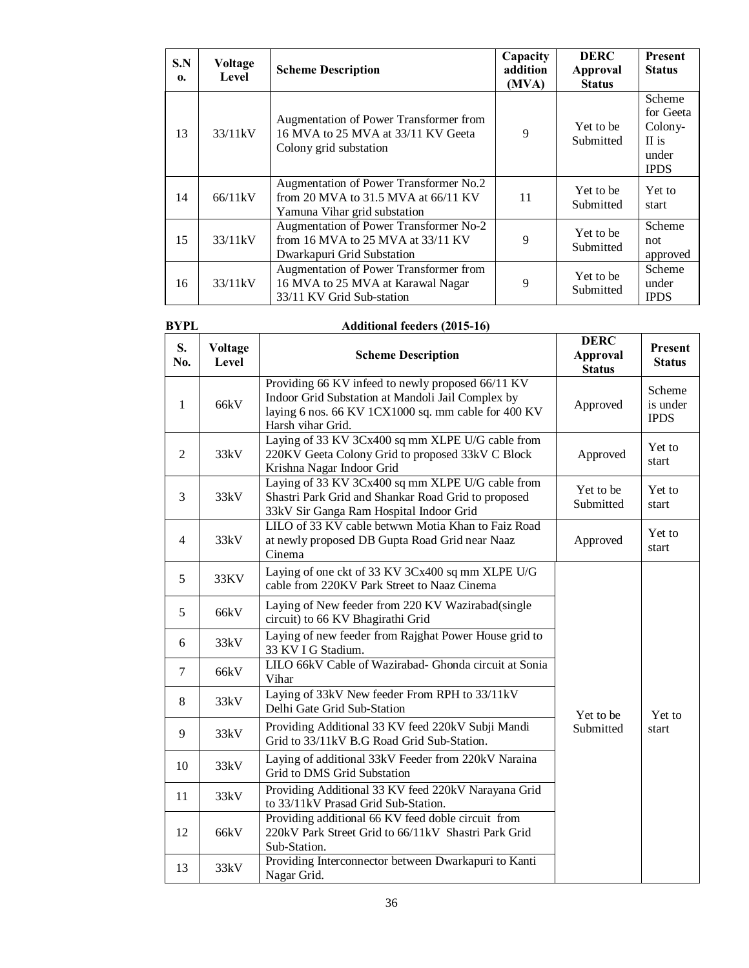| S.N<br>0. | Voltage<br>Level | <b>Scheme Description</b>                                                                                       | Capacity<br>addition<br>(MVA) | <b>DERC</b><br>Approval<br><b>Status</b> | <b>Present</b><br><b>Status</b>                                 |
|-----------|------------------|-----------------------------------------------------------------------------------------------------------------|-------------------------------|------------------------------------------|-----------------------------------------------------------------|
| 13        | 33/11kV          | Augmentation of Power Transformer from<br>16 MVA to 25 MVA at 33/11 KV Geeta<br>Colony grid substation          | 9                             | Yet to be<br>Submitted                   | Scheme<br>for Geeta<br>Colony-<br>II is<br>under<br><b>IPDS</b> |
| 14        | 66/11kV          | Augmentation of Power Transformer No.2<br>from 20 MVA to 31.5 MVA at $66/11$ KV<br>Yamuna Vihar grid substation | 11                            | Yet to be<br>Submitted                   | Yet to<br>start                                                 |
| 15        | 33/11kV          | Augmentation of Power Transformer No-2<br>from 16 MVA to 25 MVA at 33/11 KV<br>Dwarkapuri Grid Substation       | 9                             | Yet to be<br>Submitted                   | Scheme<br>not<br>approved                                       |
| 16        | 33/11kV          | Augmentation of Power Transformer from<br>16 MVA to 25 MVA at Karawal Nagar<br>33/11 KV Grid Sub-station        | 9                             | Yet to be<br>Submitted                   | Scheme<br>under<br><b>IPDS</b>                                  |

## **BYPL Additional feeders (2015-16)**

| S.<br>No.      | <b>Voltage</b><br>Level | <b>Scheme Description</b>                                                                                                                                                          | <b>DERC</b><br><b>Approval</b><br><b>Status</b> | Present<br><b>Status</b>          |
|----------------|-------------------------|------------------------------------------------------------------------------------------------------------------------------------------------------------------------------------|-------------------------------------------------|-----------------------------------|
| $\mathbf{1}$   | 66kV                    | Providing 66 KV infeed to newly proposed 66/11 KV<br>Indoor Grid Substation at Mandoli Jail Complex by<br>laying 6 nos. 66 KV 1CX1000 sq. mm cable for 400 KV<br>Harsh vihar Grid. | Approved                                        | Scheme<br>is under<br><b>IPDS</b> |
| $\overline{2}$ | 33kV                    | Laying of 33 KV 3Cx400 sq mm XLPE U/G cable from<br>220KV Geeta Colony Grid to proposed 33kV C Block<br>Krishna Nagar Indoor Grid                                                  | Approved                                        | Yet to<br>start                   |
| 3              | 33kV                    | Laying of 33 KV 3Cx400 sq mm XLPE U/G cable from<br>Shastri Park Grid and Shankar Road Grid to proposed<br>33kV Sir Ganga Ram Hospital Indoor Grid                                 | Yet to be<br>Submitted                          | Yet to<br>start                   |
| $\overline{4}$ | 33kV                    | LILO of 33 KV cable betwwn Motia Khan to Faiz Road<br>at newly proposed DB Gupta Road Grid near Naaz<br>Cinema                                                                     | Approved                                        | Yet to<br>start                   |
| 5              | 33KV                    | Laying of one ckt of 33 KV 3Cx400 sq mm XLPE U/G<br>cable from 220KV Park Street to Naaz Cinema                                                                                    |                                                 |                                   |
| 5              | 66kV                    | Laying of New feeder from 220 KV Wazirabad(single<br>circuit) to 66 KV Bhagirathi Grid                                                                                             |                                                 |                                   |
| 6              | 33kV                    | Laying of new feeder from Rajghat Power House grid to<br>33 KV I G Stadium.                                                                                                        |                                                 |                                   |
| $\overline{7}$ | 66kV                    | LILO 66kV Cable of Wazirabad- Ghonda circuit at Sonia<br>Vihar                                                                                                                     |                                                 |                                   |
| 8              | 33kV                    | Laying of 33kV New feeder From RPH to 33/11kV<br>Delhi Gate Grid Sub-Station                                                                                                       | Yet to be                                       | Yet to                            |
| 9              | 33kV                    | Providing Additional 33 KV feed 220kV Subji Mandi<br>Grid to 33/11kV B.G Road Grid Sub-Station.                                                                                    | Submitted                                       | start                             |
| 10             | 33kV                    | Laying of additional 33kV Feeder from 220kV Naraina<br>Grid to DMS Grid Substation                                                                                                 |                                                 |                                   |
| 11             | 33kV                    | Providing Additional 33 KV feed 220kV Narayana Grid<br>to 33/11kV Prasad Grid Sub-Station.                                                                                         |                                                 |                                   |
| 12             | 66kV                    | Providing additional 66 KV feed doble circuit from<br>220kV Park Street Grid to 66/11kV Shastri Park Grid<br>Sub-Station.                                                          |                                                 |                                   |
| 13             | 33kV                    | Providing Interconnector between Dwarkapuri to Kanti<br>Nagar Grid.                                                                                                                |                                                 |                                   |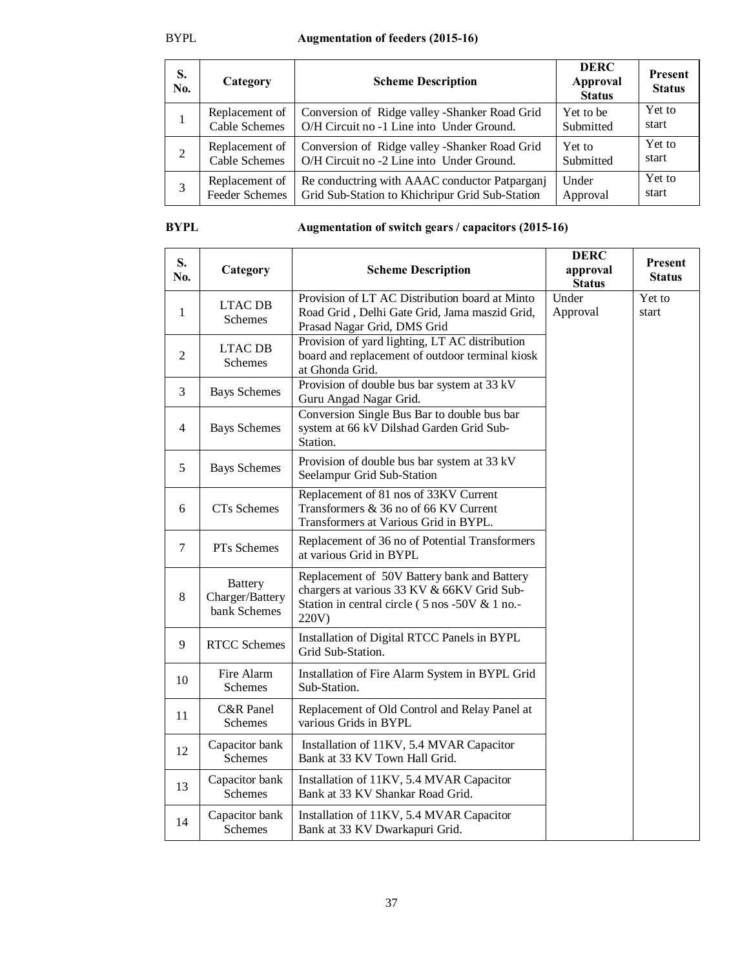| S.<br>No.      | Category              | <b>Scheme Description</b>                       | <b>DERC</b><br>Approval<br><b>Status</b> | <b>Present</b><br><b>Status</b> |
|----------------|-----------------------|-------------------------------------------------|------------------------------------------|---------------------------------|
|                | Replacement of        | Conversion of Ridge valley - Shanker Road Grid  | Yet to be                                | Yet to                          |
|                | <b>Cable Schemes</b>  | O/H Circuit no -1 Line into Under Ground.       | Submitted                                | start                           |
| $\overline{2}$ | Replacement of        | Conversion of Ridge valley - Shanker Road Grid  | Yet to                                   | Yet to                          |
|                | <b>Cable Schemes</b>  | O/H Circuit no -2 Line into Under Ground.       | Submitted                                | start                           |
| 3              | Replacement of        | Re conductring with AAAC conductor Patpargani   | Under                                    | Yet to                          |
|                | <b>Feeder Schemes</b> | Grid Sub-Station to Khichripur Grid Sub-Station | Approval                                 | start                           |

## **BYPL Augmentation of switch gears / capacitors (2015-16)**

| S.<br>No.      | Category                                          | <b>Scheme Description</b>                                                                                                                            | <b>DERC</b><br>approval<br><b>Status</b> | <b>Present</b><br><b>Status</b> |
|----------------|---------------------------------------------------|------------------------------------------------------------------------------------------------------------------------------------------------------|------------------------------------------|---------------------------------|
| 1              | <b>LTAC DB</b><br><b>Schemes</b>                  | Provision of LT AC Distribution board at Minto<br>Road Grid, Delhi Gate Grid, Jama maszid Grid,<br>Prasad Nagar Grid, DMS Grid                       | Under<br>Approval                        | Yet to<br>start                 |
| $\overline{2}$ | <b>LTAC DB</b><br><b>Schemes</b>                  | Provision of yard lighting, LT AC distribution<br>board and replacement of outdoor terminal kiosk<br>at Ghonda Grid.                                 |                                          |                                 |
| 3              | <b>Bays Schemes</b>                               | Provision of double bus bar system at 33 kV<br>Guru Angad Nagar Grid.                                                                                |                                          |                                 |
| 4              | <b>Bays Schemes</b>                               | Conversion Single Bus Bar to double bus bar<br>system at 66 kV Dilshad Garden Grid Sub-<br>Station.                                                  |                                          |                                 |
| 5              | <b>Bays Schemes</b>                               | Provision of double bus bar system at 33 kV<br>Seelampur Grid Sub-Station                                                                            |                                          |                                 |
| 6              | <b>CTs</b> Schemes                                | Replacement of 81 nos of 33KV Current<br>Transformers & 36 no of 66 KV Current<br>Transformers at Various Grid in BYPL.                              |                                          |                                 |
| 7              | PTs Schemes                                       | Replacement of 36 no of Potential Transformers<br>at various Grid in BYPL                                                                            |                                          |                                 |
| 8              | <b>Battery</b><br>Charger/Battery<br>bank Schemes | Replacement of 50V Battery bank and Battery<br>chargers at various 33 KV & 66KV Grid Sub-<br>Station in central circle (5 nos -50V & 1 no.-<br>220V) |                                          |                                 |
| 9              | <b>RTCC Schemes</b>                               | Installation of Digital RTCC Panels in BYPL<br>Grid Sub-Station.                                                                                     |                                          |                                 |
| 10             | Fire Alarm<br>Schemes                             | Installation of Fire Alarm System in BYPL Grid<br>Sub-Station.                                                                                       |                                          |                                 |
| 11             | C&R Panel<br>Schemes                              | Replacement of Old Control and Relay Panel at<br>various Grids in BYPL                                                                               |                                          |                                 |
| 12             | Capacitor bank<br>Schemes                         | Installation of 11KV, 5.4 MVAR Capacitor<br>Bank at 33 KV Town Hall Grid.                                                                            |                                          |                                 |
| 13             | Capacitor bank<br><b>Schemes</b>                  | Installation of 11KV, 5.4 MVAR Capacitor<br>Bank at 33 KV Shankar Road Grid.                                                                         |                                          |                                 |
| 14             | Capacitor bank<br><b>Schemes</b>                  | Installation of 11KV, 5.4 MVAR Capacitor<br>Bank at 33 KV Dwarkapuri Grid.                                                                           |                                          |                                 |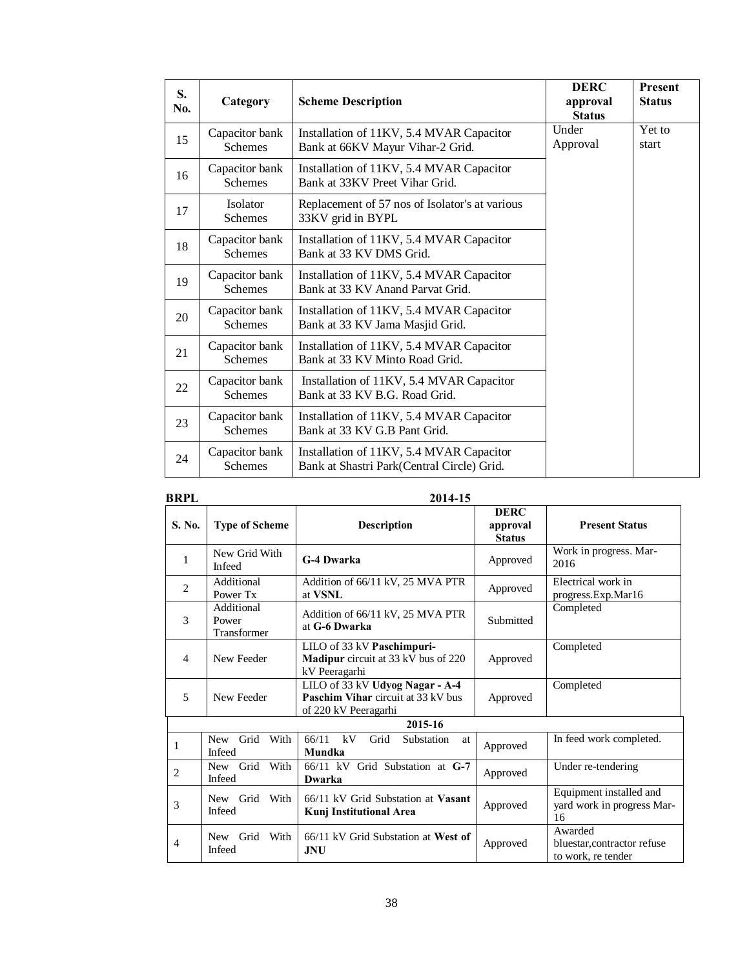| S.<br>No. | Category                         | <b>Scheme Description</b>                                                              | <b>DERC</b><br>approval<br><b>Status</b> | Present<br><b>Status</b> |
|-----------|----------------------------------|----------------------------------------------------------------------------------------|------------------------------------------|--------------------------|
| 15        | Capacitor bank<br><b>Schemes</b> | Installation of 11KV, 5.4 MVAR Capacitor<br>Bank at 66KV Mayur Vihar-2 Grid.           | Under<br>Approval                        | Yet to<br>start          |
| 16        | Capacitor bank<br><b>Schemes</b> | Installation of 11KV, 5.4 MVAR Capacitor<br>Bank at 33KV Preet Vihar Grid.             |                                          |                          |
| 17        | Isolator<br><b>Schemes</b>       | Replacement of 57 nos of Isolator's at various<br>33KV grid in BYPL                    |                                          |                          |
| 18        | Capacitor bank<br><b>Schemes</b> | Installation of 11KV, 5.4 MVAR Capacitor<br>Bank at 33 KV DMS Grid.                    |                                          |                          |
| 19        | Capacitor bank<br><b>Schemes</b> | Installation of 11KV, 5.4 MVAR Capacitor<br>Bank at 33 KV Anand Parvat Grid.           |                                          |                          |
| 20        | Capacitor bank<br><b>Schemes</b> | Installation of 11KV, 5.4 MVAR Capacitor<br>Bank at 33 KV Jama Masjid Grid.            |                                          |                          |
| 21        | Capacitor bank<br><b>Schemes</b> | Installation of 11KV, 5.4 MVAR Capacitor<br>Bank at 33 KV Minto Road Grid.             |                                          |                          |
| 22        | Capacitor bank<br><b>Schemes</b> | Installation of 11KV, 5.4 MVAR Capacitor<br>Bank at 33 KV B.G. Road Grid.              |                                          |                          |
| 23        | Capacitor bank<br><b>Schemes</b> | Installation of 11KV, 5.4 MVAR Capacitor<br>Bank at 33 KV G.B Pant Grid.               |                                          |                          |
| 24        | Capacitor bank<br><b>Schemes</b> | Installation of 11KV, 5.4 MVAR Capacitor<br>Bank at Shastri Park(Central Circle) Grid. |                                          |                          |

| <b>BRPL</b>    |                                      | 2014-15                                                                                       |                                          |                                                              |
|----------------|--------------------------------------|-----------------------------------------------------------------------------------------------|------------------------------------------|--------------------------------------------------------------|
| S. No.         | <b>Type of Scheme</b>                | <b>Description</b>                                                                            | <b>DERC</b><br>approval<br><b>Status</b> | <b>Present Status</b>                                        |
| 1              | New Grid With<br>Infeed              | <b>G-4 Dwarka</b>                                                                             | Approved                                 | Work in progress. Mar-<br>2016                               |
| $\overline{c}$ | Additional<br>Power Tx               | Addition of 66/11 kV, 25 MVA PTR<br>at <b>VSNL</b>                                            | Approved                                 | Electrical work in<br>progress.Exp.Mar16                     |
| 3              | Additional<br>Power<br>Transformer   | Addition of 66/11 kV, 25 MVA PTR<br>at G-6 Dwarka                                             | Submitted                                | Completed                                                    |
| $\overline{4}$ | New Feeder                           | LILO of 33 kV Paschimpuri-<br><b>Madipur</b> circuit at 33 kV bus of 220<br>kV Peeragarhi     | Approved                                 | Completed                                                    |
| 5              | New Feeder                           | LILO of 33 kV Udyog Nagar - A-4<br>Paschim Vihar circuit at 33 kV bus<br>of 220 kV Peeragarhi | Approved                                 | Completed                                                    |
|                |                                      | 2015-16                                                                                       |                                          |                                                              |
| 1              | Grid<br>With<br><b>New</b><br>Infeed | 66/11<br>kV<br>Grid<br>Substation<br><sub>at</sub><br>Mundka                                  | Approved                                 | In feed work completed.                                      |
| $\overline{2}$ | With<br>New Grid<br>Infeed           | 66/11 kV Grid Substation at G-7<br>Dwarka                                                     | Approved                                 | Under re-tendering                                           |
| 3              | New Grid With<br>Infeed              | 66/11 kV Grid Substation at Vasant<br><b>Kunj Institutional Area</b>                          | Approved                                 | Equipment installed and<br>yard work in progress Mar-<br>16  |
| $\overline{4}$ | New Grid With<br>Infeed              | 66/11 kV Grid Substation at West of<br><b>JNU</b>                                             | Approved                                 | Awarded<br>bluestar, contractor refuse<br>to work, re tender |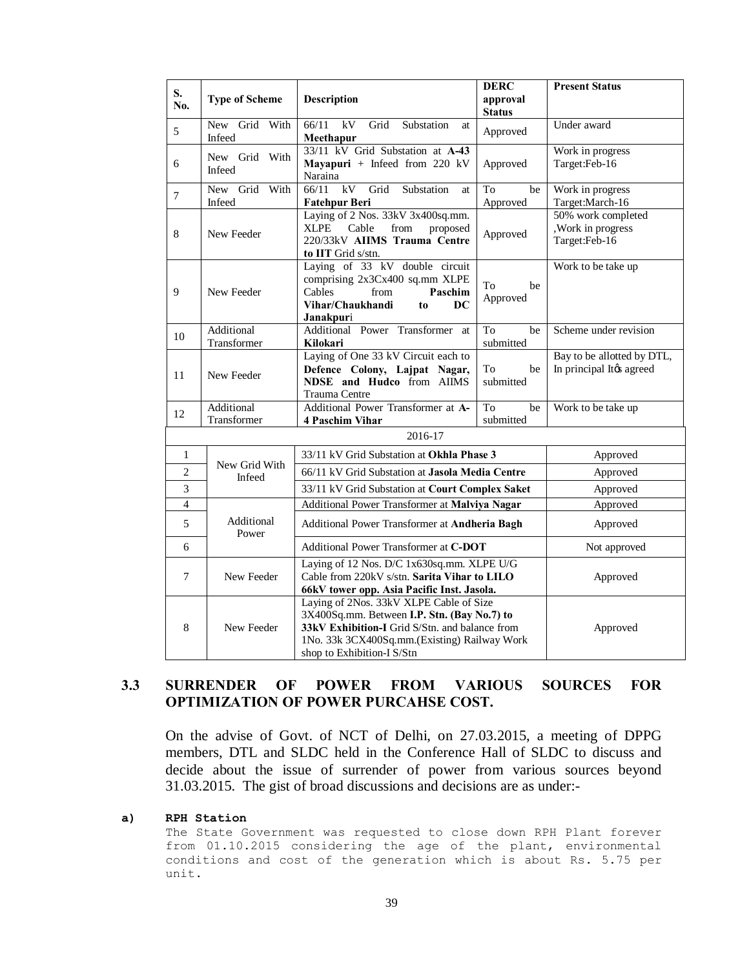| S.              |                                   |                                                      | <b>DERC</b>   | <b>Present Status</b>      |
|-----------------|-----------------------------------|------------------------------------------------------|---------------|----------------------------|
| No.             | <b>Type of Scheme</b>             | Description                                          | approval      |                            |
|                 |                                   |                                                      | <b>Status</b> |                            |
| 5               | Grid With<br><b>New</b><br>Infeed | 66/11<br>kV<br>Grid<br>Substation<br>at<br>Meethapur | Approved      | Under award                |
|                 |                                   | 33/11 kV Grid Substation at A-43                     |               | Work in progress           |
| 6               | New Grid With                     | Mayapuri + Infeed from 220 $kV$                      | Approved      | Target:Feb-16              |
|                 | Infeed                            | Naraina                                              |               |                            |
| $\overline{7}$  | New Grid With                     | 66/11<br>kV<br>Grid<br>Substation<br>at              | To<br>be      | Work in progress           |
|                 | Infeed                            | <b>Fatehpur Beri</b>                                 | Approved      | Target:March-16            |
|                 |                                   | Laying of 2 Nos. 33kV 3x400sq.mm.                    |               | 50% work completed         |
| 8               | New Feeder                        | <b>XLPE</b><br>Cable<br>from<br>proposed             | Approved      | , Work in progress         |
|                 |                                   | 220/33kV AIIMS Trauma Centre                         |               | Target:Feb-16              |
|                 |                                   | to IIT Grid s/stn.                                   |               |                            |
|                 |                                   | Laying of 33 kV double circuit                       |               | Work to be take up         |
|                 |                                   | comprising 2x3Cx400 sq.mm XLPE                       | To<br>be      |                            |
| 9               | New Feeder                        | Cables<br>from<br>Paschim                            | Approved      |                            |
|                 |                                   | Vihar/Chaukhandi<br>DC<br>to<br>Janakpuri            |               |                            |
|                 | Additional                        | Additional Power Transformer<br>at                   | To<br>be      | Scheme under revision      |
| 10              | Transformer                       | Kilokari                                             | submitted     |                            |
|                 |                                   | Laying of One 33 kV Circuit each to                  |               | Bay to be allotted by DTL, |
|                 |                                   | Defence Colony, Lajpat Nagar,                        | To<br>be      | In principal Itøs agreed   |
| 11              | New Feeder                        | <b>NDSE</b> and Hudco from AIIMS                     | submitted     |                            |
|                 |                                   | <b>Trauma Centre</b>                                 |               |                            |
|                 | Additional                        | Additional Power Transformer at A-                   | To<br>be      | Work to be take up         |
| 12              | Transformer                       | <b>4 Paschim Vihar</b>                               | submitted     |                            |
|                 |                                   | 2016-17                                              |               |                            |
| $\mathbf{1}$    |                                   | 33/11 kV Grid Substation at Okhla Phase 3            |               | Approved                   |
| $\overline{c}$  | New Grid With<br>Infeed           | 66/11 kV Grid Substation at Jasola Media Centre      |               | Approved                   |
| 3               |                                   | 33/11 kV Grid Substation at Court Complex Saket      |               | Approved                   |
| $\overline{4}$  |                                   | Additional Power Transformer at Malviya Nagar        | Approved      |                            |
| 5               | Additional<br>Power               | Additional Power Transformer at Andheria Bagh        |               | Approved                   |
| 6               |                                   | Additional Power Transformer at C-DOT                |               | Not approved               |
|                 |                                   | Laying of 12 Nos. D/C 1x630sq.mm. XLPE U/G           |               |                            |
| 7<br>New Feeder |                                   | Cable from 220kV s/stn. Sarita Vihar to LILO         |               | Approved                   |
|                 |                                   | 66kV tower opp. Asia Pacific Inst. Jasola.           |               |                            |
|                 |                                   | Laying of 2Nos. 33kV XLPE Cable of Size              |               |                            |
|                 |                                   | 3X400Sq.mm. Between I.P. Stn. (Bay No.7) to          |               |                            |
| 8               | New Feeder                        | 33kV Exhibition-I Grid S/Stn. and balance from       |               | Approved                   |
|                 |                                   | 1No. 33k 3CX400Sq.mm.(Existing) Railway Work         |               |                            |
|                 |                                   | shop to Exhibition-I S/Stn                           |               |                            |

## **3.3 SURRENDER OF POWER FROM VARIOUS SOURCES FOR OPTIMIZATION OF POWER PURCAHSE COST.**

On the advise of Govt. of NCT of Delhi, on 27.03.2015, a meeting of DPPG members, DTL and SLDC held in the Conference Hall of SLDC to discuss and decide about the issue of surrender of power from various sources beyond 31.03.2015. The gist of broad discussions and decisions are as under:-

#### **a) RPH Station**

The State Government was requested to close down RPH Plant forever from 01.10.2015 considering the age of the plant, environmental conditions and cost of the generation which is about Rs. 5.75 per unit.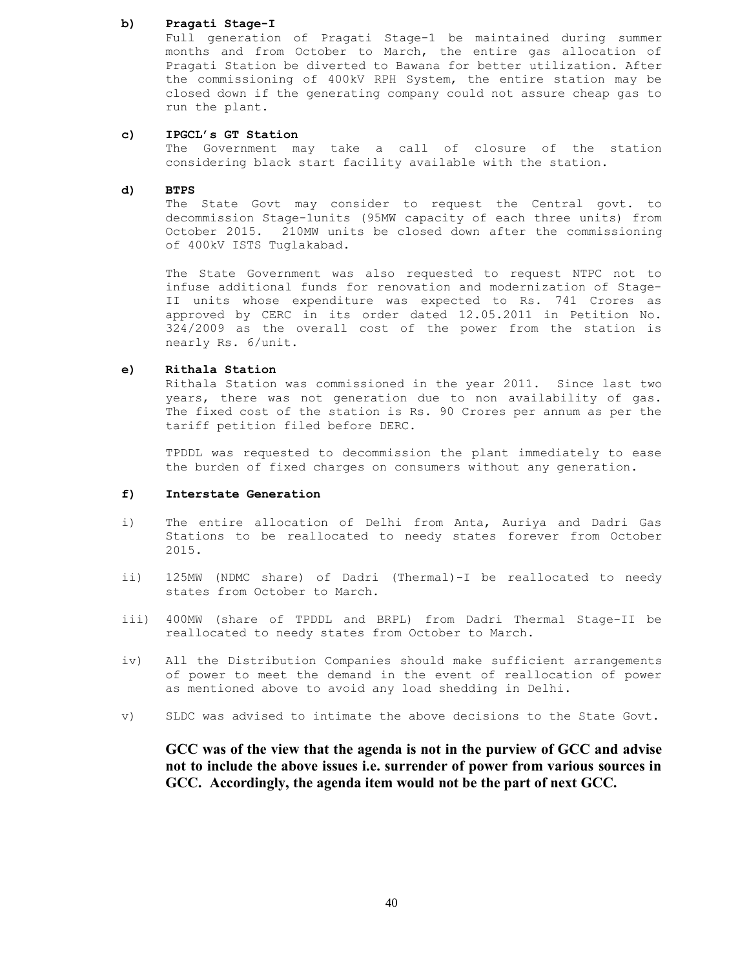#### **b) Pragati Stage-I**

Full generation of Pragati Stage-1 be maintained during summer months and from October to March, the entire gas allocation of Pragati Station be diverted to Bawana for better utilization. After the commissioning of 400kV RPH System, the entire station may be closed down if the generating company could not assure cheap gas to run the plant.

#### **c) IPGCL's GT Station**

The Government may take a call of closure of the station considering black start facility available with the station.

#### **d) BTPS**

The State Govt may consider to request the Central govt. to decommission Stage-1units (95MW capacity of each three units) from October 2015. 210MW units be closed down after the commissioning of 400kV ISTS Tuglakabad.

The State Government was also requested to request NTPC not to infuse additional funds for renovation and modernization of Stage-II units whose expenditure was expected to Rs. 741 Crores as approved by CERC in its order dated 12.05.2011 in Petition No. 324/2009 as the overall cost of the power from the station is nearly Rs. 6/unit.

#### **e) Rithala Station**

Rithala Station was commissioned in the year 2011. Since last two years, there was not generation due to non availability of gas. The fixed cost of the station is Rs. 90 Crores per annum as per the tariff petition filed before DERC.

TPDDL was requested to decommission the plant immediately to ease the burden of fixed charges on consumers without any generation.

#### **f) Interstate Generation**

- i) The entire allocation of Delhi from Anta, Auriya and Dadri Gas Stations to be reallocated to needy states forever from October 2015.
- ii) 125MW (NDMC share) of Dadri (Thermal)-I be reallocated to needy states from October to March.
- iii) 400MW (share of TPDDL and BRPL) from Dadri Thermal Stage-II be reallocated to needy states from October to March.
- iv) All the Distribution Companies should make sufficient arrangements of power to meet the demand in the event of reallocation of power as mentioned above to avoid any load shedding in Delhi.
- v) SLDC was advised to intimate the above decisions to the State Govt.

**GCC was of the view that the agenda is not in the purview of GCC and advise not to include the above issues i.e. surrender of power from various sources in GCC. Accordingly, the agenda item would not be the part of next GCC.**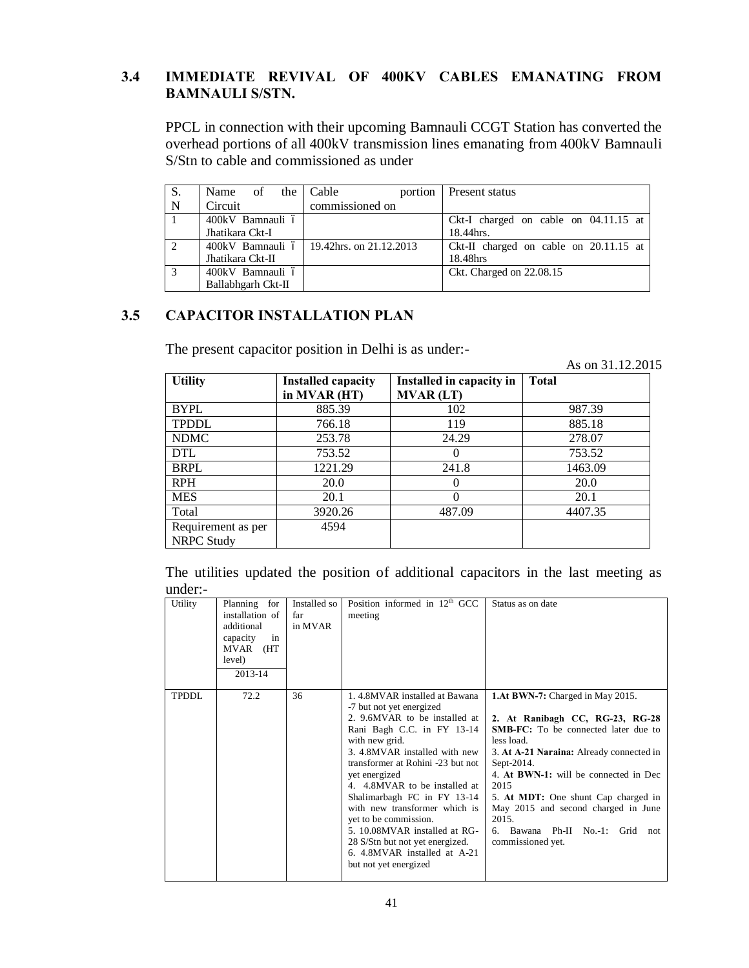## **3.4 IMMEDIATE REVIVAL OF 400KV CABLES EMANATING FROM BAMNAULI S/STN.**

PPCL in connection with their upcoming Bamnauli CCGT Station has converted the overhead portions of all 400kV transmission lines emanating from 400kV Bamnauli S/Stn to cable and commissioned as under

| S.          | Name of the Cable  | portion                                    | Present status                          |
|-------------|--------------------|--------------------------------------------|-----------------------------------------|
| $\mathbf N$ | Circuit            | commissioned on                            |                                         |
|             | 400kV Bamnauli ó   |                                            | Ckt-I charged on cable on $04.11.15$ at |
|             | Jhatikara Ckt-I    |                                            | 18.44hrs.                               |
| 2           |                    | 400kV Bamnauli 6   19.42hrs. on 21.12.2013 | Ckt-II charged on cable on 20.11.15 at  |
|             | Jhatikara Ckt-II   |                                            | 18.48hrs                                |
| 3           | 400kV Bamnauli ó   |                                            | Ckt. Charged on 22.08.15                |
|             | Ballabhgarh Ckt-II |                                            |                                         |

## **3.5 CAPACITOR INSTALLATION PLAN**

The present capacitor position in Delhi is as under:-

As on 31.12.2015

| <b>Utility</b>                          | <b>Installed capacity</b><br>in MVAR (HT) | Installed in capacity in<br><b>MVAR (LT)</b> | <b>Total</b> |
|-----------------------------------------|-------------------------------------------|----------------------------------------------|--------------|
| <b>BYPL</b>                             | 885.39                                    | 102                                          | 987.39       |
| <b>TPDDL</b>                            | 766.18                                    | 119                                          | 885.18       |
| <b>NDMC</b>                             | 253.78                                    | 24.29                                        | 278.07       |
| <b>DTL</b>                              | 753.52                                    | $\theta$                                     | 753.52       |
| <b>BRPL</b>                             | 1221.29                                   | 241.8                                        | 1463.09      |
| <b>RPH</b>                              | 20.0                                      | 0                                            | 20.0         |
| <b>MES</b>                              | 20.1                                      | 0                                            | 20.1         |
| Total                                   | 3920.26                                   | 487.09                                       | 4407.35      |
| Requirement as per<br><b>NRPC Study</b> | 4594                                      |                                              |              |

|         |  |  |  | The utilities updated the position of additional capacitors in the last meeting as |  |  |  |
|---------|--|--|--|------------------------------------------------------------------------------------|--|--|--|
| under:- |  |  |  |                                                                                    |  |  |  |

| Utility | Planning for<br>installation of<br>additional<br>capacity<br>in<br>MVAR<br>(HT<br>level)<br>2013-14 | Installed so<br>far<br>in MVAR | Position informed in $12th$ GCC<br>meeting                                                                                                                                                                                                                                                                                                                                                                                                                                               | Status as on date                                                                                                                                                                                                                                                                                                                                                                                           |
|---------|-----------------------------------------------------------------------------------------------------|--------------------------------|------------------------------------------------------------------------------------------------------------------------------------------------------------------------------------------------------------------------------------------------------------------------------------------------------------------------------------------------------------------------------------------------------------------------------------------------------------------------------------------|-------------------------------------------------------------------------------------------------------------------------------------------------------------------------------------------------------------------------------------------------------------------------------------------------------------------------------------------------------------------------------------------------------------|
| TPDDL.  | 72.2                                                                                                | 36                             | 1.4.8MVAR installed at Bawana<br>-7 but not yet energized<br>2. 9.6MVAR to be installed at<br>Rani Bagh C.C. in FY 13-14<br>with new grid.<br>3. 4.8MVAR installed with new<br>transformer at Rohini -23 but not<br>yet energized<br>4. 4.8MVAR to be installed at<br>Shalimarbagh FC in FY 13-14<br>with new transformer which is<br>yet to be commission.<br>5. 10.08MVAR installed at RG-<br>28 S/Stn but not yet energized.<br>6. 4.8MVAR installed at A-21<br>but not yet energized | <b>1.At BWN-7:</b> Charged in May 2015.<br>2. At Ranibagh CC, RG-23, RG-28<br><b>SMB-FC:</b> To be connected later due to<br>less load.<br>3. At A-21 Naraina: Already connected in<br>Sept- $2014$ .<br>4. At BWN-1: will be connected in Dec<br>2015<br>5. At MDT: One shunt Cap charged in<br>May 2015 and second charged in June<br>2015.<br>Bawana<br>Ph-II No.-1: Grid not<br>6.<br>commissioned yet. |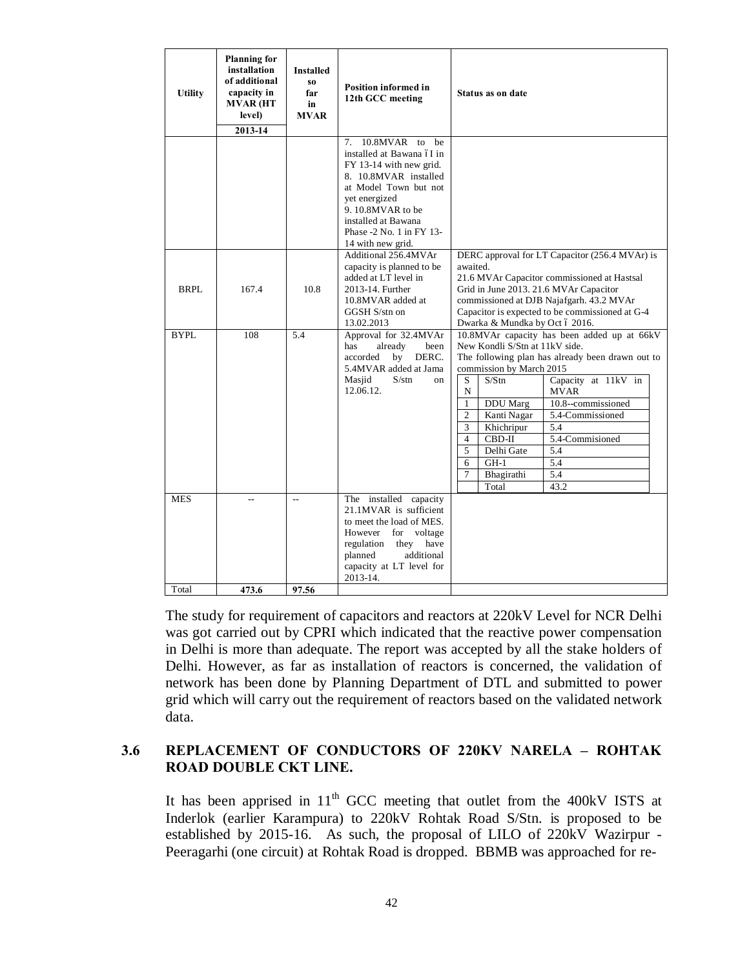| <b>Utility</b> | <b>Planning for</b><br>installation<br>of additional<br>capacity in<br>MVAR (HT<br>level)<br>2013-14 | Installed<br>$\bf{S0}$<br>far<br>in<br>MVAR | <b>Position informed in</b><br>12th GCC meeting                                                                                                                                                                                             |                                                                                | Status as on date                                                                                                                                                            |                                                                                                                                                                                                                                        |
|----------------|------------------------------------------------------------------------------------------------------|---------------------------------------------|---------------------------------------------------------------------------------------------------------------------------------------------------------------------------------------------------------------------------------------------|--------------------------------------------------------------------------------|------------------------------------------------------------------------------------------------------------------------------------------------------------------------------|----------------------------------------------------------------------------------------------------------------------------------------------------------------------------------------------------------------------------------------|
|                |                                                                                                      |                                             | 10.8MVAR to be<br>7.<br>installed at Bawana óI in<br>FY 13-14 with new grid.<br>8. 10.8MVAR installed<br>at Model Town but not<br>yet energized<br>9.10.8MVAR to be<br>installed at Bawana<br>Phase -2 No. 1 in FY 13-<br>14 with new grid. |                                                                                |                                                                                                                                                                              |                                                                                                                                                                                                                                        |
| <b>BRPL</b>    | 167.4                                                                                                | 10.8                                        | Additional 256.4MVAr<br>capacity is planned to be<br>added at LT level in<br>2013-14. Further<br>10.8MVAR added at<br>GGSH S/stn on<br>13.02.2013                                                                                           | awaited.                                                                       | Dwarka & Mundka by Oct ó 2016.                                                                                                                                               | DERC approval for LT Capacitor (256.4 MVAr) is<br>21.6 MVAr Capacitor commissioned at Hastsal<br>Grid in June 2013. 21.6 MVAr Capacitor<br>commissioned at DJB Najafgarh. 43.2 MVAr<br>Capacitor is expected to be commissioned at G-4 |
| <b>BYPL</b>    | 108                                                                                                  | 5.4                                         | Approval for 32.4MVAr<br>already<br>been<br>has<br>DERC.<br>accorded<br>by<br>5.4MVAR added at Jama<br>Masjid<br>$S/\mathrm{stn}$<br>$_{\rm on}$<br>12.06.12.                                                                               | S<br>N<br>$\mathbf{1}$<br>$\overline{c}$<br>3<br>$\overline{4}$<br>5<br>6<br>7 | New Kondli S/Stn at 11kV side.<br>commission by March 2015<br>S/Stn<br><b>DDU</b> Marg<br>Kanti Nagar<br>Khichripur<br>CBD-II<br>Delhi Gate<br>$GH-1$<br>Bhagirathi<br>Total | 10.8MVAr capacity has been added up at 66kV<br>The following plan has already been drawn out to<br>Capacity at 11kV in<br><b>MVAR</b><br>10.8--commissioned<br>5.4-Commissioned<br>5.4<br>5.4-Commisioned<br>5.4<br>5.4<br>5.4<br>43.2 |
| <b>MES</b>     | $\overline{a}$                                                                                       | $\overline{\phantom{a}}$                    | The installed capacity<br>21.1MVAR is sufficient<br>to meet the load of MES.<br>However<br>voltage<br>for<br>regulation<br>they<br>have<br>planned<br>additional<br>capacity at LT level for<br>2013-14.                                    |                                                                                |                                                                                                                                                                              |                                                                                                                                                                                                                                        |
| Total          | 473.6                                                                                                | 97.56                                       |                                                                                                                                                                                                                                             |                                                                                |                                                                                                                                                                              |                                                                                                                                                                                                                                        |

The study for requirement of capacitors and reactors at 220kV Level for NCR Delhi was got carried out by CPRI which indicated that the reactive power compensation in Delhi is more than adequate. The report was accepted by all the stake holders of Delhi. However, as far as installation of reactors is concerned, the validation of network has been done by Planning Department of DTL and submitted to power grid which will carry out the requirement of reactors based on the validated network data.

## **3.6 REPLACEMENT OF CONDUCTORS OF 220KV NARELA – ROHTAK ROAD DOUBLE CKT LINE.**

It has been apprised in  $11<sup>th</sup>$  GCC meeting that outlet from the 400kV ISTS at Inderlok (earlier Karampura) to 220kV Rohtak Road S/Stn. is proposed to be established by 2015-16. As such, the proposal of LILO of 220kV Wazirpur - Peeragarhi (one circuit) at Rohtak Road is dropped. BBMB was approached for re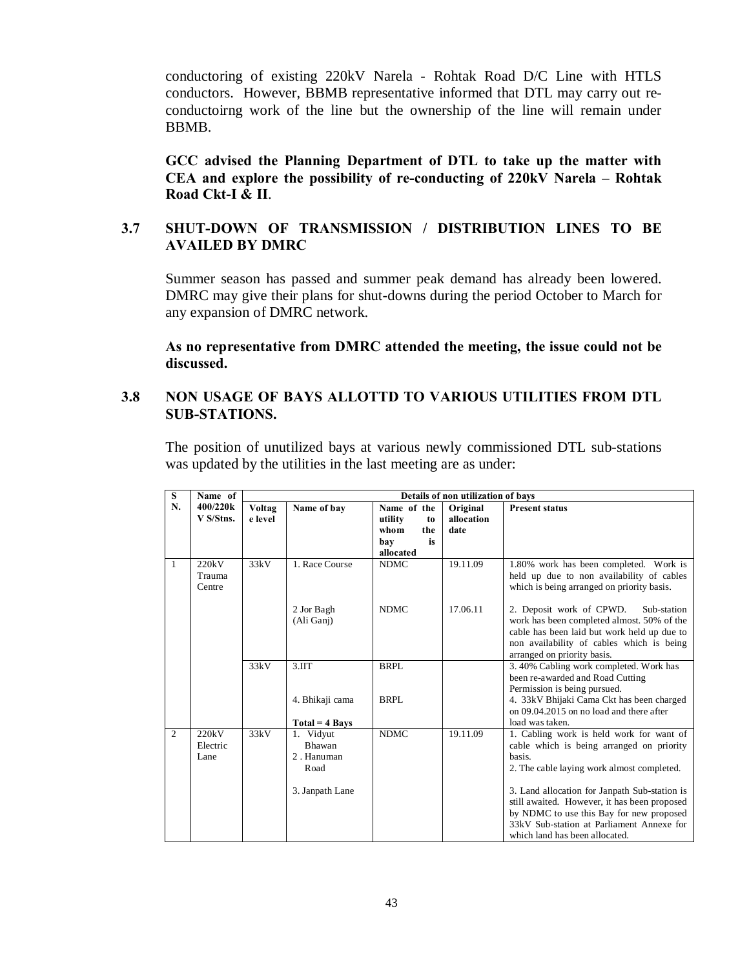conductoring of existing 220kV Narela - Rohtak Road D/C Line with HTLS conductors. However, BBMB representative informed that DTL may carry out reconductoirng work of the line but the ownership of the line will remain under BBMB.

**GCC advised the Planning Department of DTL to take up the matter with CEA and explore the possibility of re-conducting of 220kV Narela – Rohtak Road Ckt-I & II**.

## **3.7 SHUT-DOWN OF TRANSMISSION / DISTRIBUTION LINES TO BE AVAILED BY DMRC**

Summer season has passed and summer peak demand has already been lowered. DMRC may give their plans for shut-downs during the period October to March for any expansion of DMRC network.

**As no representative from DMRC attended the meeting, the issue could not be discussed.** 

## **3.8 NON USAGE OF BAYS ALLOTTD TO VARIOUS UTILITIES FROM DTL SUB-STATIONS.**

The position of unutilized bays at various newly commissioned DTL sub-stations was updated by the utilities in the last meeting are as under:

| S              | Name of   | Details of non utilization of bays |                          |               |            |                                                                                       |  |  |  |
|----------------|-----------|------------------------------------|--------------------------|---------------|------------|---------------------------------------------------------------------------------------|--|--|--|
| N.             | 400/220k  | Voltag                             | Name of bay              | Name of the   | Original   | <b>Present status</b>                                                                 |  |  |  |
|                | V S/Stns. | e level                            |                          | utility<br>to | allocation |                                                                                       |  |  |  |
|                |           |                                    |                          | whom<br>the   | date       |                                                                                       |  |  |  |
|                |           |                                    |                          | is<br>bay     |            |                                                                                       |  |  |  |
|                |           |                                    |                          | allocated     |            |                                                                                       |  |  |  |
| 1              | 220kV     | 33kV                               | 1. Race Course           | <b>NDMC</b>   | 19.11.09   | 1.80% work has been completed. Work is                                                |  |  |  |
|                | Trauma    |                                    |                          |               |            | held up due to non availability of cables                                             |  |  |  |
|                | Centre    |                                    |                          |               |            | which is being arranged on priority basis.                                            |  |  |  |
|                |           |                                    |                          |               |            |                                                                                       |  |  |  |
|                |           |                                    | 2 Jor Bagh<br>(Ali Ganj) | <b>NDMC</b>   | 17.06.11   | 2. Deposit work of CPWD.<br>Sub-station<br>work has been completed almost. 50% of the |  |  |  |
|                |           |                                    |                          |               |            | cable has been laid but work held up due to                                           |  |  |  |
|                |           |                                    |                          |               |            | non availability of cables which is being                                             |  |  |  |
|                |           |                                    |                          |               |            | arranged on priority basis.                                                           |  |  |  |
|                |           | 33kV                               | 3.11T                    | BRPL          |            | 3.40% Cabling work completed. Work has                                                |  |  |  |
|                |           |                                    |                          |               |            | been re-awarded and Road Cutting                                                      |  |  |  |
|                |           |                                    |                          |               |            | Permission is being pursued.                                                          |  |  |  |
|                |           |                                    | 4. Bhikaji cama          | BRPL          |            | 4. 33kV Bhijaki Cama Ckt has been charged                                             |  |  |  |
|                |           |                                    |                          |               |            | on 09.04.2015 on no load and there after                                              |  |  |  |
|                |           |                                    | $Total = 4$ Bays         |               |            | load was taken.                                                                       |  |  |  |
| $\overline{c}$ | 220kV     | 33kV                               | 1. Vidyut                | <b>NDMC</b>   | 19.11.09   | 1. Cabling work is held work for want of                                              |  |  |  |
|                | Electric  |                                    | <b>Bhawan</b>            |               |            | cable which is being arranged on priority                                             |  |  |  |
|                | Lane      |                                    | 2. Hanuman               |               |            | basis.                                                                                |  |  |  |
|                |           |                                    | Road                     |               |            | 2. The cable laying work almost completed.                                            |  |  |  |
|                |           |                                    |                          |               |            |                                                                                       |  |  |  |
|                |           |                                    | 3. Janpath Lane          |               |            | 3. Land allocation for Janpath Sub-station is                                         |  |  |  |
|                |           |                                    |                          |               |            | still awaited. However, it has been proposed                                          |  |  |  |
|                |           |                                    |                          |               |            | by NDMC to use this Bay for new proposed                                              |  |  |  |
|                |           |                                    |                          |               |            | 33kV Sub-station at Parliament Annexe for                                             |  |  |  |
|                |           |                                    |                          |               |            | which land has been allocated.                                                        |  |  |  |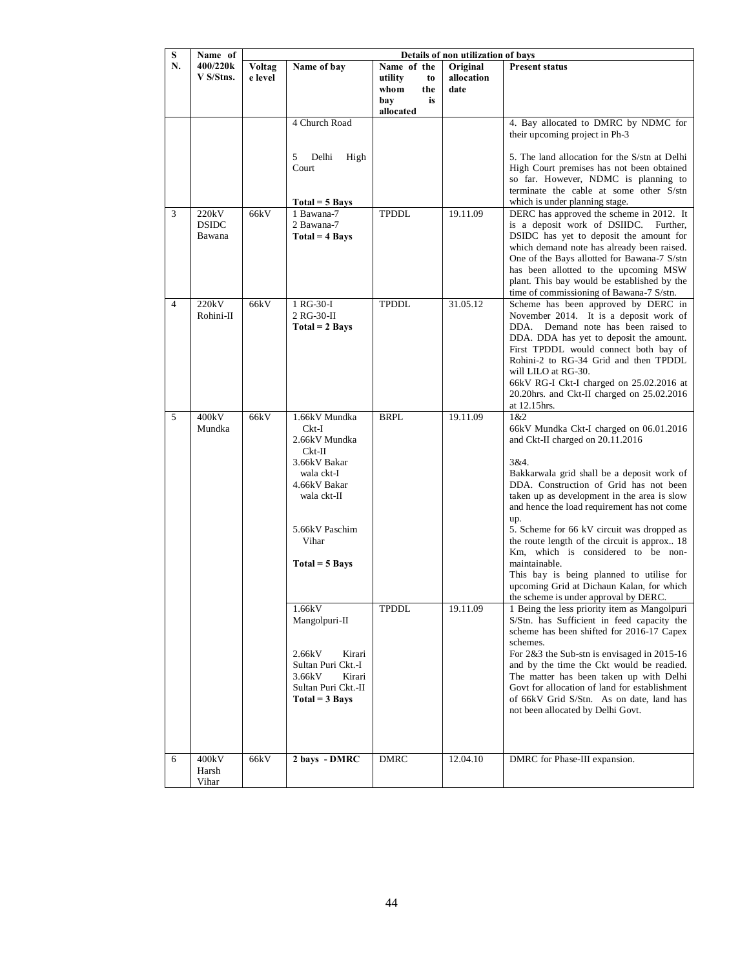| S              | Name of                         | Details of non utilization of bays |                                                                                                                                                                         |                                                                       |                                |                                                                                                                                                                                                                                                                                                                                                                                                                                                                                                                                                                                                                                  |  |
|----------------|---------------------------------|------------------------------------|-------------------------------------------------------------------------------------------------------------------------------------------------------------------------|-----------------------------------------------------------------------|--------------------------------|----------------------------------------------------------------------------------------------------------------------------------------------------------------------------------------------------------------------------------------------------------------------------------------------------------------------------------------------------------------------------------------------------------------------------------------------------------------------------------------------------------------------------------------------------------------------------------------------------------------------------------|--|
| N.             | 400/220k<br>V S/Stns.           | <b>Voltag</b><br>e level           | Name of bay                                                                                                                                                             | Name of the<br>utility<br>to<br>whom<br>the<br>bay<br>is<br>allocated | Original<br>allocation<br>date | <b>Present status</b>                                                                                                                                                                                                                                                                                                                                                                                                                                                                                                                                                                                                            |  |
|                |                                 |                                    | 4 Church Road<br>5<br>Delhi<br>High<br>Court                                                                                                                            |                                                                       |                                | 4. Bay allocated to DMRC by NDMC for<br>their upcoming project in Ph-3<br>5. The land allocation for the S/stn at Delhi<br>High Court premises has not been obtained<br>so far. However, NDMC is planning to<br>terminate the cable at some other S/stn<br>which is under planning stage.                                                                                                                                                                                                                                                                                                                                        |  |
| 3              | 220kV<br><b>DSIDC</b><br>Bawana | 66kV                               | $Total = 5$ Bays<br>1 Bawana-7<br>2 Bawana-7<br>$Total = 4 \, Bays$                                                                                                     | TPDDL                                                                 | 19.11.09                       | DERC has approved the scheme in 2012. It<br>is a deposit work of DSIIDC. Further,<br>DSIDC has yet to deposit the amount for<br>which demand note has already been raised.<br>One of the Bays allotted for Bawana-7 S/stn<br>has been allotted to the upcoming MSW<br>plant. This bay would be established by the<br>time of commissioning of Bawana-7 S/stn.                                                                                                                                                                                                                                                                    |  |
| $\overline{4}$ | 220kV<br>Rohini-II              | 66kV                               | 1 RG-30-I<br>2 RG-30-II<br>$Total = 2 \, Bays$                                                                                                                          | <b>TPDDL</b>                                                          | 31.05.12                       | Scheme has been approved by DERC in<br>November 2014. It is a deposit work of<br>DDA. Demand note has been raised to<br>DDA. DDA has yet to deposit the amount.<br>First TPDDL would connect both bay of<br>Rohini-2 to RG-34 Grid and then TPDDL<br>will LILO at RG-30.<br>66kV RG-I Ckt-I charged on 25.02.2016 at<br>20.20hrs. and Ckt-II charged on 25.02.2016<br>at 12.15hrs.                                                                                                                                                                                                                                               |  |
| 5              | 400kV<br>Mundka                 | 66kV                               | 1.66kV Mundka<br>Ckt-I<br>2.66kV Mundka<br>$Ckt-II$<br>3.66kV Bakar<br>wala ckt-I<br>4.66kV Bakar<br>wala ckt-II<br>5.66kV Paschim<br>Vihar<br>Total = 5 Bays<br>1.66kV | <b>BRPL</b><br>TPDDL                                                  | 19.11.09<br>19.11.09           | 1 & 2<br>66kV Mundka Ckt-I charged on 06.01.2016<br>and Ckt-II charged on 20.11.2016<br>3&4.<br>Bakkarwala grid shall be a deposit work of<br>DDA. Construction of Grid has not been<br>taken up as development in the area is slow<br>and hence the load requirement has not come<br>up.<br>5. Scheme for 66 kV circuit was dropped as<br>the route length of the circuit is approx 18<br>Km, which is considered to be non-<br>maintainable.<br>This bay is being planned to utilise for<br>upcoming Grid at Dichaun Kalan, for which<br>the scheme is under approval by DERC.<br>1 Being the less priority item as Mangolpuri |  |
| 6              | 400kV                           | 66kV                               | Mangolpuri-II<br>2.66kV<br>Kirari<br>Sultan Puri Ckt.-I<br>3.66kV<br>Kirari<br>Sultan Puri Ckt.-II<br>$Total = 3 \; Bays$<br>2 bays - DMRC                              | <b>DMRC</b>                                                           | 12.04.10                       | S/Stn. has Sufficient in feed capacity the<br>scheme has been shifted for 2016-17 Capex<br>schemes.<br>For 2&3 the Sub-stn is envisaged in 2015-16<br>and by the time the Ckt would be readied.<br>The matter has been taken up with Delhi<br>Govt for allocation of land for establishment<br>of 66kV Grid S/Stn. As on date, land has<br>not been allocated by Delhi Govt.<br>DMRC for Phase-III expansion.                                                                                                                                                                                                                    |  |
|                | Harsh<br>Vihar                  |                                    |                                                                                                                                                                         |                                                                       |                                |                                                                                                                                                                                                                                                                                                                                                                                                                                                                                                                                                                                                                                  |  |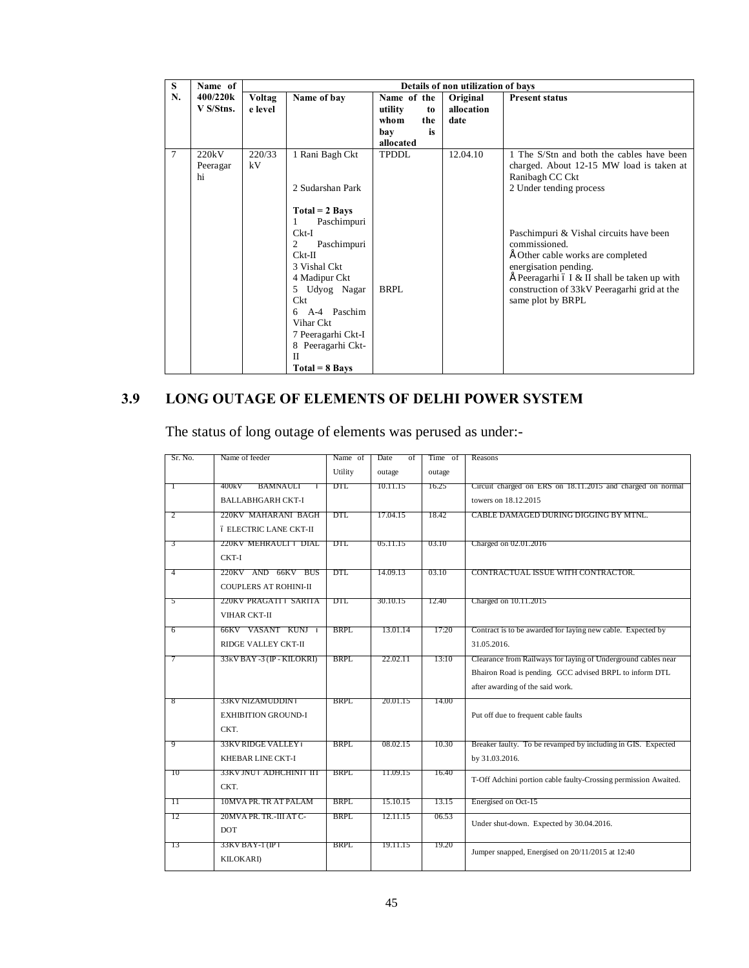| S      | Name of                 | Details of non utilization of bays |                                                                                                                                                                                                                                                                               |                                                                       |                                |                                                                                                                                                                                                                                                                                                                                                                                           |  |
|--------|-------------------------|------------------------------------|-------------------------------------------------------------------------------------------------------------------------------------------------------------------------------------------------------------------------------------------------------------------------------|-----------------------------------------------------------------------|--------------------------------|-------------------------------------------------------------------------------------------------------------------------------------------------------------------------------------------------------------------------------------------------------------------------------------------------------------------------------------------------------------------------------------------|--|
| N.     | 400/220k<br>V S/Stns.   | Voltag<br>e level                  | Name of bay                                                                                                                                                                                                                                                                   | Name of the<br>utility<br>to<br>whom<br>the<br>is<br>bay<br>allocated | Original<br>allocation<br>date | <b>Present status</b>                                                                                                                                                                                                                                                                                                                                                                     |  |
| $\tau$ | 220kV<br>Peeragar<br>hi | 220/33<br>kV                       | 1 Rani Bagh Ckt<br>2 Sudarshan Park<br>$Total = 2 \, Bays$<br>Paschimpuri<br>1<br>$Ckt-I$<br>2<br>Paschimpuri<br>$Ckt-II$<br>3 Vishal Ckt<br>4 Madipur Ckt<br>5 Udyog Nagar<br>Ckt<br>A-4 Paschim<br>6<br>Vihar Ckt<br>7 Peeragarhi Ckt-I<br>8 Peeragarhi Ckt-<br>$_{\rm II}$ | <b>TPDDL</b><br>BRPL                                                  | 12.04.10                       | 1 The S/Stn and both the cables have been<br>charged. About 12-15 MW load is taken at<br>Ranibagh CC Ckt<br>2 Under tending process<br>Paschimpuri & Vishal circuits have been<br>commissioned.<br>E Other cable works are completed<br>energisation pending.<br>$\hat{E}$ Peeragarhi ó I & II shall be taken up with<br>construction of 33kV Peeragarhi grid at the<br>same plot by BRPL |  |
|        |                         |                                    | $Total = 8$ Bays                                                                                                                                                                                                                                                              |                                                                       |                                |                                                                                                                                                                                                                                                                                                                                                                                           |  |

## **3.9 LONG OUTAGE OF ELEMENTS OF DELHI POWER SYSTEM**

The status of long outage of elements was perused as under:-

| Sr. No.  | Name of feeder                | Name of | Date<br>of | Time of | Reasons                                                         |
|----------|-------------------------------|---------|------------|---------|-----------------------------------------------------------------|
|          |                               | Utility | outage     | outage  |                                                                 |
| Т        | 400kV<br>BAMNAULI<br>ó        | DTL     | 10.11.15   | 16.25   | Circuit charged on ERS on 18.11.2015 and charged on normal      |
|          | <b>BALLABHGARH CKT-I</b>      |         |            |         | towers on 18.12.2015                                            |
| 2        | 220KV MAHARANI BAGH           | DTL     | 17.04.15   | 18.42   | CABLE DAMAGED DURING DIGGING BY MTNL.                           |
|          |                               |         |            |         |                                                                 |
|          | <b>6 ELECTRIC LANE CKT-II</b> |         |            |         |                                                                 |
| 3        | 220KV MEHRAULI ó DIAL         | DTL     | 05.11.15   | 03.10   | Charged on 02.01.2016                                           |
|          | CKT-I                         |         |            |         |                                                                 |
| 4        | 220KV AND 66KV BUS            | DTL.    | 14.09.13   | 03.10   | CONTRACTUAL ISSUE WITH CONTRACTOR.                              |
|          | <b>COUPLERS AT ROHINI-II</b>  |         |            |         |                                                                 |
| 5        | 220KV PRAGATI ó SARITA        | DTL.    | 30.10.15   | 12.40   | Charged on 10.11.2015                                           |
|          | <b>VIHAR CKT-II</b>           |         |            |         |                                                                 |
| 6        | 66KV VASANT KUNJ ó            | BRPL.   | 13.01.14   | 17:20   | Contract is to be awarded for laying new cable. Expected by     |
|          | RIDGE VALLEY CKT-II           |         |            |         | 31.05.2016.                                                     |
| 7        | 33KV BAY -3 (IP - KILOKRI)    | BRPL    | 22.02.11   | 13:10   | Clearance from Railways for laying of Underground cables near   |
|          |                               |         |            |         | Bhairon Road is pending. GCC advised BRPL to inform DTL         |
|          |                               |         |            |         | after awarding of the said work.                                |
| 8        | 33KV NIZAMUDDIN 6             | BRPL.   | 20.01.15   | 14.00   |                                                                 |
|          | <b>EXHIBITION GROUND-I</b>    |         |            |         | Put off due to frequent cable faults                            |
|          | CKT.                          |         |            |         |                                                                 |
| 9        | 33KV RIDGE VALLEY ó           | BRPL.   | 08.02.15   | 10.30   | Breaker faulty. To be revamped by including in GIS. Expected    |
|          | KHEBAR LINE CKT-I             |         |            |         | by 31.03.2016.                                                  |
|          |                               |         |            |         |                                                                 |
| $10^{-}$ | 33KV JNU 6 ADHCHINI 6 IIT     | BRPL    | 11.09.15   | 16.40   | T-Off Adchini portion cable faulty-Crossing permission Awaited. |
|          | CKT.                          |         |            |         |                                                                 |
| ╥        | 10MVA PR. TR AT PALAM         | BRPL.   | 15.10.15   | 13.15   | Energised on Oct-15                                             |
| 12       | 20MVA PR. TR.-III AT C-       | BRPL    | 12.11.15   | 06.53   | Under shut-down. Expected by 30.04.2016.                        |
|          | <b>DOT</b>                    |         |            |         |                                                                 |
| 13       | 33KV BAY-1 (IP 6              | BRPL    | 19.11.15   | 19.20   | Jumper snapped, Energised on 20/11/2015 at 12:40                |
|          | <b>KILOKARI</b> )             |         |            |         |                                                                 |
|          |                               |         |            |         |                                                                 |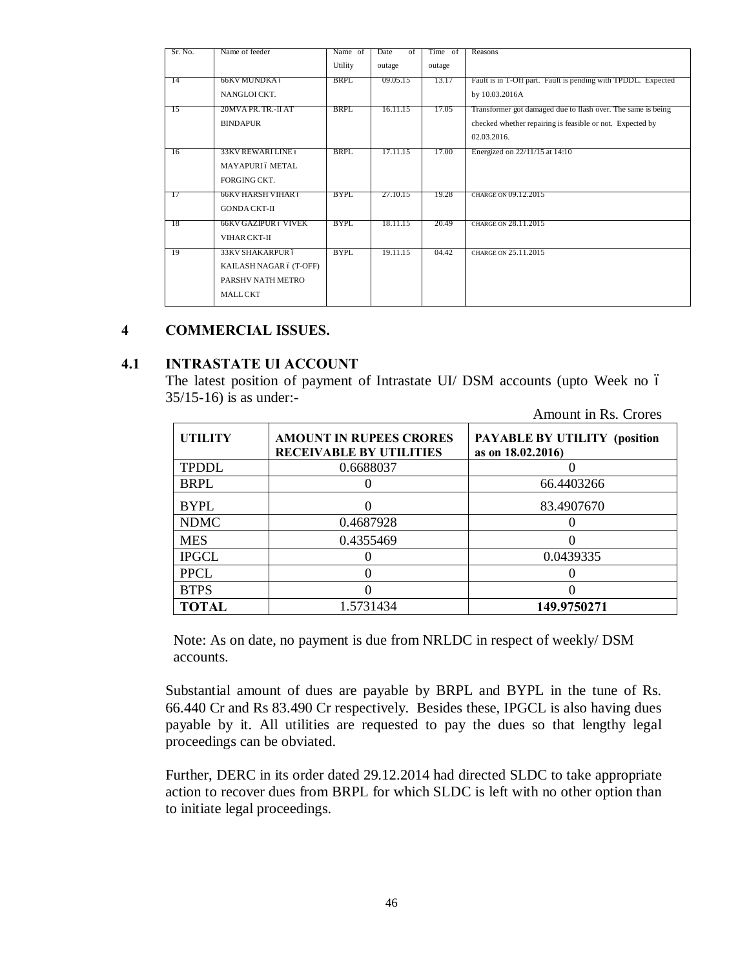| Sr. No.         | Name of feeder              | Name of | <b>Date</b><br>of | Time of | Reasons                                                       |
|-----------------|-----------------------------|---------|-------------------|---------|---------------------------------------------------------------|
|                 |                             | Utility | outage            | outage  |                                                               |
| -14             | 66KV MUNDKA ó               | BRPL    | 09.05.15          | 13.17   | Fault is in T-Off part. Fault is pending with TPDDL. Expected |
|                 | NANGLOICKT.                 |         |                   |         | by 10.03.2016A                                                |
| <sup>-</sup> 15 | 20MVA PR. TR.-II AT         | BRPL    | 16.11.15          | 17.05   | Transformer got damaged due to flash over. The same is being  |
|                 | <b>BINDAPUR</b>             |         |                   |         | checked whether repairing is feasible or not. Expected by     |
|                 |                             |         |                   |         | 02.03.2016.                                                   |
| 76              | 33KV REWARTLINE 6           | BRPL.   | 17.11.15          | 17.00   | Energized on 22/11/15 at 14:10                                |
|                 | MAYAPURI 6 METAL            |         |                   |         |                                                               |
|                 | FORGING CKT.                |         |                   |         |                                                               |
| - 17            | 66KV HARSH VIHAR ó          | BYPL    | 27.10.15          | 19.28   | CHARGE ON 09.12.2015                                          |
|                 | <b>GONDA CKT-II</b>         |         |                   |         |                                                               |
| -18             | <b>66KV GAZIPUR 6 VIVEK</b> | BYPL    | 18.11.15          | 20.49   | CHARGE ON 28.11.2015                                          |
|                 | <b>VIHAR CKT-II</b>         |         |                   |         |                                                               |
| 19              | 33KV SHAKARPUR ó            | BYPL    | 19.11.15          | 04.42   | CHARGE ON 25.11.2015                                          |
|                 |                             |         |                   |         |                                                               |
|                 | KAILASH NAGAR ó (T-OFF)     |         |                   |         |                                                               |
|                 | PARSHV NATH METRO           |         |                   |         |                                                               |
|                 | <b>MALL CKT</b>             |         |                   |         |                                                               |
|                 |                             |         |                   |         |                                                               |

### **4 COMMERCIAL ISSUES.**

#### **4.1 INTRASTATE UI ACCOUNT**

The latest position of payment of Intrastate UI/ DSM accounts (upto Week no 6 35/15-16) is as under:-

|                |                                                                  | Amount in Rs. Crores                                     |
|----------------|------------------------------------------------------------------|----------------------------------------------------------|
| <b>UTILITY</b> | <b>AMOUNT IN RUPEES CRORES</b><br><b>RECEIVABLE BY UTILITIES</b> | <b>PAYABLE BY UTILITY (position</b><br>as on 18.02.2016) |
| <b>TPDDL</b>   | 0.6688037                                                        |                                                          |
| <b>BRPL</b>    |                                                                  | 66.4403266                                               |
| <b>BYPL</b>    |                                                                  | 83.4907670                                               |
| <b>NDMC</b>    | 0.4687928                                                        |                                                          |
| <b>MES</b>     | 0.4355469                                                        |                                                          |
| <b>IPGCL</b>   |                                                                  | 0.0439335                                                |
| <b>PPCL</b>    |                                                                  |                                                          |
| <b>BTPS</b>    |                                                                  |                                                          |
| <b>TOTAL</b>   | 1.5731434                                                        | 149.9750271                                              |

Note: As on date, no payment is due from NRLDC in respect of weekly/ DSM accounts.

Substantial amount of dues are payable by BRPL and BYPL in the tune of Rs. 66.440 Cr and Rs 83.490 Cr respectively. Besides these, IPGCL is also having dues payable by it. All utilities are requested to pay the dues so that lengthy legal proceedings can be obviated.

Further, DERC in its order dated 29.12.2014 had directed SLDC to take appropriate action to recover dues from BRPL for which SLDC is left with no other option than to initiate legal proceedings.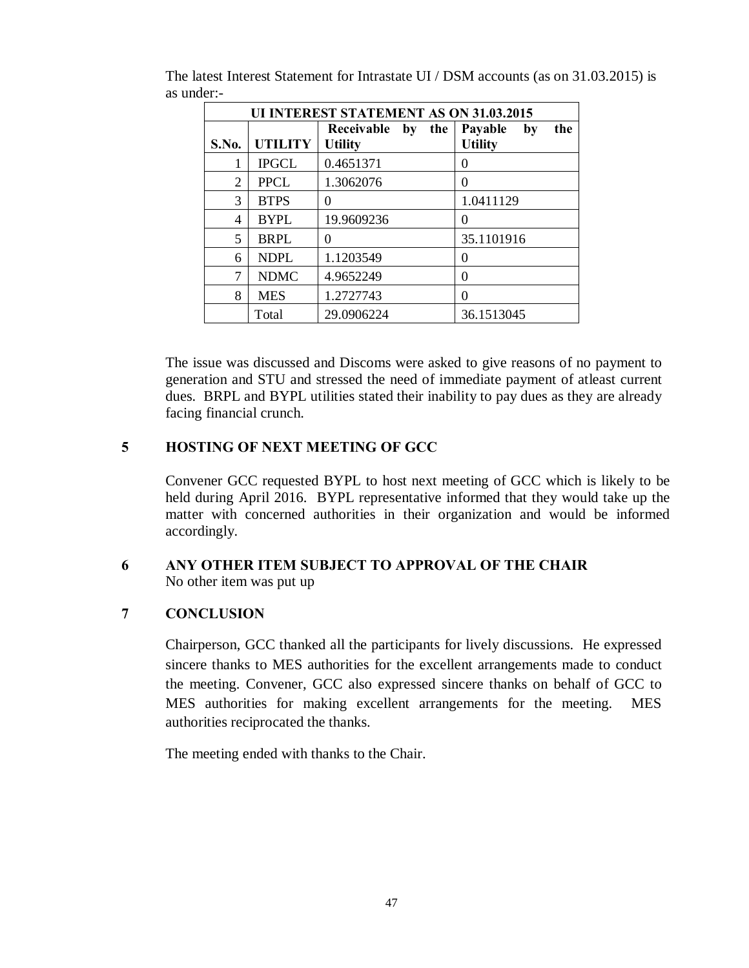|                  | <b>UI INTEREST STATEMENT AS ON 31.03.2015</b> |                                     |                                        |  |  |  |  |  |  |
|------------------|-----------------------------------------------|-------------------------------------|----------------------------------------|--|--|--|--|--|--|
| S.No.            | <b>UTILITY</b>                                | Receivable by the<br><b>Utility</b> | Payable<br>the<br>by<br><b>Utility</b> |  |  |  |  |  |  |
|                  | <b>IPGCL</b>                                  | 0.4651371                           | $\theta$                               |  |  |  |  |  |  |
| 2                | <b>PPCL</b>                                   | 1.3062076                           | $\theta$                               |  |  |  |  |  |  |
| 3                | <b>BTPS</b>                                   | $\Omega$                            | 1.0411129                              |  |  |  |  |  |  |
| 4                | <b>BYPL</b>                                   | 19.9609236                          | $\theta$                               |  |  |  |  |  |  |
| 5                | <b>BRPL</b>                                   | $\Omega$                            | 35.1101916                             |  |  |  |  |  |  |
| 6                | <b>NDPL</b>                                   | 1.1203549                           | 0                                      |  |  |  |  |  |  |
| <b>NDMC</b><br>7 |                                               | 4.9652249                           | 0                                      |  |  |  |  |  |  |
| 8                | <b>MES</b>                                    | 1.2727743                           | 0                                      |  |  |  |  |  |  |
|                  | Total                                         | 29.0906224                          | 36.1513045                             |  |  |  |  |  |  |

The latest Interest Statement for Intrastate UI / DSM accounts (as on 31.03.2015) is as under:-

The issue was discussed and Discoms were asked to give reasons of no payment to generation and STU and stressed the need of immediate payment of atleast current dues. BRPL and BYPL utilities stated their inability to pay dues as they are already facing financial crunch.

## **5 HOSTING OF NEXT MEETING OF GCC**

Convener GCC requested BYPL to host next meeting of GCC which is likely to be held during April 2016. BYPL representative informed that they would take up the matter with concerned authorities in their organization and would be informed accordingly.

# **6 ANY OTHER ITEM SUBJECT TO APPROVAL OF THE CHAIR**

No other item was put up

## **7 CONCLUSION**

Chairperson, GCC thanked all the participants for lively discussions. He expressed sincere thanks to MES authorities for the excellent arrangements made to conduct the meeting. Convener, GCC also expressed sincere thanks on behalf of GCC to MES authorities for making excellent arrangements for the meeting. MES authorities reciprocated the thanks.

The meeting ended with thanks to the Chair.